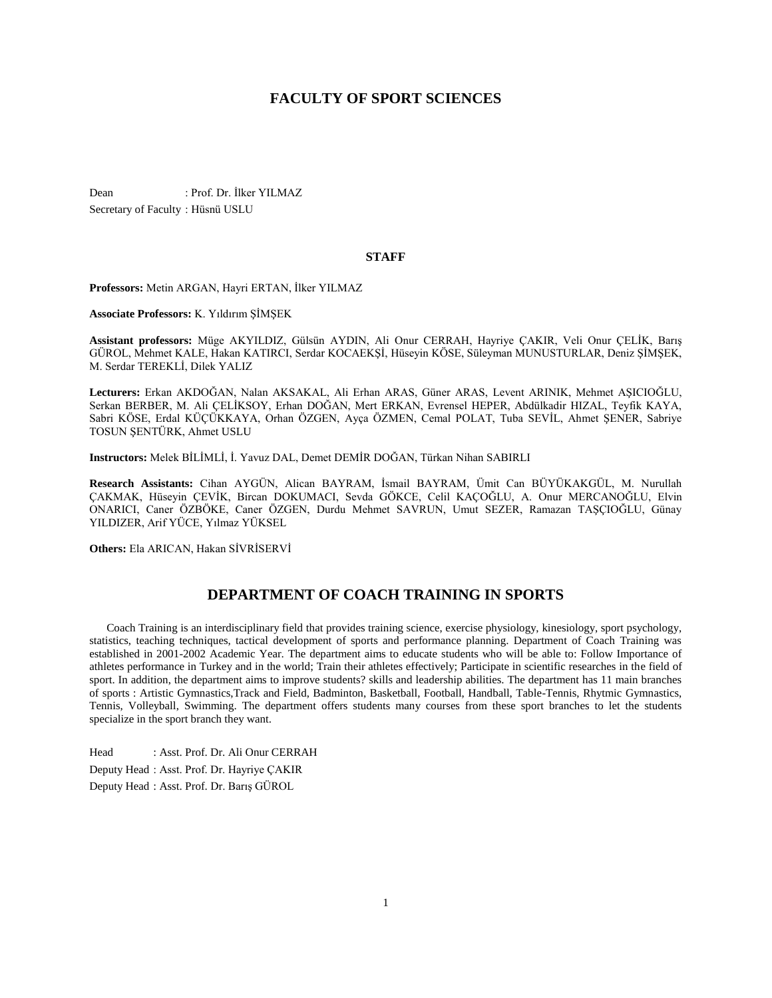# **FACULTY OF SPORT SCIENCES**

Dean : Prof. Dr. İlker YILMAZ Secretary of Faculty : Hüsnü USLU

#### **STAFF**

**Professors:** Metin ARGAN, Hayri ERTAN, İlker YILMAZ

**Associate Professors:** K. Yıldırım ŞİMŞEK

**Assistant professors:** Müge AKYILDIZ, Gülsün AYDIN, Ali Onur CERRAH, Hayriye ÇAKIR, Veli Onur ÇELİK, Barış GÜROL, Mehmet KALE, Hakan KATIRCI, Serdar KOCAEKŞİ, Hüseyin KÖSE, Süleyman MUNUSTURLAR, Deniz ŞİMŞEK, M. Serdar TEREKLİ, Dilek YALIZ

**Lecturers:** Erkan AKDOĞAN, Nalan AKSAKAL, Ali Erhan ARAS, Güner ARAS, Levent ARINIK, Mehmet AŞICIOĞLU, Serkan BERBER, M. Ali ÇELİKSOY, Erhan DOĞAN, Mert ERKAN, Evrensel HEPER, Abdülkadir HIZAL, Teyfik KAYA, Sabri KÖSE, Erdal KÜÇÜKKAYA, Orhan ÖZGEN, Ayça ÖZMEN, Cemal POLAT, Tuba SEVİL, Ahmet ŞENER, Sabriye TOSUN ŞENTÜRK, Ahmet USLU

**Instructors:** Melek BİLİMLİ, İ. Yavuz DAL, Demet DEMİR DOĞAN, Türkan Nihan SABIRLI

**Research Assistants:** Cihan AYGÜN, Alican BAYRAM, İsmail BAYRAM, Ümit Can BÜYÜKAKGÜL, M. Nurullah ÇAKMAK, Hüseyin ÇEVİK, Bircan DOKUMACI, Sevda GÖKCE, Celil KAÇOĞLU, A. Onur MERCANOĞLU, Elvin ONARICI, Caner ÖZBÖKE, Caner ÖZGEN, Durdu Mehmet SAVRUN, Umut SEZER, Ramazan TAŞÇIOĞLU, Günay YILDIZER, Arif YÜCE, Yılmaz YÜKSEL

**Others:** Ela ARICAN, Hakan SİVRİSERVİ

# **DEPARTMENT OF COACH TRAINING IN SPORTS**

 Coach Training is an interdisciplinary field that provides training science, exercise physiology, kinesiology, sport psychology, statistics, teaching techniques, tactical development of sports and performance planning. Department of Coach Training was established in 2001-2002 Academic Year. The department aims to educate students who will be able to: Follow Importance of athletes performance in Turkey and in the world; Train their athletes effectively; Participate in scientific researches in the field of sport. In addition, the department aims to improve students? skills and leadership abilities. The department has 11 main branches of sports : Artistic Gymnastics,Track and Field, Badminton, Basketball, Football, Handball, Table-Tennis, Rhytmic Gymnastics, Tennis, Volleyball, Swimming. The department offers students many courses from these sport branches to let the students specialize in the sport branch they want.

Head : Asst. Prof. Dr. Ali Onur CERRAH Deputy Head : Asst. Prof. Dr. Hayriye ÇAKIR Deputy Head : Asst. Prof. Dr. Barış GÜROL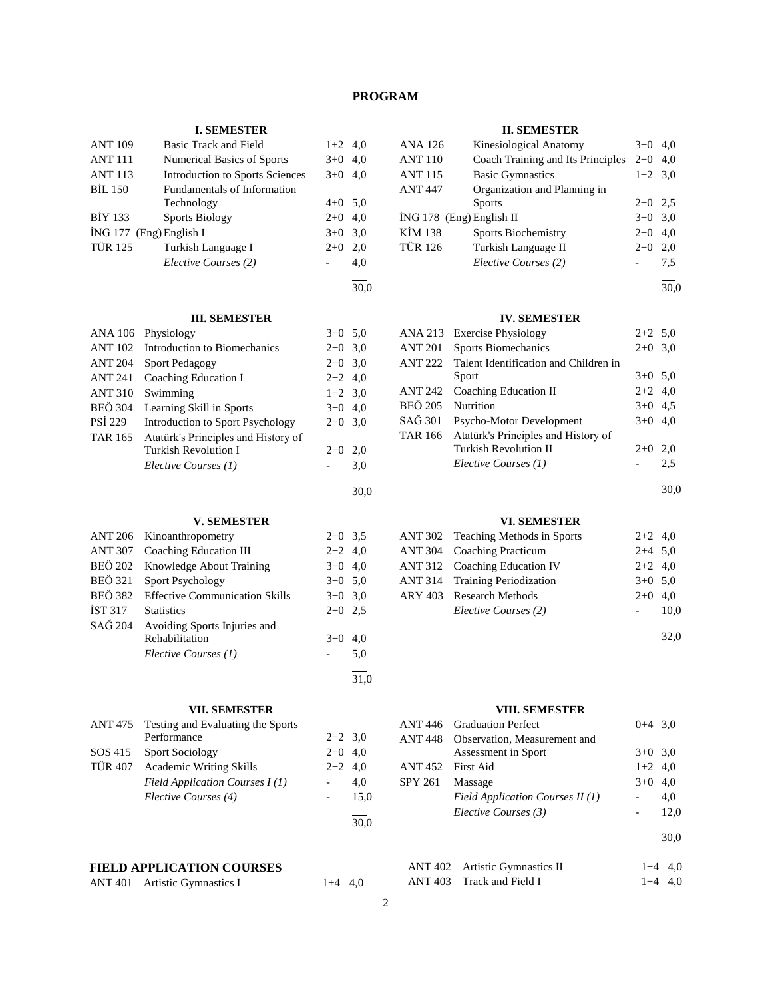# **PROGRAM**

# **I. SEMESTER**

| <b>ANT 109</b>            | Basic Track and Field                  | $1+2$ 4,0 |     |
|---------------------------|----------------------------------------|-----------|-----|
| <b>ANT 111</b>            | <b>Numerical Basics of Sports</b>      | $3+0$     | 4,0 |
| <b>ANT 113</b>            | <b>Introduction to Sports Sciences</b> | $3+0$ 4,0 |     |
| <b>BIL 150</b>            | Fundamentals of Information            |           |     |
|                           | Technology                             | $4+0$ 5.0 |     |
| <b>BİY 133</b>            | <b>Sports Biology</b>                  | $2+0$ 4,0 |     |
| $ING 177$ (Eng) English I |                                        | $3+0$     | 3,0 |
| <b>TÜR 125</b>            | Turkish Language I                     | $2+0$     | 2,0 |
|                           | Elective Courses (2)                   |           | 4,0 |
|                           |                                        |           |     |

#### 30,0

30,0

31,0

30,0

# **III. SEMESTER**

|                | ANA 106 Physiology                   | $3+0$ 5.0 |     |
|----------------|--------------------------------------|-----------|-----|
|                | ANT 102 Introduction to Biomechanics | $2+0$ 3,0 |     |
| <b>ANT 204</b> | <b>Sport Pedagogy</b>                | $2+0$ 3,0 |     |
|                | ANT 241 Coaching Education I         | $2+2$ 4,0 |     |
| <b>ANT 310</b> | Swimming                             | $1+2$ 3,0 |     |
| <b>BEÖ 304</b> | Learning Skill in Sports             | $3+0$ 4,0 |     |
| <b>PSI</b> 229 | Introduction to Sport Psychology     | $2+0$ 3.0 |     |
| TAR 165        | Atatürk's Principles and History of  |           |     |
|                | <b>Turkish Revolution I</b>          | $2+0$     | 2.0 |
|                | Elective Courses (1)                 |           | 3,0 |
|                |                                      |           |     |

## **V. SEMESTER**

|                | ANT 206 Kinoanthropometry             | $2+0$ 3.5 |     |
|----------------|---------------------------------------|-----------|-----|
|                | ANT 307 Coaching Education III        | $2+2$ 4,0 |     |
| <b>BEÖ 202</b> | Knowledge About Training              | $3+0$ 4.0 |     |
| <b>BEÖ</b> 321 | Sport Psychology                      | $3+0$ 5.0 |     |
| BEÖ 382        | <b>Effective Communication Skills</b> | $3+0$ 3.0 |     |
| <b>IST 317</b> | <b>Statistics</b>                     | $2+0$ 2.5 |     |
| SAĞ 204        | Avoiding Sports Injuries and          |           |     |
|                | Rehabilitation                        | $3+0$     | 4.0 |
|                | Elective Courses (1)                  |           | 5,0 |
|                |                                       |           |     |

## **VII. SEMESTER**

| ANT 475 Testing and Evaluating the Sports |           |      |
|-------------------------------------------|-----------|------|
| Performance                               | $2+2$ 3.0 |      |
| SOS 415 Sport Sociology                   | $2+0$ 4.0 |      |
| TÜR 407 Academic Writing Skills           | $2+2$ 4.0 |      |
| Field Application Courses I(1)            |           | 4.0  |
| Elective Courses (4)                      |           | 15.0 |
|                                           |           |      |

# **FIELD APPLICATION COURSES**

|  | ANT 401 Artistic Gymnastics I | $1+4$ 4,0 |
|--|-------------------------------|-----------|
|--|-------------------------------|-----------|

#### **II. SEMESTER**

| <b>ANA 126</b>             | Kinesiological Anatomy            | $3+0$     | 4.0 |
|----------------------------|-----------------------------------|-----------|-----|
| <b>ANT 110</b>             | Coach Training and Its Principles | $2+0$     | 4.0 |
| <b>ANT 115</b>             | <b>Basic Gymnastics</b>           | $1+2$ 3,0 |     |
| <b>ANT 447</b>             | Organization and Planning in      |           |     |
|                            | <b>Sports</b>                     | $2+0$ 2.5 |     |
| $ING 178$ (Eng) English II |                                   | $3+0$ 3.0 |     |
| KİM 138                    | <b>Sports Biochemistry</b>        | $2+0$     | 4,0 |
| <b>TÜR 126</b>             | Turkish Language II               | $2+0$     | 2,0 |
|                            | Elective Courses (2)              |           | 7.5 |
|                            |                                   |           |     |

30,0

## **IV. SEMESTER**

|                | ANA 213 Exercise Physiology           | $2+2$ 5.0 |      |
|----------------|---------------------------------------|-----------|------|
| <b>ANT 201</b> | <b>Sports Biomechanics</b>            | $2+0$ 3.0 |      |
| <b>ANT 222</b> | Talent Identification and Children in |           |      |
|                | Sport                                 | $3+0$ 5.0 |      |
| <b>ANT 242</b> | Coaching Education II                 | $2+2$ 4,0 |      |
| <b>BEÖ 205</b> | Nutrition                             | $3+0$ 4.5 |      |
| SAĞ 301        | Psycho-Motor Development              | $3+0$ 4,0 |      |
| <b>TAR 166</b> | Atatürk's Principles and History of   |           |      |
|                | <b>Turkish Revolution II</b>          | $2+0$     | 2,0  |
|                | Elective Courses (1)                  |           | 2.5  |
|                |                                       |           | 30,0 |

# **VI. SEMESTER**

| ANT 302 Teaching Methods in Sports   | $2+2$ 4,0 |      |
|--------------------------------------|-----------|------|
| ANT 304 Coaching Practicum           | $2+4$ 5,0 |      |
| <b>ANT 312 Coaching Education IV</b> | $2+2$ 4,0 |      |
| ANT 314 Training Periodization       | $3+0$ 5.0 |      |
| ARY 403 Research Methods             | $2+0$ 4.0 |      |
| Elective Courses (2)                 |           | 10.0 |
|                                      |           | 32,0 |

# **VIII. SEMESTER**

|                | ANT 446 Graduation Perfect       | $0+4$ 3.0 |      |
|----------------|----------------------------------|-----------|------|
| ANT 448        | Observation, Measurement and     |           |      |
|                | Assessment in Sport              | $3+0$ 3.0 |      |
| <b>ANT 452</b> | First Aid                        | $1+2$ 4,0 |      |
| SPY 261        | Massage                          | $3+0$     | 4,0  |
|                | Field Application Courses II (1) |           | 4.0  |
|                | Elective Courses (3)             |           | 12,0 |
|                |                                  |           | 30,0 |
|                | ANT 402 Artistic Gymnastics II   | $1+4$     | 4.0  |

| $1.111102$ $1.0001000$ $1.0000000$ | $\cdots$  |  |
|------------------------------------|-----------|--|
| ANT 403 Track and Field I          | $1+4$ 4,0 |  |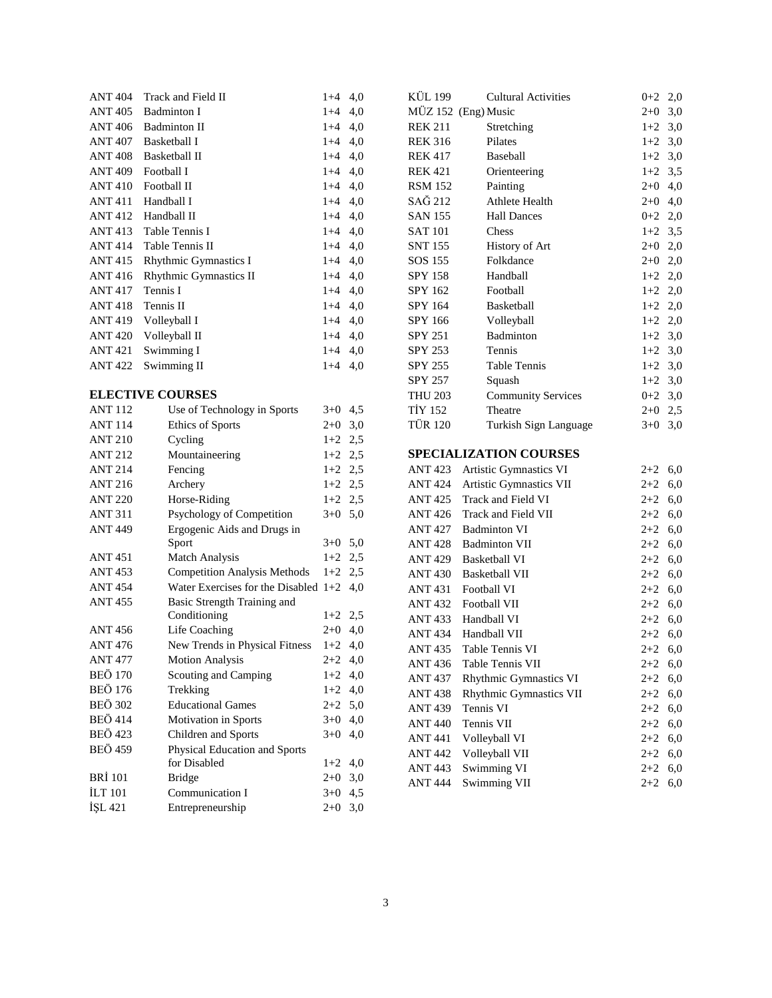| Track and Field II           | $1+4$   | 4,0 |
|------------------------------|---------|-----|
| Badminton I                  | $1 + 4$ | 4,0 |
| Badminton II                 | $1 + 4$ | 4,0 |
| Basketball I                 | $1 + 4$ | 4,0 |
| Basketball II                | $1 + 4$ | 4,0 |
| Football I                   | $1 + 4$ | 4,0 |
| Football II                  | $1 + 4$ | 4,0 |
| Handball I                   | $1 + 4$ | 4,0 |
| Handball II                  | $1 + 4$ | 4,0 |
| Table Tennis I               | $1 + 4$ | 4,0 |
| Table Tennis II              | $1 + 4$ | 4,0 |
| <b>Rhythmic Gymnastics I</b> | $1 + 4$ | 4,0 |
| Rhythmic Gymnastics II       | $1+4$   | 4,0 |
| Tennis I                     | $1 + 4$ | 4,0 |
| Tennis II                    | $1+4$   | 4,0 |
| Volleyball I                 | $1+4$   | 4,0 |
| Volleyball II                | $1 + 4$ | 4,0 |
| Swimming I                   | $1 + 4$ | 4,0 |
| Swimming II                  | $1+4$   | 4,0 |
|                              |         |     |

# **ELECTIVE COURSES**

| <b>ANT112</b>  | Use of Technology in Sports            | $3+0$     | 4,5 |
|----------------|----------------------------------------|-----------|-----|
| <b>ANT 114</b> | <b>Ethics of Sports</b>                | $2+0$     | 3,0 |
| <b>ANT 210</b> | Cycling                                | $1+2$     | 2.5 |
| <b>ANT 212</b> | Mountaineering                         | $1+2$ 2,5 |     |
| <b>ANT 214</b> | Fencing                                | $1+2$     | 2,5 |
| <b>ANT 216</b> | Archery                                | $1+2$     | 2,5 |
| <b>ANT 220</b> | Horse-Riding                           | $1+2$     | 2,5 |
| <b>ANT 311</b> | Psychology of Competition              | $3+0$     | 5,0 |
| <b>ANT 449</b> | Ergogenic Aids and Drugs in            |           |     |
|                | Sport                                  | $3+0$ 5,0 |     |
| <b>ANT 451</b> | Match Analysis                         | $1+2$     | 2,5 |
| <b>ANT 453</b> | <b>Competition Analysis Methods</b>    | $1+2$     | 2,5 |
| <b>ANT454</b>  | Water Exercises for the Disabled $1+2$ |           | 4,0 |
| <b>ANT 455</b> | Basic Strength Training and            |           |     |
|                | Conditioning                           | $1+2$     | 2,5 |
| <b>ANT 456</b> | Life Coaching                          | $2+0$     | 4,0 |
| <b>ANT 476</b> | New Trends in Physical Fitness         | $1+2$     | 4,0 |
| <b>ANT 477</b> | <b>Motion Analysis</b>                 | $2+2$     | 4,0 |
| <b>BEÖ 170</b> | Scouting and Camping                   | $1+2$     | 4,0 |
| <b>BEÖ 176</b> | Trekking                               | $1+2$     | 4,0 |
| <b>BEÖ 302</b> | <b>Educational Games</b>               | $2+2$ 5.0 |     |
| <b>BEÖ</b> 414 | Motivation in Sports                   | $3+0$     | 4,0 |
| <b>BEÖ 423</b> | Children and Sports                    | $3+0$     | 4,0 |
| <b>BEÖ 459</b> | Physical Education and Sports          |           |     |
|                | for Disabled                           | $1+2$     | 4,0 |
| <b>BRI</b> 101 | <b>Bridge</b>                          | $2 + 0$   | 3,0 |
| <b>ILT</b> 101 | Communication I                        | $3+0$     | 4,5 |
| ISL 421        | Entrepreneurship                       | $2+0$     | 3,0 |

| KÜL 199        | <b>Cultural Activities</b>                         | 0+2                                                                                                                                                                                                                                                                                                                                                                                                                                                                                        | 2,0                                              |
|----------------|----------------------------------------------------|--------------------------------------------------------------------------------------------------------------------------------------------------------------------------------------------------------------------------------------------------------------------------------------------------------------------------------------------------------------------------------------------------------------------------------------------------------------------------------------------|--------------------------------------------------|
|                |                                                    | $2+0$ 3,0                                                                                                                                                                                                                                                                                                                                                                                                                                                                                  |                                                  |
| <b>REK 211</b> | Stretching                                         | $1+2$ 3,0                                                                                                                                                                                                                                                                                                                                                                                                                                                                                  |                                                  |
| <b>REK 316</b> | Pilates                                            | $1+2$ 3,0                                                                                                                                                                                                                                                                                                                                                                                                                                                                                  |                                                  |
| <b>REK 417</b> | Baseball                                           | $1+2$ 3,0                                                                                                                                                                                                                                                                                                                                                                                                                                                                                  |                                                  |
| <b>REK 421</b> | Orienteering                                       | $1+2$ 3,5                                                                                                                                                                                                                                                                                                                                                                                                                                                                                  |                                                  |
| <b>RSM 152</b> | Painting                                           | $2+0$ 4,0                                                                                                                                                                                                                                                                                                                                                                                                                                                                                  |                                                  |
| SAĞ 212        | Athlete Health                                     | $2+0$ 4,0                                                                                                                                                                                                                                                                                                                                                                                                                                                                                  |                                                  |
| <b>SAN 155</b> | <b>Hall Dances</b>                                 | $0+2$ 2,0                                                                                                                                                                                                                                                                                                                                                                                                                                                                                  |                                                  |
| <b>SAT 101</b> | Chess                                              | $1+2$ 3,5                                                                                                                                                                                                                                                                                                                                                                                                                                                                                  |                                                  |
| <b>SNT 155</b> | History of Art                                     | $2+0$ 2,0                                                                                                                                                                                                                                                                                                                                                                                                                                                                                  |                                                  |
| SOS 155        | Folkdance                                          | $2+0$ 2,0                                                                                                                                                                                                                                                                                                                                                                                                                                                                                  |                                                  |
| SPY 158        | Handball                                           | $1+2$ 2,0                                                                                                                                                                                                                                                                                                                                                                                                                                                                                  |                                                  |
| SPY 162        | Football                                           | $1+2$ 2,0                                                                                                                                                                                                                                                                                                                                                                                                                                                                                  |                                                  |
| SPY 164        | Basketball                                         |                                                                                                                                                                                                                                                                                                                                                                                                                                                                                            |                                                  |
| SPY 166        | Volleyball                                         | $1+2$ 2,0                                                                                                                                                                                                                                                                                                                                                                                                                                                                                  |                                                  |
| SPY 251        | Badminton                                          | $1+2$ 3,0                                                                                                                                                                                                                                                                                                                                                                                                                                                                                  |                                                  |
| SPY 253        | Tennis                                             | $1+2$ 3,0                                                                                                                                                                                                                                                                                                                                                                                                                                                                                  |                                                  |
| <b>SPY 255</b> |                                                    |                                                                                                                                                                                                                                                                                                                                                                                                                                                                                            |                                                  |
| SPY 257        |                                                    | $1+2$ 3,0                                                                                                                                                                                                                                                                                                                                                                                                                                                                                  |                                                  |
| <b>THU 203</b> |                                                    |                                                                                                                                                                                                                                                                                                                                                                                                                                                                                            |                                                  |
|                | Theatre                                            | $2+0$ 2,5                                                                                                                                                                                                                                                                                                                                                                                                                                                                                  |                                                  |
|                |                                                    |                                                                                                                                                                                                                                                                                                                                                                                                                                                                                            |                                                  |
|                |                                                    |                                                                                                                                                                                                                                                                                                                                                                                                                                                                                            |                                                  |
|                |                                                    | $2+2$ 6,0                                                                                                                                                                                                                                                                                                                                                                                                                                                                                  |                                                  |
|                |                                                    | $2+2$ 6,0                                                                                                                                                                                                                                                                                                                                                                                                                                                                                  |                                                  |
|                |                                                    | $2+2$ 6,0                                                                                                                                                                                                                                                                                                                                                                                                                                                                                  |                                                  |
|                |                                                    | $2+2$ 6,0                                                                                                                                                                                                                                                                                                                                                                                                                                                                                  |                                                  |
|                |                                                    | $2+2$ 6,0                                                                                                                                                                                                                                                                                                                                                                                                                                                                                  |                                                  |
|                |                                                    | $2+2$ 6,0                                                                                                                                                                                                                                                                                                                                                                                                                                                                                  |                                                  |
|                |                                                    | $2+2$ 6,0                                                                                                                                                                                                                                                                                                                                                                                                                                                                                  |                                                  |
|                |                                                    | $2+2$ 6,0                                                                                                                                                                                                                                                                                                                                                                                                                                                                                  |                                                  |
|                |                                                    | $2+2$ 6,0                                                                                                                                                                                                                                                                                                                                                                                                                                                                                  |                                                  |
|                |                                                    | $2+2$ 6,0                                                                                                                                                                                                                                                                                                                                                                                                                                                                                  |                                                  |
|                |                                                    | $2+2$ 6,0                                                                                                                                                                                                                                                                                                                                                                                                                                                                                  |                                                  |
|                |                                                    | $2+2$ 6,0                                                                                                                                                                                                                                                                                                                                                                                                                                                                                  |                                                  |
|                | Table Tennis VI                                    | $2+2$ 6,0                                                                                                                                                                                                                                                                                                                                                                                                                                                                                  |                                                  |
| <b>ANT 436</b> | Table Tennis VII                                   | $2+2$                                                                                                                                                                                                                                                                                                                                                                                                                                                                                      | 6,0                                              |
| <b>ANT 437</b> | Rhythmic Gymnastics VI                             | $2+2$                                                                                                                                                                                                                                                                                                                                                                                                                                                                                      | 6,0                                              |
|                | Rhythmic Gymnastics VII                            | $^{2+2}$                                                                                                                                                                                                                                                                                                                                                                                                                                                                                   | 6,0                                              |
|                |                                                    |                                                                                                                                                                                                                                                                                                                                                                                                                                                                                            |                                                  |
| ANT 439        | Tennis VI                                          | $2 + 2$                                                                                                                                                                                                                                                                                                                                                                                                                                                                                    | 6,0                                              |
| <b>ANT 440</b> | Tennis VII                                         | $2+2$                                                                                                                                                                                                                                                                                                                                                                                                                                                                                      | 6,0                                              |
| <b>ANT 441</b> | Volleyball VI                                      | $2+2$                                                                                                                                                                                                                                                                                                                                                                                                                                                                                      | 6,0                                              |
| <b>ANT 442</b> | Volleyball VII<br>Swimming VI                      | $2+2$                                                                                                                                                                                                                                                                                                                                                                                                                                                                                      | 6,0                                              |
|                | <b>TİY 152</b><br><b>TÜR 120</b><br><b>ANT 438</b> | MÜZ 152 (Eng) Music<br>Table Tennis<br>Squash<br><b>Community Services</b><br>Turkish Sign Language<br><b>SPECIALIZATION COURSES</b><br>ANT 423 Artistic Gymnastics VI<br><b>ANT 424 Artistic Gymnastics VII</b><br>ANT 425 Track and Field VI<br>ANT 426 Track and Field VII<br>ANT 427 Badminton VI<br>ANT 428 Badminton VII<br>ANT 429 Basketball VI<br>ANT 430 Basketball VII<br>ANT 431 Football VI<br>ANT 432 Football VII<br>ANT 433 Handball VI<br>ANT 434 Handball VII<br>ANT 435 | $1+2$ 2,0<br>$1+2$ 3,0<br>$0+2$ 3,0<br>$3+0$ 3,0 |

ANT 444 Swimming VII 2+2 6,0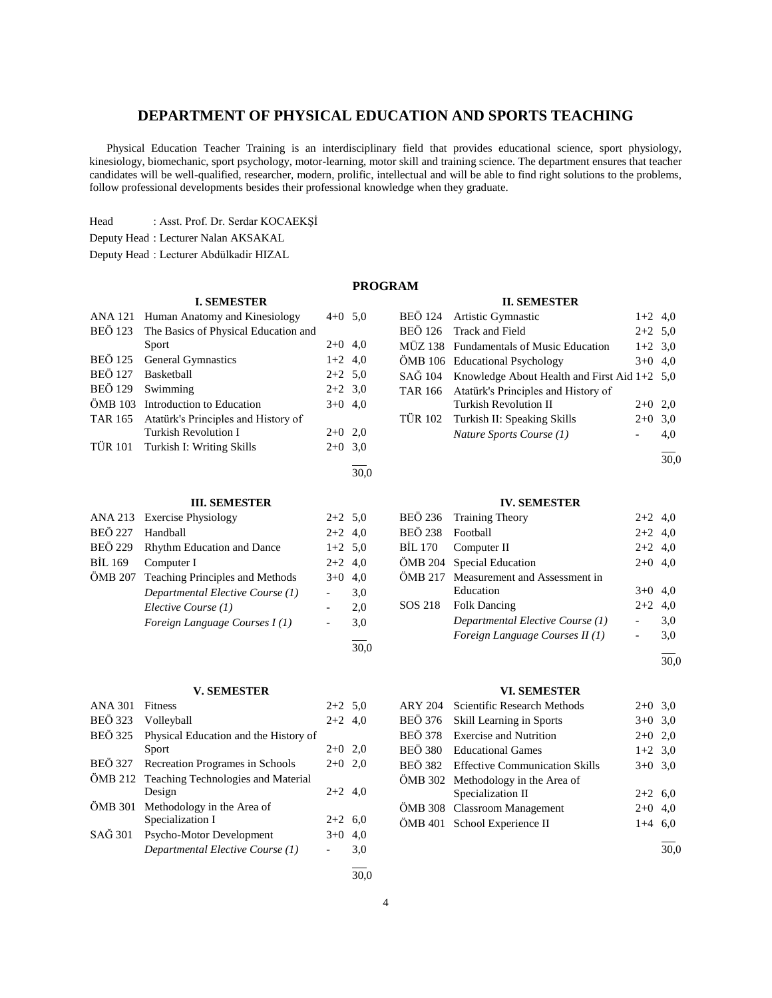# **DEPARTMENT OF PHYSICAL EDUCATION AND SPORTS TEACHING**

 Physical Education Teacher Training is an interdisciplinary field that provides educational science, sport physiology, kinesiology, biomechanic, sport psychology, motor-learning, motor skill and training science. The department ensures that teacher candidates will be well-qualified, researcher, modern, prolific, intellectual and will be able to find right solutions to the problems, follow professional developments besides their professional knowledge when they graduate.

Head : Asst. Prof. Dr. Serdar KOCAEKŞİ

Deputy Head : Lecturer Nalan AKSAKAL

Deputy Head : Lecturer Abdülkadir HIZAL

#### **PROGRAM**

30,0

#### **II. SEMESTER**

| <b>I. SEMESTER</b> |                                      |           |     |
|--------------------|--------------------------------------|-----------|-----|
| ANA 121            | Human Anatomy and Kinesiology        | $4+0$ 5.0 |     |
| <b>BEÖ 123</b>     | The Basics of Physical Education and |           |     |
|                    | Sport                                | $2+0$ 4,0 |     |
| <b>BEÖ 125</b>     | General Gymnastics                   | $1+2$ 4,0 |     |
|                    | BEÖ 127 Basketball                   | $2+2$ 5.0 |     |
|                    | BEÖ 129 Swimming                     | $2+2$ 3.0 |     |
|                    | ÖMB 103 Introduction to Education    | $3+0$ 4.0 |     |
| TAR 165            | Atatürk's Principles and History of  |           |     |
|                    | <b>Turkish Revolution I</b>          | $2+0$ 2,0 |     |
|                    | TÜR 101 Turkish I: Writing Skills    | $2+0$     | 3,0 |
|                    |                                      |           |     |

#### **III. SEMESTER**

|                | ANA 213 Exercise Physiology             | $2+2$ 5.0 |     |
|----------------|-----------------------------------------|-----------|-----|
| <b>BEÖ 227</b> | Handball                                | $2+2$ 4,0 |     |
|                | BEÖ 229 Rhythm Education and Dance      | $1+2$ 5.0 |     |
| BIL 169        | Computer I                              | $2+2$ 4.0 |     |
|                | ÖMB 207 Teaching Principles and Methods | $3+0$     | 4.0 |
|                | Departmental Elective Course (1)        |           | 3,0 |
|                | Elective Course (1)                     |           | 2,0 |
|                | Foreign Language Courses I(1)           |           | 3,0 |
|                |                                         |           |     |

#### **V. SEMESTER**

| <b>ANA 301</b> | <b>Fitness</b>                             | $2+2$ 5,0 |     |
|----------------|--------------------------------------------|-----------|-----|
| <b>BEÖ</b> 323 | Volleyball                                 | $2+2$ 4,0 |     |
| <b>BEÖ</b> 325 | Physical Education and the History of      |           |     |
|                | Sport                                      | $2+0$ 2,0 |     |
| BEÖ 327        | Recreation Programes in Schools            | $2+0$     | 2,0 |
|                | OMB 212 Teaching Technologies and Material |           |     |
|                | Design                                     | $2+2$ 4,0 |     |
|                | ÖMB 301 Methodology in the Area of         |           |     |
|                | Specialization I                           | $2+2$ 6.0 |     |
| SAĞ 301        | Psycho-Motor Development                   | $3+0$     | 4.0 |
|                | Departmental Elective Course (1)           |           | 3,0 |
|                |                                            |           |     |

| BEÖ 124 Artistic Gymnastic                           | $1+2$ 4,0 |     |
|------------------------------------------------------|-----------|-----|
| BEÖ 126 Track and Field                              | $2+2$ 5,0 |     |
| MÜZ 138 Fundamentals of Music Education              | $1+2$ 3,0 |     |
| ÖMB 106 Educational Psychology                       | $3+0$ 4.0 |     |
| SAĞ 104 Knowledge About Health and First Aid 1+2 5,0 |           |     |
| TAR 166 Atatürk's Principles and History of          |           |     |
| <b>Turkish Revolution II</b>                         | $2+0$ 2.0 |     |
| TÜR 102 Turkish II: Speaking Skills                  | $2+0$ 3,0 |     |
| Nature Sports Course (1)                             |           | 4.0 |
|                                                      |           |     |

### 30,0

#### **IV. SEMESTER**

|                  | BEÖ 236 Training Theory               | $2+2$ 4,0 |     |
|------------------|---------------------------------------|-----------|-----|
| BEÖ 238 Football |                                       | $2+2$ 4,0 |     |
|                  | BIL 170 Computer II                   | $2+2$ 4,0 |     |
|                  | ÖMB 204 Special Education             | $2+0$ 4,0 |     |
|                  | ÖMB 217 Measurement and Assessment in |           |     |
|                  | Education                             | $3+0$ 4,0 |     |
|                  | SOS 218 Folk Dancing                  | $2+2$ 4.0 |     |
|                  | Departmental Elective Course (1)      |           | 3,0 |
|                  | Foreign Language Courses II (1)       | $\sim$    | 3,0 |
|                  |                                       |           |     |

#### 30,0

# **VI. SEMESTER**

| ARY 204 Scientific Research Methods    | $2+0$ 3,0 |  |
|----------------------------------------|-----------|--|
| BEÖ 376 Skill Learning in Sports       | $3+0$ 3,0 |  |
| BEÖ 378 Exercise and Nutrition         | $2+0$ 2,0 |  |
| BEÖ 380 Educational Games              | $1+2$ 3,0 |  |
| BEÖ 382 Effective Communication Skills | $3+0$ 3,0 |  |
| ÖMB 302 Methodology in the Area of     |           |  |
| Specialization II                      | $2+2$ 6,0 |  |
| ÖMB 308 Classroom Management           | $2+0$ 4,0 |  |
| ÖMB 401 School Experience II           | $1+4$ 6.0 |  |
|                                        |           |  |

30,0

30,0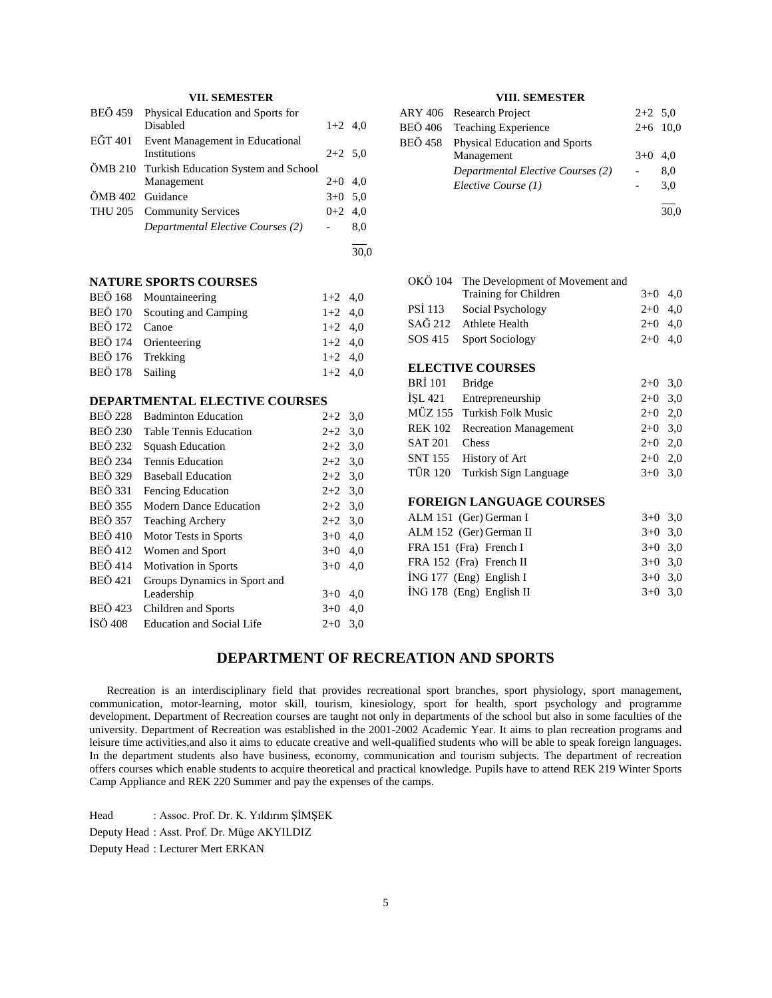# **VII. SEMESTER**

| BEÖ 459          | Physical Education and Sports for           |           |     |
|------------------|---------------------------------------------|-----------|-----|
|                  | Disabled                                    | $1+2$ 4.0 |     |
|                  | EĞT 401 Event Management in Educational     |           |     |
|                  | Institutions                                | $2+2$ 5.0 |     |
|                  | ÖMB 210 Turkish Education System and School |           |     |
|                  | Management                                  | $2+0$ 4,0 |     |
| ÖMB 402 Guidance |                                             | $3+0$ 5,0 |     |
|                  | THU 205 Community Services                  | $0+2$ 4,0 |     |
|                  | Departmental Elective Courses (2)           |           | 8,0 |
|                  |                                             |           |     |

30,0

#### **NATURE SPORTS COURSES**

|                  | BEÖ 168 Mountaineering       | $1+2$ 4.0 |  |
|------------------|------------------------------|-----------|--|
|                  | BEÖ 170 Scouting and Camping | $1+2$ 4,0 |  |
| BEÖ 172 Canoe    |                              | $1+2$ 4.0 |  |
|                  | BEÖ 174 Orienteering         | $1+2$ 4.0 |  |
| BEÖ 176 Trekking |                              | $1+2$ 4.0 |  |
| BEÖ 178 Sailing  |                              | $1+2$ 4.0 |  |

#### **DEPARTMENTAL ELECTIVE COURSES**

| <b>BEÖ 228</b> | <b>Badminton Education</b>       | $2+2$ | 3,0 |
|----------------|----------------------------------|-------|-----|
| <b>BEÖ 230</b> | <b>Table Tennis Education</b>    | $2+2$ | 3,0 |
| <b>BEÖ</b> 232 | <b>Squash Education</b>          | $2+2$ | 3,0 |
| <b>BEÖ 234</b> | <b>Tennis Education</b>          | $2+2$ | 3,0 |
| <b>BEÖ</b> 329 | <b>Baseball Education</b>        | $2+2$ | 3,0 |
| <b>BEÖ</b> 331 | <b>Fencing Education</b>         | $2+2$ | 3,0 |
| <b>BEÖ 355</b> | Modern Dance Education           | $2+2$ | 3,0 |
| <b>BEÖ 357</b> | <b>Teaching Archery</b>          | $2+2$ | 3,0 |
| <b>BEÖ 410</b> | Motor Tests in Sports            | $3+0$ | 4,0 |
| <b>BEÖ</b> 412 | Women and Sport                  | $3+0$ | 4,0 |
| <b>BEÖ</b> 414 | <b>Motivation in Sports</b>      | $3+0$ | 4,0 |
| <b>BEÖ</b> 421 | Groups Dynamics in Sport and     |       |     |
|                | Leadership                       | $3+0$ | 4,0 |
| <b>BEÖ</b> 423 | Children and Sports              | $3+0$ | 4,0 |
| <b>ISÖ</b> 408 | <b>Education and Social Life</b> | $2+0$ | 3,0 |
|                |                                  |       |     |

## **VIII. SEMESTER**

| ARY 406 Research Project              | $2+2$ 5.0 |            |
|---------------------------------------|-----------|------------|
| BEÖ 406 Teaching Experience           |           | $2+6$ 10,0 |
| BEÖ 458 Physical Education and Sports |           |            |
| Management                            | $3+0$ 4.0 |            |
| Departmental Elective Courses (2)     |           | 8,0        |
| Elective Course (1)                   |           | 3,0        |
|                                       |           |            |
|                                       |           | 30,0       |

|                | OKÖ 104 The Development of Movement and |           |     |
|----------------|-----------------------------------------|-----------|-----|
|                | Training for Children                   | $3+0$ 4,0 |     |
| <b>PSI</b> 113 | Social Psychology                       | $2+0$ 4,0 |     |
|                | SAĞ 212 Athlete Health                  | $2+0$     | 4.0 |
| SOS 415        | <b>Sport Sociology</b>                  | $2+0$     | 4.0 |
|                |                                         |           |     |
|                | <b>ELECTIVE COURSES</b>                 |           |     |
| <b>BRI</b> 101 | <b>Bridge</b>                           | $2+0$     | 3,0 |
|                | ISL 421 Entrepreneurship                | $2+0$     | 3,0 |
|                |                                         |           |     |

|               | MÜZ 155 Turkish Folk Music    | $2+0$ 2,0 |  |
|---------------|-------------------------------|-----------|--|
|               | REK 102 Recreation Management | $2+0$ 3,0 |  |
| SAT 201 Chess |                               | $2+0$ 2.0 |  |
|               | SNT 155 History of Art        | $2+0$ 2,0 |  |
|               | TÜR 120 Turkish Sign Language | $3+0$ 3,0 |  |

# **FOREIGN LANGUAGE COURSES**

| ALM 151 (Ger) German I   | $3+0$ 3.0 |  |
|--------------------------|-----------|--|
| ALM 152 (Ger) German II  | $3+0$ 3.0 |  |
| FRA 151 (Fra) French I   | $3+0$ 3.0 |  |
| FRA 152 (Fra) French II  | $3+0$ 3.0 |  |
| ING 177 (Eng) English I  | $3+0$ 3.0 |  |
| İNG 178 (Eng) English II | $3+0$ 3.0 |  |
|                          |           |  |

# **DEPARTMENT OF RECREATION AND SPORTS**

 Recreation is an interdisciplinary field that provides recreational sport branches, sport physiology, sport management, communication, motor-learning, motor skill, tourism, kinesiology, sport for health, sport psychology and programme development. Department of Recreation courses are taught not only in departments of the school but also in some faculties of the university. Department of Recreation was established in the 2001-2002 Academic Year. It aims to plan recreation programs and leisure time activities,and also it aims to educate creative and well-qualified students who will be able to speak foreign languages. In the department students also have business, economy, communication and tourism subjects. The department of recreation offers courses which enable students to acquire theoretical and practical knowledge. Pupils have to attend REK 219 Winter Sports Camp Appliance and REK 220 Summer and pay the expenses of the camps.

Head : Assoc. Prof. Dr. K. Yıldırım ŞİMŞEK Deputy Head : Asst. Prof. Dr. Müge AKYILDIZ Deputy Head : Lecturer Mert ERKAN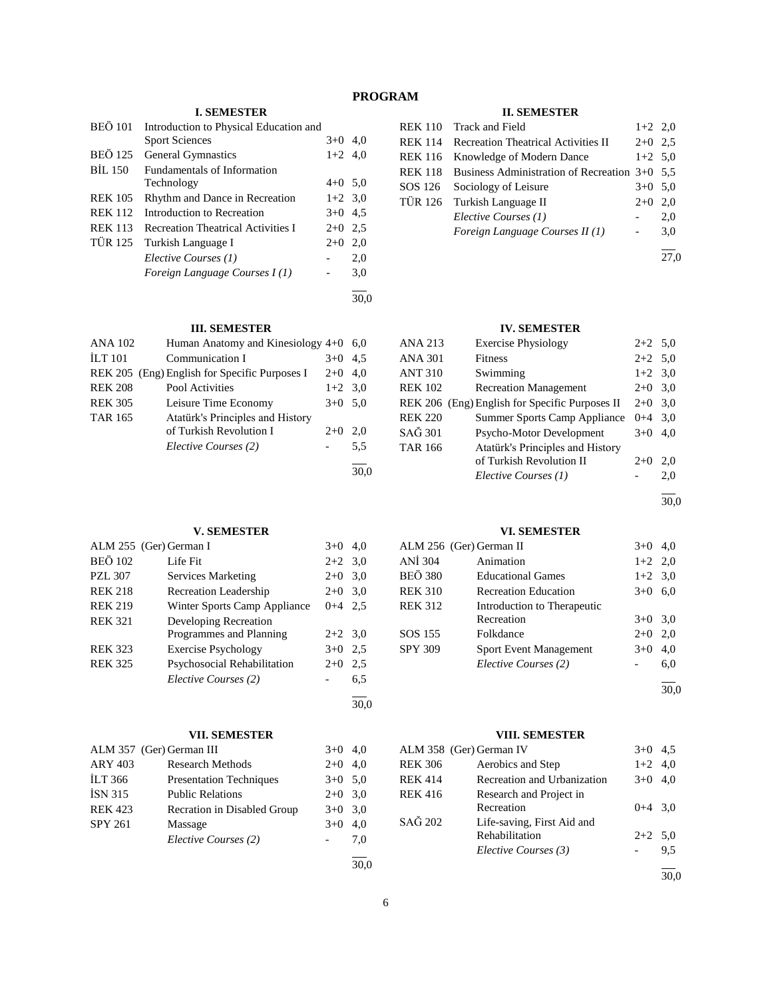# **PROGRAM**

# **I. SEMESTER**

| <b>BEÖ</b> 101 | Introduction to Physical Education and    |           |      |
|----------------|-------------------------------------------|-----------|------|
|                | <b>Sport Sciences</b>                     | $3+0$ 4.0 |      |
| <b>BEÖ 125</b> | <b>General Gymnastics</b>                 | $1+2$ 4.0 |      |
| BIL 150        | <b>Fundamentals of Information</b>        |           |      |
|                | Technology                                | $4+0$ 5,0 |      |
| <b>REK 105</b> | Rhythm and Dance in Recreation            | $1+2$ 3.0 |      |
| <b>REK 112</b> | Introduction to Recreation                | $3+0$ 4.5 |      |
| <b>REK 113</b> | <b>Recreation Theatrical Activities I</b> | $2+0$ 2.5 |      |
| <b>TÜR 125</b> | Turkish Language I                        | $2+0$     | 2,0  |
|                | Elective Courses (1)                      |           | 2,0  |
|                | Foreign Language Courses I(1)             |           | 3,0  |
|                |                                           |           | 30.0 |

# **III. SEMESTER**

| <b>ANA 102</b> | Human Anatomy and Kinesiology 4+0 6,0         |           |     |
|----------------|-----------------------------------------------|-----------|-----|
| <b>ILT</b> 101 | Communication I                               | $3+0$     | 4.5 |
|                | REK 205 (Eng) English for Specific Purposes I | $2+0$     | 4.0 |
| <b>REK 208</b> | Pool Activities                               | $1+2$ 3.0 |     |
| <b>REK 305</b> | Leisure Time Economy                          | $3+0$     | 5,0 |
| <b>TAR 165</b> | Atatürk's Principles and History              |           |     |
|                | of Turkish Revolution I                       | $2+0$     | 2.0 |
|                | Elective Courses (2)                          |           | 5.5 |
|                |                                               |           |     |

# **V. SEMESTER**

|                | ALM 255 (Ger) German I       | $3+0$     | 4.0 |
|----------------|------------------------------|-----------|-----|
| <b>BEÖ 102</b> | Life Fit                     | $2+2$ 3.0 |     |
| <b>PZL 307</b> | Services Marketing           | $2+0$     | 3,0 |
| <b>REK 218</b> | <b>Recreation Leadership</b> | $2+0$     | 3,0 |
| <b>REK 219</b> | Winter Sports Camp Appliance | $0 + 4$   | 2.5 |
| <b>REK 321</b> | Developing Recreation        |           |     |
|                | Programmes and Planning      | $2+2$ 3.0 |     |
| <b>REK 323</b> | <b>Exercise Psychology</b>   | $3+0$     | 2.5 |
| <b>REK 325</b> | Psychosocial Rehabilitation  | $2+0$     | 2,5 |
|                | Elective Courses (2)         |           | 6,5 |
|                |                              |           |     |

## **VII. SEMESTER**

|                | ALM 357 (Ger) German III       | $3+0$ 4,0 |     |
|----------------|--------------------------------|-----------|-----|
| <b>ARY 403</b> | <b>Research Methods</b>        | $2+0$ 4,0 |     |
| <b>ILT 366</b> | <b>Presentation Techniques</b> | $3+0$ 5,0 |     |
| <b>ISN 315</b> | <b>Public Relations</b>        | $2+0$ 3,0 |     |
| <b>REK 423</b> | Recration in Disabled Group    | $3+0$ 3.0 |     |
| <b>SPY 261</b> | Massage                        | $3+0$     | 4,0 |
|                | Elective Courses (2)           |           | 7,0 |
|                |                                |           |     |

30,0

30,0

# **II. SEMESTER**

|                | REK 110 Track and Field                               | $1+2$ 2,0 |     |
|----------------|-------------------------------------------------------|-----------|-----|
| <b>REK 114</b> | <b>Recreation Theatrical Activities II</b>            | $2+0$ 2.5 |     |
| <b>REK 116</b> | Knowledge of Modern Dance                             | $1+2$ 5,0 |     |
|                | REK 118 Business Administration of Recreation 3+0 5.5 |           |     |
| SOS 126        | Sociology of Leisure                                  | $3+0$ 5.0 |     |
|                | TÜR 126 Turkish Language II                           | $2+0$     | 2,0 |
|                | Elective Courses (1)                                  |           | 2,0 |
|                | Foreign Language Courses II (1)                       |           | 3,0 |
|                |                                                       |           |     |

## **IV. SEMESTER**

| ANA 213        | <b>Exercise Physiology</b>                     | $2+2$ 5.0 |     |
|----------------|------------------------------------------------|-----------|-----|
| ANA 301        | <b>Fitness</b>                                 | $2+2$ 5.0 |     |
| ANT 310        | Swimming                                       | $1+2$ 3,0 |     |
| <b>REK 102</b> | <b>Recreation Management</b>                   | $2+0$     | 3,0 |
|                | REK 206 (Eng) English for Specific Purposes II | $2+0$     | 3,0 |
| <b>REK 220</b> | Summer Sports Camp Appliance                   | $0 + 4$   | 3.0 |
| SAĞ 301        | Psycho-Motor Development                       | $3+0$     | 4.0 |
| TAR 166        | Atatürk's Principles and History               |           |     |
|                | of Turkish Revolution II                       | $2+0$     | 2,0 |
|                | Elective Courses (1)                           |           | 2,0 |
|                |                                                |           |     |

30,0

27,0

#### **VI. SEMESTER**

| V 1. MEDITIEM I EAN |                               |           |     |  |
|---------------------|-------------------------------|-----------|-----|--|
|                     | ALM 256 (Ger) German II       | $3+0$     | 4.0 |  |
| ANI 304             | Animation                     | $1+2$ 2,0 |     |  |
| <b>BEÖ 380</b>      | <b>Educational Games</b>      | $1+2$ 3,0 |     |  |
| <b>REK 310</b>      | <b>Recreation Education</b>   | $3+0$     | 6,0 |  |
| <b>REK 312</b>      | Introduction to Therapeutic   |           |     |  |
|                     | Recreation                    | $3+0$     | 3,0 |  |
| SOS 155             | Folkdance                     | $2+0$     | 2,0 |  |
| <b>SPY 309</b>      | <b>Sport Event Management</b> | $3+0$     | 4,0 |  |
|                     | Elective Courses (2)          |           | 6,0 |  |
|                     |                               |           |     |  |
|                     |                               |           |     |  |

#### **VIII. SEMESTER**

|                | ALM 358 (Ger) German IV     | $3+0$     | 4,5 |
|----------------|-----------------------------|-----------|-----|
| <b>REK 306</b> | Aerobics and Step           | $1+2$ 4,0 |     |
| REK 414        | Recreation and Urbanization | $3+0$ 4,0 |     |
| REK 416        | Research and Project in     |           |     |
|                | Recreation                  | $0+4$ 3.0 |     |
| SAĞ 202        | Life-saving, First Aid and  |           |     |
|                | Rehabilitation              | $2+2$ 5.0 |     |
|                | Elective Courses (3)        |           | 9.5 |
|                |                             |           |     |

30,0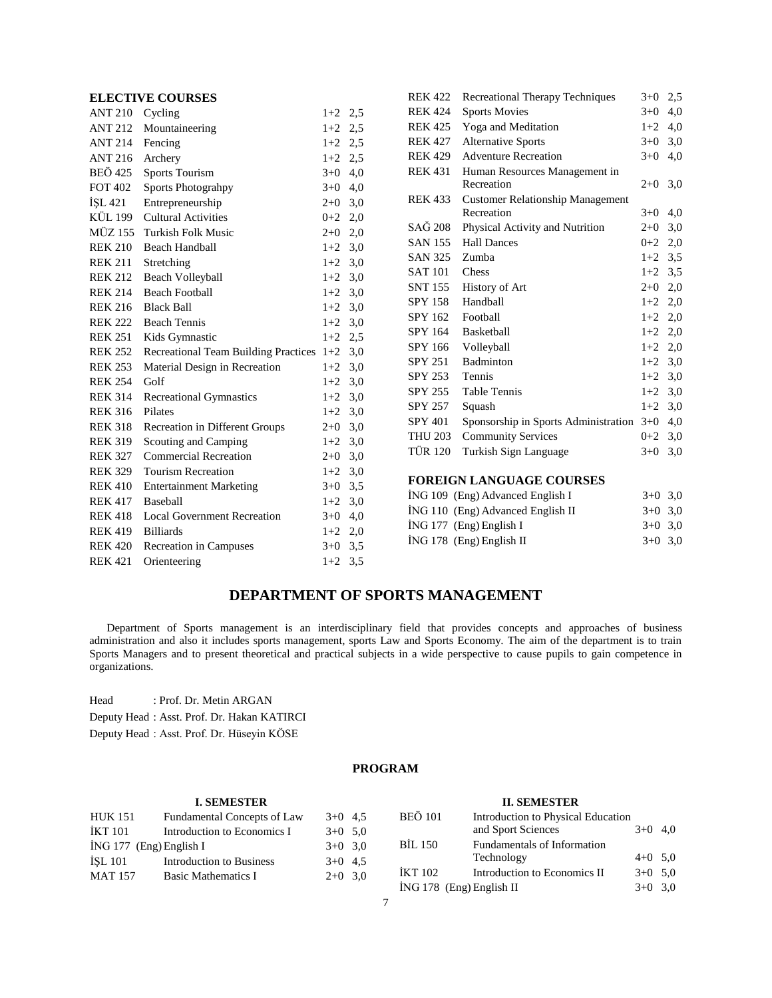# **ELECTIVE COURSES**

| <b>ANT 210</b> | Cycling                                     | $1+2$     | 2,5 |
|----------------|---------------------------------------------|-----------|-----|
| <b>ANT 212</b> | Mountaineering                              | $1+2$     | 2,5 |
| ANT 214        | Fencing                                     | $1+2$ 2,5 |     |
| <b>ANT 216</b> | Archery                                     | $1+2$     | 2,5 |
| BEÖ 425        | <b>Sports Tourism</b>                       | $3+0$     | 4,0 |
| <b>FOT 402</b> | Sports Photograhpy                          | $3+0$     | 4,0 |
| ISL 421        | Entrepreneurship                            | $2+0$     | 3,0 |
| KÜL 199        | <b>Cultural Activities</b>                  | $0 + 2$   | 2,0 |
| MÜZ 155        | Turkish Folk Music                          | $2 + 0$   | 2,0 |
| <b>REK 210</b> | <b>Beach Handball</b>                       | $1+2$     | 3,0 |
| <b>REK 211</b> | Stretching                                  | $1+2$     | 3,0 |
| <b>REK 212</b> | Beach Volleyball                            | $1+2$     | 3,0 |
| <b>REK 214</b> | <b>Beach Football</b>                       | $1+2$     | 3,0 |
| <b>REK 216</b> | <b>Black Ball</b>                           | $1+2$     | 3,0 |
| <b>REK 222</b> | <b>Beach Tennis</b>                         | $1+2$     | 3,0 |
| <b>REK 251</b> | Kids Gymnastic                              | $1+2$     | 2,5 |
| <b>REK 252</b> | <b>Recreational Team Building Practices</b> | $1+2$     | 3,0 |
| <b>REK 253</b> | Material Design in Recreation               | $1+2$     | 3,0 |
| <b>REK 254</b> | Golf                                        | $1+2$     | 3,0 |
| <b>REK 314</b> | <b>Recreational Gymnastics</b>              | $1+2$     | 3,0 |
| <b>REK 316</b> | Pilates                                     | $1+2$     | 3,0 |
| <b>REK 318</b> | Recreation in Different Groups              | $2 + 0$   | 3,0 |
| <b>REK 319</b> | Scouting and Camping                        | $1+2$     | 3,0 |
| <b>REK 327</b> | <b>Commercial Recreation</b>                | $2+0$     | 3,0 |
| <b>REK 329</b> | <b>Tourism Recreation</b>                   | $1+2$     | 3,0 |
| <b>REK 410</b> | <b>Entertainment Marketing</b>              | $3+0$     | 3,5 |
| REK 417        | Baseball                                    | $1+2$     | 3,0 |
| <b>REK 418</b> | <b>Local Government Recreation</b>          | $3+0$     | 4,0 |
| REK 419        | <b>Billiards</b>                            | $1+2$ 2,0 |     |
| <b>REK 420</b> | Recreation in Campuses                      | $3+0$     | 3,5 |
| <b>REK 421</b> | Orienteering                                | $1+2$     | 3,5 |
|                |                                             |           |     |

| <b>REK 422</b> | Recreational Therapy Techniques         | $3+0$     | 2,5 |
|----------------|-----------------------------------------|-----------|-----|
| <b>REK 424</b> | <b>Sports Movies</b>                    | $3+0$     | 4,0 |
| <b>REK 425</b> | Yoga and Meditation                     | $1+2$     | 4,0 |
| <b>REK 427</b> | <b>Alternative Sports</b>               | $3+0$     | 3,0 |
| <b>REK 429</b> | <b>Adventure Recreation</b>             | $3+0$     | 4,0 |
| <b>REK 431</b> | Human Resources Management in           |           |     |
|                | Recreation                              | $2+0$     | 3,0 |
| <b>REK 433</b> | <b>Customer Relationship Management</b> |           |     |
|                | Recreation                              | $3+0$     | 4,0 |
| <b>SAĞ</b> 208 | Physical Activity and Nutrition         | $2+0$     | 3,0 |
| <b>SAN 155</b> | <b>Hall Dances</b>                      | $0 + 2$   | 2,0 |
| <b>SAN 325</b> | Zumba                                   | $1+2$ 3,5 |     |
| <b>SAT 101</b> | Chess                                   | $1+2$     | 3.5 |
| SNT 155        | History of Art                          | $2+0$ 2,0 |     |
| <b>SPY 158</b> | Handball                                | $1+2$     | 2,0 |
| SPY 162        | Football                                | $1+2$ 2,0 |     |
| SPY 164        | <b>Basketball</b>                       | $1+2$     | 2,0 |
| SPY 166        | Volleyball                              | $1+2$ 2,0 |     |
| SPY 251        | <b>Badminton</b>                        | $1+2$     | 3,0 |
| SPY 253        | Tennis                                  | $1+2$     | 3,0 |
| SPY 255        | <b>Table Tennis</b>                     | $1+2$     | 3,0 |
| <b>SPY 257</b> | Squash                                  | $1+2$     | 3,0 |
| <b>SPY 401</b> | Sponsorship in Sports Administration    | $3+0$     | 4,0 |
| <b>THU 203</b> | <b>Community Services</b>               | $0+2$     | 3,0 |
| <b>TÜR 120</b> | Turkish Sign Language                   | $3+0$     | 3,0 |
|                |                                         |           |     |

# **FOREIGN LANGUAGE COURSES**

| ING 109 (Eng) Advanced English I  | $3+0$ 3.0 |  |
|-----------------------------------|-----------|--|
| ING 110 (Eng) Advanced English II | $3+0$ 3.0 |  |
| $ING 177$ (Eng) English I         | $3+0$ 3.0 |  |
| $ING 178$ (Eng) English II        | $3+0$ 3.0 |  |
|                                   |           |  |

# **DEPARTMENT OF SPORTS MANAGEMENT**

 Department of Sports management is an interdisciplinary field that provides concepts and approaches of business administration and also it includes sports management, sports Law and Sports Economy. The aim of the department is to train Sports Managers and to present theoretical and practical subjects in a wide perspective to cause pupils to gain competence in organizations.

Head : Prof. Dr. Metin ARGAN Deputy Head : Asst. Prof. Dr. Hakan KATIRCI Deputy Head : Asst. Prof. Dr. Hüseyin KÖSE

# **PROGRAM**

#### **I. SEMESTER** HUK 151 Fundamental Concepts of Law 3+0 4,5  $IKT 101$  Introduction to Economics I  $3+0$  5,0 İNG 177 (Eng) English I 3+0 3,0 İŞL 101 Introduction to Business 3+0 4,5 MAT 157 Basic Mathematics I  $2+0$  3.0 **II. SEMESTER** BEÖ 101 Introduction to Physical Education<br>and Sport Sciences 3+0 4,0 and Sport Sciences BİL 150 Fundamentals of Information Technology  $4+0$  5,0  $IKT 102$  Introduction to Economics II  $3+0.5,0$ İNG 178 (Eng) English II 3+0 3,0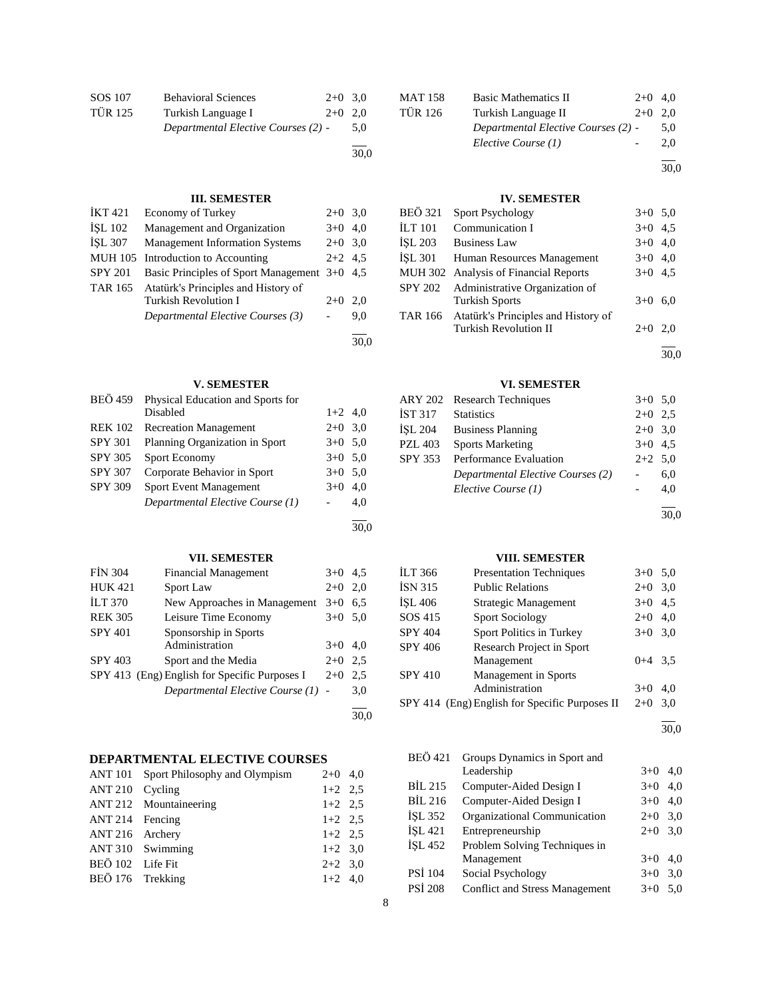| SOS 107        | <b>Behavioral Sciences</b>          | $2+0$ 3.0 |     |
|----------------|-------------------------------------|-----------|-----|
| <b>TÜR 125</b> | Turkish Language I                  | $2+0$ 2.0 |     |
|                | Departmental Elective Courses (2) - |           | 5.0 |
|                |                                     |           |     |

30,0

30,0

30,0

30,0

# **III. SEMESTER**

| <b>IKT421</b>  | <b>Economy of Turkey</b>                     | $2+0$ 3.0 |     |
|----------------|----------------------------------------------|-----------|-----|
| <b>ISL 102</b> | Management and Organization                  | $3+0$     | 4,0 |
| <b>İSL 307</b> | <b>Management Information Systems</b>        | $2+0$ 3.0 |     |
|                | MUH 105 Introduction to Accounting           | $2+2$ 4.5 |     |
| <b>SPY 201</b> | Basic Principles of Sport Management 3+0 4,5 |           |     |
| TAR 165        | Atatürk's Principles and History of          |           |     |
|                | <b>Turkish Revolution I</b>                  | $2+0$     | 2.0 |
|                | Departmental Elective Courses (3)            |           | 9.0 |
|                |                                              |           |     |

# **V. SEMESTER**

| <b>BEÖ</b> 459 | Physical Education and Sports for |           |     |
|----------------|-----------------------------------|-----------|-----|
|                | Disabled                          | $1+2$ 4,0 |     |
| <b>REK 102</b> | <b>Recreation Management</b>      | $2+0$ 3.0 |     |
| <b>SPY 301</b> | Planning Organization in Sport    | $3+0$ 5.0 |     |
| <b>SPY 305</b> | Sport Economy                     | $3+0$ 5.0 |     |
| <b>SPY 307</b> | Corporate Behavior in Sport       | $3+0$ 5.0 |     |
| <b>SPY 309</b> | <b>Sport Event Management</b>     | $3+0$     | 4.0 |
|                | Departmental Elective Course (1)  |           | 4,0 |
|                |                                   |           |     |

# **VII. SEMESTER**

| <b>FIN 304</b> | <b>Financial Management</b>                   | $3+0$ | 4.5 |
|----------------|-----------------------------------------------|-------|-----|
| <b>HUK 421</b> | Sport Law                                     | $2+0$ | 2,0 |
| <b>ILT 370</b> | New Approaches in Management                  | $3+0$ | 6.5 |
| <b>REK 305</b> | Leisure Time Economy                          | $3+0$ | 5,0 |
| <b>SPY 401</b> | Sponsorship in Sports                         |       |     |
|                | Administration                                | $3+0$ | 4,0 |
| <b>SPY 403</b> | Sport and the Media                           | $2+0$ | 2.5 |
|                | SPY 413 (Eng) English for Specific Purposes I | $2+0$ | 2,5 |
|                | Departmental Elective Course (1) -            |       | 3,0 |
|                |                                               |       |     |

# **DEPARTMENTAL ELECTIVE COURSES**

|                  | ANT 101 Sport Philosophy and Olympism | $2+0$ 4,0 |
|------------------|---------------------------------------|-----------|
| ANT 210 Cycling  |                                       | $1+2$ 2.5 |
|                  | ANT 212 Mountaineering                | $1+2$ 2.5 |
| ANT 214 Fencing  |                                       | $1+2$ 2.5 |
| ANT 216 Archery  |                                       | $1+2$ 2.5 |
|                  | ANT 310 Swimming                      | $1+2$ 3,0 |
| BEÖ 102 Life Fit |                                       | $2+2$ 3.0 |
| BEÖ 176 Trekking |                                       | $1+2$ 4,0 |

| MAT 158 | <b>Basic Mathematics II</b>         | $2+0$ 4.0 |     |
|---------|-------------------------------------|-----------|-----|
| TÜR 126 | Turkish Language II                 | $2+0$ 2.0 |     |
|         | Departmental Elective Courses (2) - |           | 5.0 |
|         | Elective Course (1)                 |           | 2.0 |
|         |                                     |           |     |

# **IV. SEMESTER**

| BEÖ 321 | <b>Sport Psychology</b>               | $3+0$ 5.0 |     |
|---------|---------------------------------------|-----------|-----|
| İLT 101 | Communication I                       | $3+0$ 4.5 |     |
| İSL 203 | <b>Business Law</b>                   | $3+0$ 4,0 |     |
| İSL 301 | Human Resources Management            | $3+0$ 4,0 |     |
|         | MUH 302 Analysis of Financial Reports | $3+0$ 4.5 |     |
| SPY 202 | Administrative Organization of        |           |     |
|         | <b>Turkish Sports</b>                 | $3+0$     | 6.0 |
| TAR 166 | Atatürk's Principles and History of   |           |     |
|         | <b>Turkish Revolution II</b>          | $2+0$     | 2,0 |
|         |                                       |           |     |

30,0

30,0

# **VI. SEMESTER**

|         | ARY 202 Research Techniques       | $3+0$ 5,0 |     |
|---------|-----------------------------------|-----------|-----|
| İST 317 | <b>Statistics</b>                 | $2+0$ 2.5 |     |
| İSL 204 | <b>Business Planning</b>          | $2+0$ 3,0 |     |
| PZL 403 | <b>Sports Marketing</b>           | $3+0$ 4.5 |     |
| SPY 353 | Performance Evaluation            | $2+2$ 5,0 |     |
|         | Departmental Elective Courses (2) |           | 6,0 |
|         | Elective Course (1)               |           | 4,0 |
|         |                                   |           |     |

30,0

# **VIII. SEMESTER**

| İLT 366        | <b>Presentation Techniques</b>                 | $3+0$ 5.0 |     |
|----------------|------------------------------------------------|-----------|-----|
| İSN 315        | <b>Public Relations</b>                        | $2+0$     | 3,0 |
| İŞL 406        | Strategic Management                           | $3+0$     | 4,5 |
| SOS 415        | <b>Sport Sociology</b>                         | $2+0$     | 4,0 |
| <b>SPY 404</b> | Sport Politics in Turkey                       | $3+0$     | 3,0 |
| SPY 406        | <b>Research Project in Sport</b>               |           |     |
|                | Management                                     | $0+4$ 3.5 |     |
| <b>SPY 410</b> | Management in Sports                           |           |     |
|                | Administration                                 | $3+0$     | 4.0 |
|                | SPY 414 (Eng) English for Specific Purposes II | $2+0$     | 3,0 |
|                |                                                |           |     |

l 30,0

| <b>BEÖ 421</b> | Groups Dynamics in Sport and          |       |     |
|----------------|---------------------------------------|-------|-----|
|                | Leadership                            | $3+0$ | 4.0 |
| <b>BİL 215</b> | Computer-Aided Design I               | $3+0$ | 4.0 |
| <b>BIL 216</b> | Computer-Aided Design I               | $3+0$ | 4.0 |
| <b>ISL 352</b> | Organizational Communication          | $2+0$ | 3.0 |
| İSL 421        | Entrepreneurship                      | $2+0$ | 3,0 |
| <b>İSL 452</b> | Problem Solving Techniques in         |       |     |
|                | Management                            | $3+0$ | 4.0 |
| PSİ 104        | Social Psychology                     | $3+0$ | 3,0 |
| <b>PSI 208</b> | <b>Conflict and Stress Management</b> | $3+0$ | 5.0 |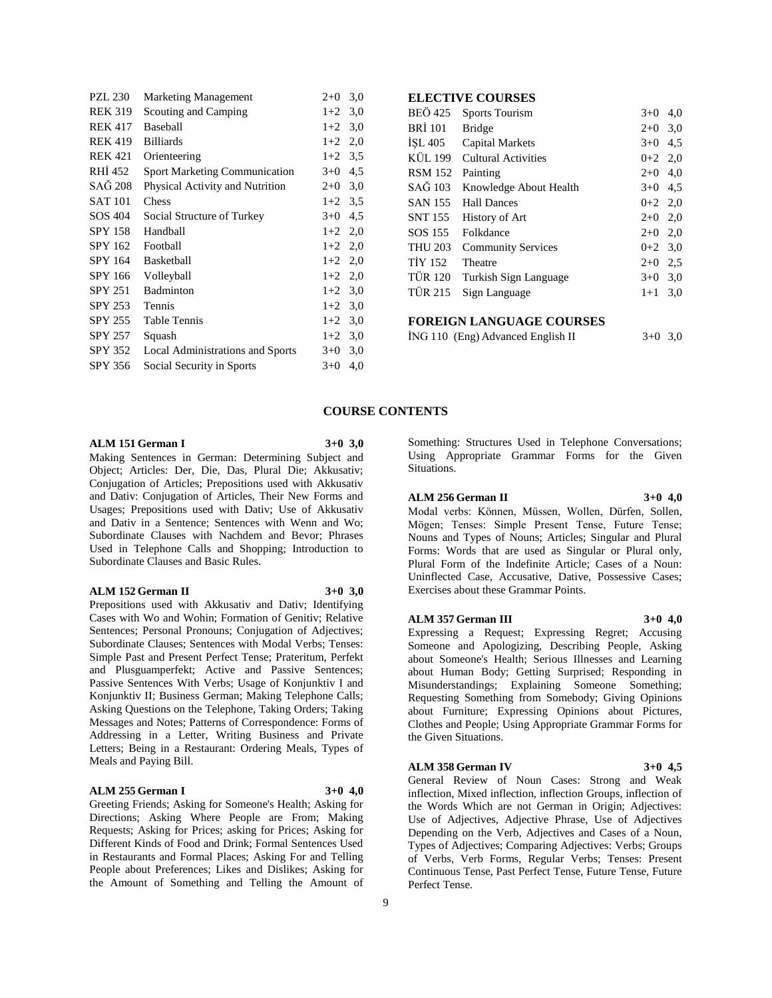| <b>PZL 230</b> | <b>Marketing Management</b>          | $2+0$     | 3,0 |
|----------------|--------------------------------------|-----------|-----|
| <b>REK 319</b> | Scouting and Camping                 | $1+2$     | 3,0 |
| <b>REK 417</b> | <b>Baseball</b>                      | $1+2$     | 3,0 |
| <b>REK 419</b> | <b>Billiards</b>                     | $1+2$     | 2,0 |
| <b>REK 421</b> | Orienteering                         | $1+2$     | 3.5 |
| RHI 452        | <b>Sport Marketing Communication</b> | $3+0$     | 4,5 |
| SAĞ 208        | Physical Activity and Nutrition      | $2+0$     | 3,0 |
| <b>SAT 101</b> | Chess                                | $1+2$     | 3,5 |
| SOS 404        | Social Structure of Turkey           | $3+0$     | 4,5 |
| <b>SPY 158</b> | Handball                             | $1+2$     | 2,0 |
| <b>SPY 162</b> | Football                             | $1+2$ 2,0 |     |
| SPY 164        | <b>Basketball</b>                    | $1+2$ 2,0 |     |
| SPY 166        | Volleyball                           | $1+2$     | 2,0 |
| <b>SPY 251</b> | <b>Badminton</b>                     | $1+2$     | 3,0 |
| SPY 253        | Tennis                               | $1+2$     | 3,0 |
| <b>SPY 255</b> | <b>Table Tennis</b>                  | $1+2$     | 3,0 |
| SPY 257        | Squash                               | $1+2$     | 3,0 |
| SPY 352        | Local Administrations and Sports     | $3+0$     | 3,0 |
| SPY 356        | Social Security in Sports            | $3+0$     | 4,0 |
|                |                                      |           |     |

# **ELECTIVE COURSES**

| <b>BEÖ</b> 425 | <b>Sports Tourism</b>      | $3+0$     | 4,0 |
|----------------|----------------------------|-----------|-----|
| <b>BRI</b> 101 | <b>Bridge</b>              | $2+0$     | 3,0 |
| ISL 405        | <b>Capital Markets</b>     | $3+0$     | 4,5 |
| KÜL 199        | <b>Cultural Activities</b> | $0+2$ 2,0 |     |
| <b>RSM 152</b> | Painting                   | $2+0$ 4,0 |     |
| SAĞ 103        | Knowledge About Health     | $3+0$ 4.5 |     |
| SAN 155        | <b>Hall Dances</b>         | $0+2$ 2,0 |     |
| SNT 155        | History of Art             | $2+0$ 2,0 |     |
| SOS 155        | Folkdance                  | $2+0$ 2,0 |     |
| <b>THU 203</b> | <b>Community Services</b>  | $0+2$ 3,0 |     |
| <b>TİY 152</b> | Theatre                    | $2+0$ 2.5 |     |
| <b>TÜR 120</b> | Turkish Sign Language      | $3+0$ 3,0 |     |
| TÜR 215        | Sign Language              | $1+1$     | 3,0 |
|                |                            |           |     |

# **FOREIGN LANGUAGE COURSES**

|  | ING 110 (Eng) Advanced English II | $3+0$ 3,0 |  |
|--|-----------------------------------|-----------|--|
|--|-----------------------------------|-----------|--|

#### **COURSE CONTENTS**

### **ALM 151 German I 3+0 3,0**

Making Sentences in German: Determining Subject and Object; Articles: Der, Die, Das, Plural Die; Akkusativ; Conjugation of Articles; Prepositions used with Akkusativ and Dativ: Conjugation of Articles, Their New Forms and Usages; Prepositions used with Dativ; Use of Akkusativ and Dativ in a Sentence; Sentences with Wenn and Wo; Subordinate Clauses with Nachdem and Bevor; Phrases Used in Telephone Calls and Shopping; Introduction to Subordinate Clauses and Basic Rules.

#### **ALM 152 German II 3+0 3,0**

Prepositions used with Akkusativ and Dativ; Identifying Cases with Wo and Wohin; Formation of Genitiv; Relative Sentences; Personal Pronouns; Conjugation of Adjectives; Subordinate Clauses; Sentences with Modal Verbs; Tenses: Simple Past and Present Perfect Tense; Prateritum, Perfekt and Plusguamperfekt; Active and Passive Sentences; Passive Sentences With Verbs; Usage of Konjunktiv I and Konjunktiv II; Business German; Making Telephone Calls; Asking Questions on the Telephone, Taking Orders; Taking Messages and Notes; Patterns of Correspondence: Forms of Addressing in a Letter, Writing Business and Private Letters; Being in a Restaurant: Ordering Meals, Types of Meals and Paying Bill.

#### **ALM 255 German I 3+0 4,0**

Greeting Friends; Asking for Someone's Health; Asking for Directions; Asking Where People are From; Making Requests; Asking for Prices; asking for Prices; Asking for Different Kinds of Food and Drink; Formal Sentences Used in Restaurants and Formal Places; Asking For and Telling People about Preferences; Likes and Dislikes; Asking for the Amount of Something and Telling the Amount of

Something: Structures Used in Telephone Conversations; Using Appropriate Grammar Forms for the Given Situations.

# **ALM 256 German II 3+0 4,0**

Modal verbs: Können, Müssen, Wollen, Dürfen, Sollen, Mögen; Tenses: Simple Present Tense, Future Tense; Nouns and Types of Nouns; Articles; Singular and Plural Forms: Words that are used as Singular or Plural only, Plural Form of the Indefinite Article; Cases of a Noun: Uninflected Case, Accusative, Dative, Possessive Cases; Exercises about these Grammar Points.

#### **ALM 357 German III 3+0 4,0**

Expressing a Request; Expressing Regret; Accusing Someone and Apologizing, Describing People, Asking about Someone's Health; Serious Illnesses and Learning about Human Body; Getting Surprised; Responding in Misunderstandings; Explaining Someone Something; Requesting Something from Somebody; Giving Opinions about Furniture; Expressing Opinions about Pictures, Clothes and People; Using Appropriate Grammar Forms for the Given Situations.

#### **ALM 358 German IV 3+0 4,5**

General Review of Noun Cases: Strong and Weak inflection, Mixed inflection, inflection Groups, inflection of the Words Which are not German in Origin; Adjectives: Use of Adjectives, Adjective Phrase, Use of Adjectives Depending on the Verb, Adjectives and Cases of a Noun, Types of Adjectives; Comparing Adjectives: Verbs; Groups of Verbs, Verb Forms, Regular Verbs; Tenses: Present Continuous Tense, Past Perfect Tense, Future Tense, Future Perfect Tense.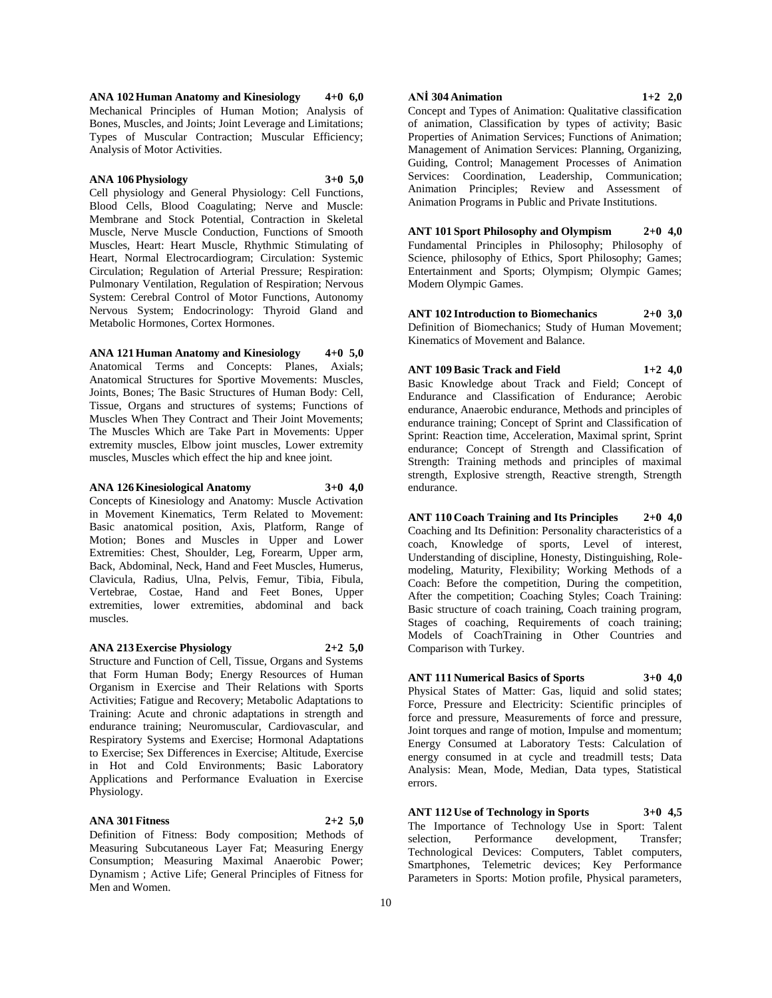**ANA 102 Human Anatomy and Kinesiology 4+0 6,0** Mechanical Principles of Human Motion; Analysis of Bones, Muscles, and Joints; Joint Leverage and Limitations; Types of Muscular Contraction; Muscular Efficiency; Analysis of Motor Activities.

#### **ANA 106 Physiology 3+0 5,0**

Cell physiology and General Physiology: Cell Functions, Blood Cells, Blood Coagulating; Nerve and Muscle: Membrane and Stock Potential, Contraction in Skeletal Muscle, Nerve Muscle Conduction, Functions of Smooth Muscles, Heart: Heart Muscle, Rhythmic Stimulating of Heart, Normal Electrocardiogram; Circulation: Systemic Circulation; Regulation of Arterial Pressure; Respiration: Pulmonary Ventilation, Regulation of Respiration; Nervous System: Cerebral Control of Motor Functions, Autonomy Nervous System; Endocrinology: Thyroid Gland and Metabolic Hormones, Cortex Hormones.

**ANA 121 Human Anatomy and Kinesiology 4+0 5,0** Anatomical Terms and Concepts: Planes, Axials; Anatomical Structures for Sportive Movements: Muscles, Joints, Bones; The Basic Structures of Human Body: Cell, Tissue, Organs and structures of systems; Functions of Muscles When They Contract and Their Joint Movements; The Muscles Which are Take Part in Movements: Upper extremity muscles, Elbow joint muscles, Lower extremity muscles, Muscles which effect the hip and knee joint.

#### **ANA 126 Kinesiological Anatomy 3+0 4,0**

Concepts of Kinesiology and Anatomy: Muscle Activation in Movement Kinematics, Term Related to Movement: Basic anatomical position, Axis, Platform, Range of Motion; Bones and Muscles in Upper and Lower Extremities: Chest, Shoulder, Leg, Forearm, Upper arm, Back, Abdominal, Neck, Hand and Feet Muscles, Humerus, Clavicula, Radius, Ulna, Pelvis, Femur, Tibia, Fibula, Vertebrae, Costae, Hand and Feet Bones, Upper extremities, lower extremities, abdominal and back muscles.

#### **ANA 213 Exercise Physiology 2+2 5,0**

Structure and Function of Cell, Tissue, Organs and Systems that Form Human Body; Energy Resources of Human Organism in Exercise and Their Relations with Sports Activities; Fatigue and Recovery; Metabolic Adaptations to Training: Acute and chronic adaptations in strength and endurance training; Neuromuscular, Cardiovascular, and Respiratory Systems and Exercise; Hormonal Adaptations to Exercise; Sex Differences in Exercise; Altitude, Exercise in Hot and Cold Environments; Basic Laboratory Applications and Performance Evaluation in Exercise Physiology.

#### **ANA 301 Fitness 2+2 5,0**

Definition of Fitness: Body composition; Methods of Measuring Subcutaneous Layer Fat; Measuring Energy Consumption; Measuring Maximal Anaerobic Power; Dynamism ; Active Life; General Principles of Fitness for Men and Women.

#### **ANİ 304 Animation 1+2 2,0**

Concept and Types of Animation: Qualitative classification of animation, Classification by types of activity; Basic Properties of Animation Services; Functions of Animation; Management of Animation Services: Planning, Organizing, Guiding, Control; Management Processes of Animation Services: Coordination, Leadership, Communication; Animation Principles; Review and Assessment of Animation Programs in Public and Private Institutions.

**ANT 101 Sport Philosophy and Olympism 2+0 4,0** Fundamental Principles in Philosophy; Philosophy of Science, philosophy of Ethics, Sport Philosophy; Games; Entertainment and Sports; Olympism; Olympic Games; Modern Olympic Games.

**ANT 102 Introduction to Biomechanics 2+0 3,0** Definition of Biomechanics; Study of Human Movement; Kinematics of Movement and Balance.

**ANT 109 Basic Track and Field 1+2 4,0** Basic Knowledge about Track and Field; Concept of Endurance and Classification of Endurance; Aerobic endurance, Anaerobic endurance, Methods and principles of endurance training; Concept of Sprint and Classification of Sprint: Reaction time, Acceleration, Maximal sprint, Sprint endurance; Concept of Strength and Classification of Strength: Training methods and principles of maximal strength, Explosive strength, Reactive strength, Strength endurance.

**ANT 110 Coach Training and Its Principles 2+0 4,0** Coaching and Its Definition: Personality characteristics of a coach, Knowledge of sports, Level of interest, Understanding of discipline, Honesty, Distinguishing, Rolemodeling, Maturity, Flexibility; Working Methods of a Coach: Before the competition, During the competition, After the competition; Coaching Styles; Coach Training: Basic structure of coach training, Coach training program, Stages of coaching, Requirements of coach training; Models of CoachTraining in Other Countries and Comparison with Turkey.

**ANT 111 Numerical Basics of Sports 3+0 4,0** Physical States of Matter: Gas, liquid and solid states;

Force, Pressure and Electricity: Scientific principles of force and pressure, Measurements of force and pressure, Joint torques and range of motion, Impulse and momentum; Energy Consumed at Laboratory Tests: Calculation of energy consumed in at cycle and treadmill tests; Data Analysis: Mean, Mode, Median, Data types, Statistical errors.

**ANT 112 Use of Technology in Sports 3+0 4,5** The Importance of Technology Use in Sport: Talent selection. Performance development. Transfer: selection, Performance development, Transfer; Technological Devices: Computers, Tablet computers, Smartphones, Telemetric devices; Key Performance Parameters in Sports: Motion profile, Physical parameters,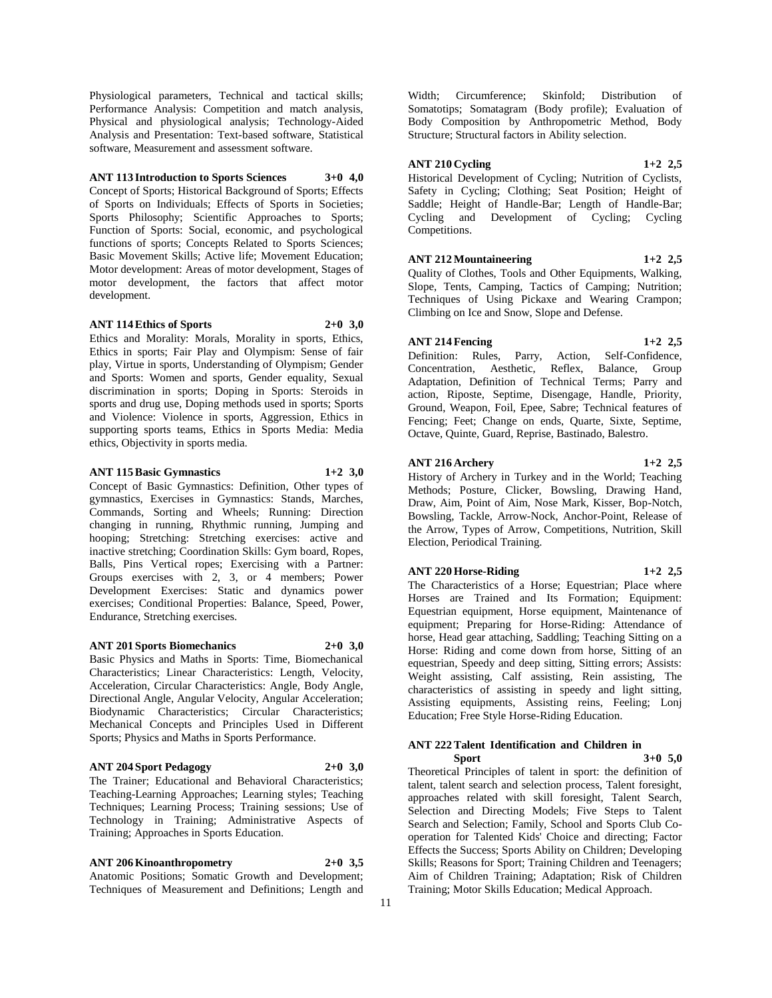Physiological parameters, Technical and tactical skills; Performance Analysis: Competition and match analysis, Physical and physiological analysis; Technology-Aided Analysis and Presentation: Text-based software, Statistical software, Measurement and assessment software.

#### **ANT 113 Introduction to Sports Sciences 3+0 4,0**

Concept of Sports; Historical Background of Sports; Effects of Sports on Individuals; Effects of Sports in Societies; Sports Philosophy; Scientific Approaches to Sports; Function of Sports: Social, economic, and psychological functions of sports; Concepts Related to Sports Sciences; Basic Movement Skills; Active life; Movement Education; Motor development: Areas of motor development, Stages of motor development, the factors that affect motor development.

#### **ANT 114 Ethics of Sports 2+0 3,0**

Ethics and Morality: Morals, Morality in sports, Ethics, Ethics in sports; Fair Play and Olympism: Sense of fair play, Virtue in sports, Understanding of Olympism; Gender and Sports: Women and sports, Gender equality, Sexual discrimination in sports; Doping in Sports: Steroids in sports and drug use, Doping methods used in sports; Sports and Violence: Violence in sports, Aggression, Ethics in supporting sports teams, Ethics in Sports Media: Media ethics, Objectivity in sports media.

#### **ANT 115 Basic Gymnastics 1+2 3,0**

Concept of Basic Gymnastics: Definition, Other types of gymnastics, Exercises in Gymnastics: Stands, Marches, Commands, Sorting and Wheels; Running: Direction changing in running, Rhythmic running, Jumping and hooping; Stretching: Stretching exercises: active and inactive stretching; Coordination Skills: Gym board, Ropes, Balls, Pins Vertical ropes; Exercising with a Partner: Groups exercises with 2, 3, or 4 members; Power Development Exercises: Static and dynamics power exercises; Conditional Properties: Balance, Speed, Power, Endurance, Stretching exercises.

#### **ANT 201 Sports Biomechanics 2+0 3,0**

Basic Physics and Maths in Sports: Time, Biomechanical Characteristics; Linear Characteristics: Length, Velocity, Acceleration, Circular Characteristics: Angle, Body Angle, Directional Angle, Angular Velocity, Angular Acceleration; Biodynamic Characteristics; Circular Characteristics; Mechanical Concepts and Principles Used in Different Sports; Physics and Maths in Sports Performance.

#### **ANT 204 Sport Pedagogy 2+0 3,0**

The Trainer; Educational and Behavioral Characteristics; Teaching-Learning Approaches; Learning styles; Teaching Techniques; Learning Process; Training sessions; Use of Technology in Training; Administrative Aspects of Training; Approaches in Sports Education.

# **ANT 206 Kinoanthropometry 2+0 3,5**

Anatomic Positions; Somatic Growth and Development; Techniques of Measurement and Definitions; Length and

Width; Circumference; Skinfold; Distribution of Somatotips; Somatagram (Body profile); Evaluation of Body Composition by Anthropometric Method, Body Structure; Structural factors in Ability selection.

#### **ANT 210 Cycling 1+2 2,5**

Historical Development of Cycling; Nutrition of Cyclists, Safety in Cycling; Clothing; Seat Position; Height of Saddle; Height of Handle-Bar; Length of Handle-Bar; Cycling and Development of Cycling; Cycling Competitions.

#### **ANT 212 Mountaineering 1+2 2,5**

Quality of Clothes, Tools and Other Equipments, Walking, Slope, Tents, Camping, Tactics of Camping; Nutrition; Techniques of Using Pickaxe and Wearing Crampon; Climbing on Ice and Snow, Slope and Defense.

#### **ANT 214 Fencing 1+2 2,5**

Definition: Rules, Parry, Action, Self-Confidence, Concentration, Aesthetic, Reflex, Balance, Group Adaptation, Definition of Technical Terms; Parry and action, Riposte, Septime, Disengage, Handle, Priority, Ground, Weapon, Foil, Epee, Sabre; Technical features of Fencing; Feet; Change on ends, Quarte, Sixte, Septime, Octave, Quinte, Guard, Reprise, Bastinado, Balestro.

# **ANT 216 Archery 1+2 2,5**

History of Archery in Turkey and in the World; Teaching Methods; Posture, Clicker, Bowsling, Drawing Hand, Draw, Aim, Point of Aim, Nose Mark, Kisser, Bop-Notch, Bowsling, Tackle, Arrow-Nock, Anchor-Point, Release of the Arrow, Types of Arrow, Competitions, Nutrition, Skill Election, Periodical Training.

#### **ANT 220 Horse-Riding 1+2 2,5**

The Characteristics of a Horse; Equestrian; Place where Horses are Trained and Its Formation; Equipment: Equestrian equipment, Horse equipment, Maintenance of equipment; Preparing for Horse-Riding: Attendance of horse, Head gear attaching, Saddling; Teaching Sitting on a Horse: Riding and come down from horse, Sitting of an equestrian, Speedy and deep sitting, Sitting errors; Assists: Weight assisting, Calf assisting, Rein assisting, The characteristics of assisting in speedy and light sitting, Assisting equipments, Assisting reins, Feeling; Lonj Education; Free Style Horse-Riding Education.

#### **ANT 222 Talent Identification and Children in Sport 3+0 5,0**

Theoretical Principles of talent in sport: the definition of talent, talent search and selection process, Talent foresight, approaches related with skill foresight, Talent Search, Selection and Directing Models; Five Steps to Talent Search and Selection; Family, School and Sports Club Cooperation for Talented Kids' Choice and directing; Factor Effects the Success; Sports Ability on Children; Developing Skills; Reasons for Sport; Training Children and Teenagers; Aim of Children Training; Adaptation; Risk of Children Training; Motor Skills Education; Medical Approach.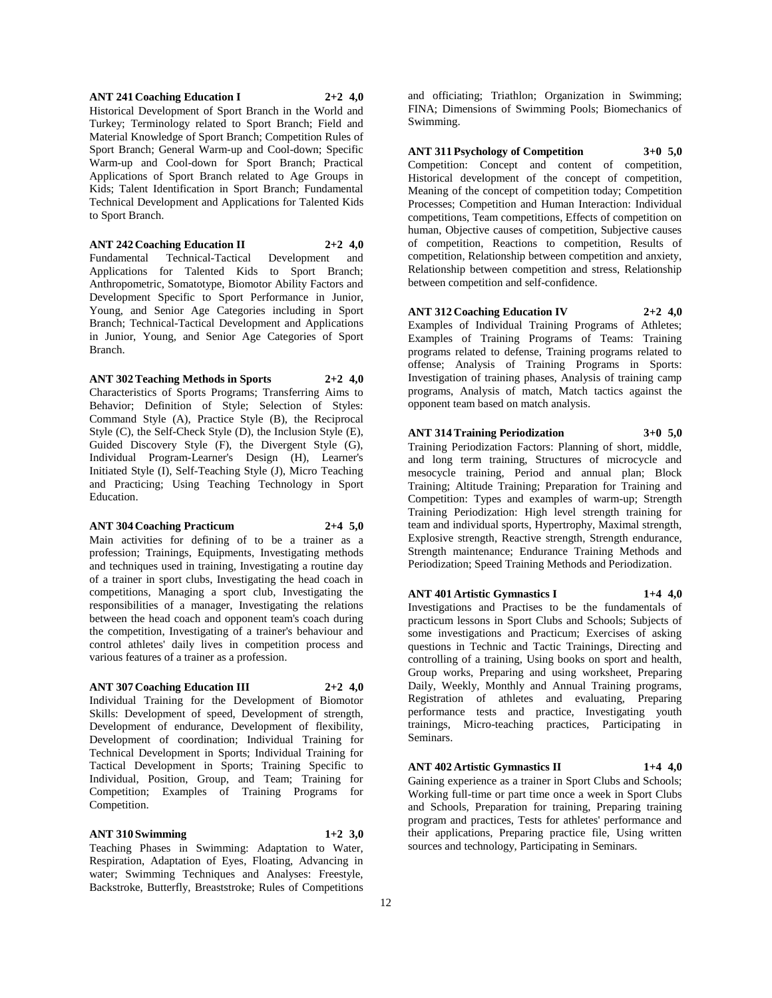#### **ANT 241 Coaching Education I 2+2 4,0**

Historical Development of Sport Branch in the World and Turkey; Terminology related to Sport Branch; Field and Material Knowledge of Sport Branch; Competition Rules of Sport Branch; General Warm-up and Cool-down; Specific Warm-up and Cool-down for Sport Branch; Practical Applications of Sport Branch related to Age Groups in Kids; Talent Identification in Sport Branch; Fundamental Technical Development and Applications for Talented Kids to Sport Branch.

**ANT 242 Coaching Education II 2+2 4,0** Fundamental Technical-Tactical Development and Applications for Talented Kids to Sport Branch; Anthropometric, Somatotype, Biomotor Ability Factors and Development Specific to Sport Performance in Junior, Young, and Senior Age Categories including in Sport Branch; Technical-Tactical Development and Applications in Junior, Young, and Senior Age Categories of Sport Branch.

**ANT 302 Teaching Methods in Sports 2+2 4,0**

Characteristics of Sports Programs; Transferring Aims to Behavior; Definition of Style; Selection of Styles: Command Style (A), Practice Style (B), the Reciprocal Style (C), the Self-Check Style (D), the Inclusion Style (E), Guided Discovery Style (F), the Divergent Style (G), Individual Program-Learner's Design (H), Learner's Initiated Style (I), Self-Teaching Style (J), Micro Teaching and Practicing; Using Teaching Technology in Sport Education.

#### **ANT 304 Coaching Practicum 2+4 5,0**

Main activities for defining of to be a trainer as a profession; Trainings, Equipments, Investigating methods and techniques used in training, Investigating a routine day of a trainer in sport clubs, Investigating the head coach in competitions, Managing a sport club, Investigating the responsibilities of a manager, Investigating the relations between the head coach and opponent team's coach during the competition, Investigating of a trainer's behaviour and control athletes' daily lives in competition process and various features of a trainer as a profession.

#### **ANT 307 Coaching Education III 2+2 4,0**

Individual Training for the Development of Biomotor Skills: Development of speed, Development of strength, Development of endurance, Development of flexibility, Development of coordination; Individual Training for Technical Development in Sports; Individual Training for Tactical Development in Sports; Training Specific to Individual, Position, Group, and Team; Training for Competition; Examples of Training Programs for Competition.

#### **ANT 310 Swimming 1+2 3,0**

Teaching Phases in Swimming: Adaptation to Water, Respiration, Adaptation of Eyes, Floating, Advancing in water; Swimming Techniques and Analyses: Freestyle, Backstroke, Butterfly, Breaststroke; Rules of Competitions

and officiating; Triathlon; Organization in Swimming; FINA; Dimensions of Swimming Pools; Biomechanics of Swimming.

**ANT 311 Psychology of Competition 3+0 5,0** Competition: Concept and content of competition, Historical development of the concept of competition, Meaning of the concept of competition today; Competition Processes; Competition and Human Interaction: Individual competitions, Team competitions, Effects of competition on human, Objective causes of competition, Subjective causes of competition, Reactions to competition, Results of competition, Relationship between competition and anxiety, Relationship between competition and stress, Relationship between competition and self-confidence.

**ANT 312 Coaching Education IV 2+2 4,0** Examples of Individual Training Programs of Athletes; Examples of Training Programs of Teams: Training programs related to defense, Training programs related to offense; Analysis of Training Programs in Sports: Investigation of training phases, Analysis of training camp programs, Analysis of match, Match tactics against the opponent team based on match analysis.

# **ANT 314 Training Periodization 3+0 5,0**

Training Periodization Factors: Planning of short, middle, and long term training, Structures of microcycle and mesocycle training, Period and annual plan; Block Training; Altitude Training; Preparation for Training and Competition: Types and examples of warm-up; Strength Training Periodization: High level strength training for team and individual sports, Hypertrophy, Maximal strength, Explosive strength, Reactive strength, Strength endurance, Strength maintenance; Endurance Training Methods and Periodization; Speed Training Methods and Periodization.

#### **ANT 401 Artistic Gymnastics I 1+4 4,0**

Investigations and Practises to be the fundamentals of practicum lessons in Sport Clubs and Schools; Subjects of some investigations and Practicum; Exercises of asking questions in Technic and Tactic Trainings, Directing and controlling of a training, Using books on sport and health, Group works, Preparing and using worksheet, Preparing Daily, Weekly, Monthly and Annual Training programs, Registration of athletes and evaluating, Preparing performance tests and practice, Investigating youth trainings, Micro-teaching practices, Participating in Seminars.

#### **ANT 402 Artistic Gymnastics II 1+4 4,0**

Gaining experience as a trainer in Sport Clubs and Schools; Working full-time or part time once a week in Sport Clubs and Schools, Preparation for training, Preparing training program and practices, Tests for athletes' performance and their applications, Preparing practice file, Using written sources and technology, Participating in Seminars.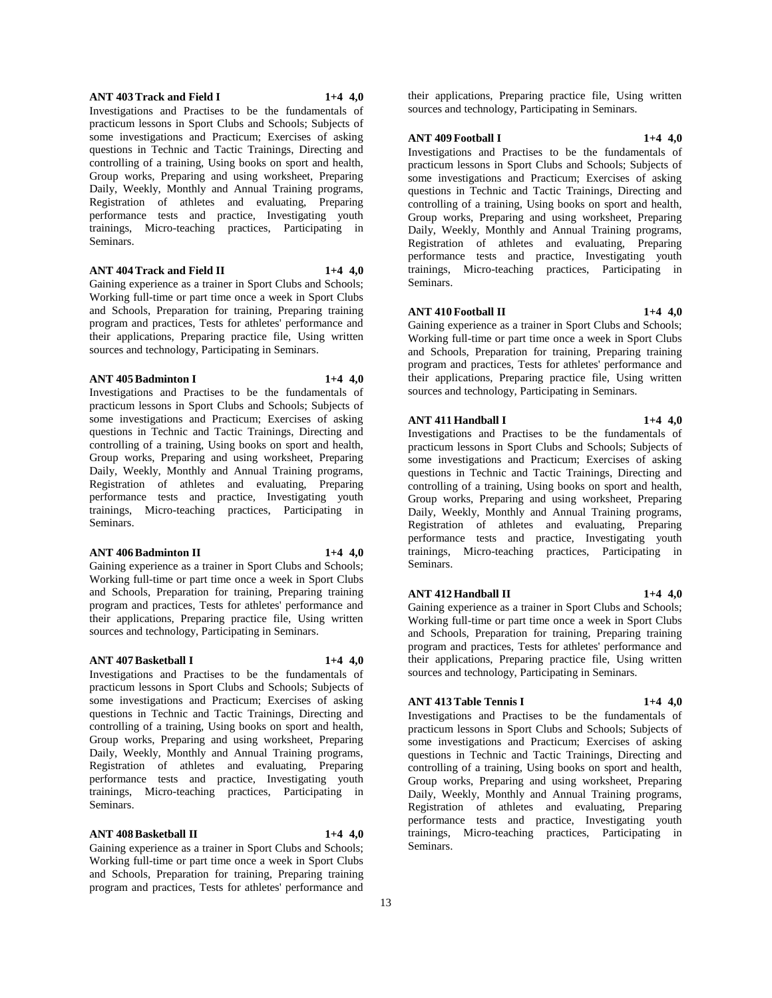#### **ANT 403 Track and Field I 1+4 4,0**

Investigations and Practises to be the fundamentals of practicum lessons in Sport Clubs and Schools; Subjects of some investigations and Practicum; Exercises of asking questions in Technic and Tactic Trainings, Directing and controlling of a training, Using books on sport and health, Group works, Preparing and using worksheet, Preparing Daily, Weekly, Monthly and Annual Training programs, Registration of athletes and evaluating, Preparing performance tests and practice, Investigating youth trainings, Micro-teaching practices, Participating in Seminars.

# **ANT 404 Track and Field II 1+4 4,0**

Gaining experience as a trainer in Sport Clubs and Schools; Working full-time or part time once a week in Sport Clubs and Schools, Preparation for training, Preparing training program and practices, Tests for athletes' performance and their applications, Preparing practice file, Using written sources and technology, Participating in Seminars.

#### **ANT 405 Badminton I 1+4 4,0**

Investigations and Practises to be the fundamentals of practicum lessons in Sport Clubs and Schools; Subjects of some investigations and Practicum; Exercises of asking questions in Technic and Tactic Trainings, Directing and controlling of a training, Using books on sport and health, Group works, Preparing and using worksheet, Preparing Daily, Weekly, Monthly and Annual Training programs, Registration of athletes and evaluating, Preparing performance tests and practice, Investigating youth trainings, Micro-teaching practices, Participating in Seminars.

#### **ANT 406 Badminton II 1+4 4,0**

Gaining experience as a trainer in Sport Clubs and Schools; Working full-time or part time once a week in Sport Clubs and Schools, Preparation for training, Preparing training program and practices, Tests for athletes' performance and their applications, Preparing practice file, Using written sources and technology, Participating in Seminars.

#### **ANT 407 Basketball I 1+4 4,0**

Investigations and Practises to be the fundamentals of practicum lessons in Sport Clubs and Schools; Subjects of some investigations and Practicum; Exercises of asking questions in Technic and Tactic Trainings, Directing and controlling of a training, Using books on sport and health, Group works, Preparing and using worksheet, Preparing Daily, Weekly, Monthly and Annual Training programs, Registration of athletes and evaluating, Preparing performance tests and practice, Investigating youth trainings, Micro-teaching practices, Participating in Seminars.

#### **ANT 408 Basketball II 1+4 4,0**

Gaining experience as a trainer in Sport Clubs and Schools; Working full-time or part time once a week in Sport Clubs and Schools, Preparation for training, Preparing training program and practices, Tests for athletes' performance and

their applications, Preparing practice file, Using written sources and technology, Participating in Seminars.

## **ANT 409 Football I 1+4 4,0**

Investigations and Practises to be the fundamentals of practicum lessons in Sport Clubs and Schools; Subjects of some investigations and Practicum; Exercises of asking questions in Technic and Tactic Trainings, Directing and controlling of a training, Using books on sport and health, Group works, Preparing and using worksheet, Preparing Daily, Weekly, Monthly and Annual Training programs, Registration of athletes and evaluating, Preparing performance tests and practice, Investigating youth trainings, Micro-teaching practices, Participating in Seminars.

# **ANT 410 Football II 1+4 4,0**

Gaining experience as a trainer in Sport Clubs and Schools; Working full-time or part time once a week in Sport Clubs and Schools, Preparation for training, Preparing training program and practices, Tests for athletes' performance and their applications, Preparing practice file, Using written sources and technology, Participating in Seminars.

# **ANT 411 Handball I 1+4 4,0**

Investigations and Practises to be the fundamentals of practicum lessons in Sport Clubs and Schools; Subjects of some investigations and Practicum; Exercises of asking questions in Technic and Tactic Trainings, Directing and controlling of a training, Using books on sport and health, Group works, Preparing and using worksheet, Preparing Daily, Weekly, Monthly and Annual Training programs, Registration of athletes and evaluating, Preparing performance tests and practice, Investigating youth trainings, Micro-teaching practices, Participating in Seminars.

#### **ANT 412 Handball II 1+4 4,0**

Gaining experience as a trainer in Sport Clubs and Schools; Working full-time or part time once a week in Sport Clubs and Schools, Preparation for training, Preparing training program and practices, Tests for athletes' performance and their applications, Preparing practice file, Using written sources and technology, Participating in Seminars.

# **ANT 413 Table Tennis I 1+4 4,0**

Investigations and Practises to be the fundamentals of practicum lessons in Sport Clubs and Schools; Subjects of some investigations and Practicum; Exercises of asking questions in Technic and Tactic Trainings, Directing and controlling of a training, Using books on sport and health, Group works, Preparing and using worksheet, Preparing Daily, Weekly, Monthly and Annual Training programs, Registration of athletes and evaluating, Preparing performance tests and practice, Investigating youth trainings, Micro-teaching practices, Participating in Seminars.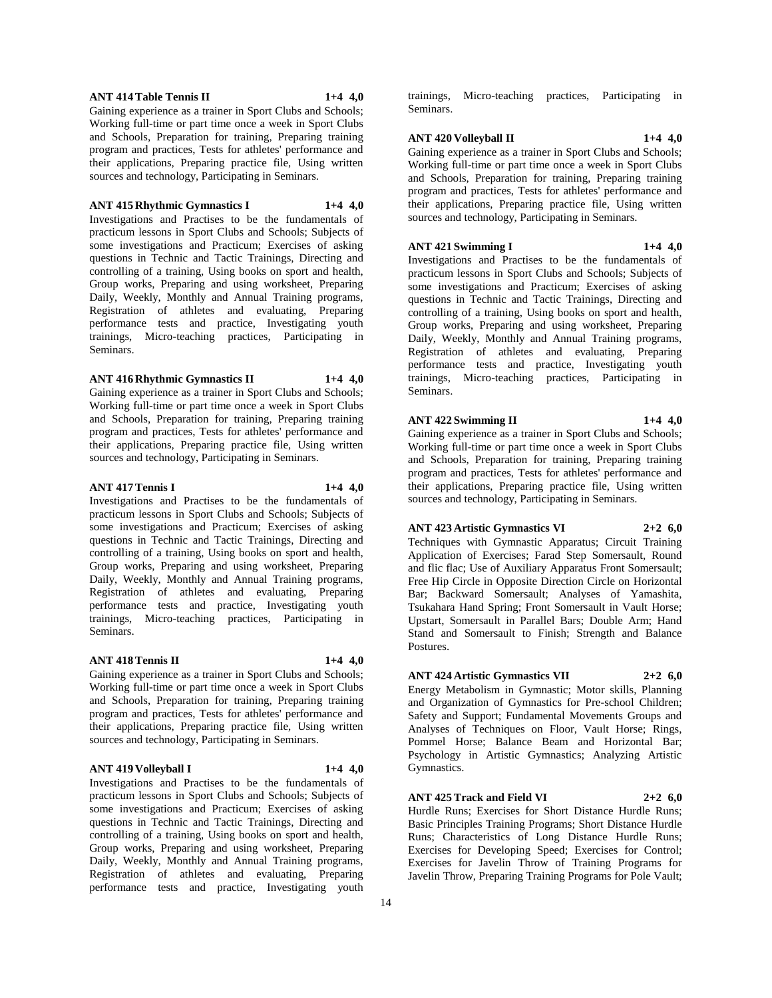#### **ANT 414 Table Tennis II 1+4 4,0**

Gaining experience as a trainer in Sport Clubs and Schools; Working full-time or part time once a week in Sport Clubs and Schools, Preparation for training, Preparing training program and practices, Tests for athletes' performance and their applications, Preparing practice file, Using written sources and technology, Participating in Seminars.

#### **ANT 415 Rhythmic Gymnastics I 1+4 4,0**

Investigations and Practises to be the fundamentals of practicum lessons in Sport Clubs and Schools; Subjects of some investigations and Practicum; Exercises of asking questions in Technic and Tactic Trainings, Directing and controlling of a training, Using books on sport and health, Group works, Preparing and using worksheet, Preparing Daily, Weekly, Monthly and Annual Training programs, Registration of athletes and evaluating, Preparing performance tests and practice, Investigating youth trainings, Micro-teaching practices, Participating in Seminars.

#### **ANT 416 Rhythmic Gymnastics II 1+4 4,0**

Gaining experience as a trainer in Sport Clubs and Schools; Working full-time or part time once a week in Sport Clubs and Schools, Preparation for training, Preparing training program and practices, Tests for athletes' performance and their applications, Preparing practice file, Using written sources and technology, Participating in Seminars.

#### **ANT 417 Tennis I 1+4 4,0**

Investigations and Practises to be the fundamentals of practicum lessons in Sport Clubs and Schools; Subjects of some investigations and Practicum; Exercises of asking questions in Technic and Tactic Trainings, Directing and controlling of a training, Using books on sport and health, Group works, Preparing and using worksheet, Preparing Daily, Weekly, Monthly and Annual Training programs, Registration of athletes and evaluating, Preparing performance tests and practice, Investigating youth trainings, Micro-teaching practices, Participating in Seminars.

#### **ANT 418 Tennis II 1+4 4,0**

Gaining experience as a trainer in Sport Clubs and Schools; Working full-time or part time once a week in Sport Clubs and Schools, Preparation for training, Preparing training program and practices, Tests for athletes' performance and their applications, Preparing practice file, Using written sources and technology, Participating in Seminars.

# **ANT 419 Volleyball I 1+4 4,0**

Investigations and Practises to be the fundamentals of practicum lessons in Sport Clubs and Schools; Subjects of some investigations and Practicum; Exercises of asking questions in Technic and Tactic Trainings, Directing and controlling of a training, Using books on sport and health, Group works, Preparing and using worksheet, Preparing Daily, Weekly, Monthly and Annual Training programs, Registration of athletes and evaluating, Preparing performance tests and practice, Investigating youth

trainings, Micro-teaching practices, Participating in Seminars.

#### **ANT 420 Volleyball II 1+4 4,0**

Gaining experience as a trainer in Sport Clubs and Schools; Working full-time or part time once a week in Sport Clubs and Schools, Preparation for training, Preparing training program and practices, Tests for athletes' performance and their applications, Preparing practice file, Using written sources and technology, Participating in Seminars.

# **ANT 421 Swimming I 1+4 4,0**

Investigations and Practises to be the fundamentals of practicum lessons in Sport Clubs and Schools; Subjects of some investigations and Practicum; Exercises of asking questions in Technic and Tactic Trainings, Directing and controlling of a training, Using books on sport and health, Group works, Preparing and using worksheet, Preparing Daily, Weekly, Monthly and Annual Training programs, Registration of athletes and evaluating, Preparing performance tests and practice, Investigating youth trainings, Micro-teaching practices, Participating in Seminars.

#### **ANT 422 Swimming II 1+4 4,0**

Gaining experience as a trainer in Sport Clubs and Schools; Working full-time or part time once a week in Sport Clubs and Schools, Preparation for training, Preparing training program and practices, Tests for athletes' performance and their applications, Preparing practice file, Using written sources and technology, Participating in Seminars.

#### **ANT 423 Artistic Gymnastics VI 2+2 6,0**

Techniques with Gymnastic Apparatus; Circuit Training Application of Exercises; Farad Step Somersault, Round and flic flac; Use of Auxiliary Apparatus Front Somersault; Free Hip Circle in Opposite Direction Circle on Horizontal Bar; Backward Somersault; Analyses of Yamashita, Tsukahara Hand Spring; Front Somersault in Vault Horse; Upstart, Somersault in Parallel Bars; Double Arm; Hand Stand and Somersault to Finish; Strength and Balance Postures.

#### **ANT 424 Artistic Gymnastics VII 2+2 6,0**

Energy Metabolism in Gymnastic; Motor skills, Planning and Organization of Gymnastics for Pre-school Children; Safety and Support; Fundamental Movements Groups and Analyses of Techniques on Floor, Vault Horse; Rings, Pommel Horse; Balance Beam and Horizontal Bar; Psychology in Artistic Gymnastics; Analyzing Artistic Gymnastics.

#### **ANT 425 Track and Field VI 2+2 6,0**

Hurdle Runs; Exercises for Short Distance Hurdle Runs; Basic Principles Training Programs; Short Distance Hurdle Runs; Characteristics of Long Distance Hurdle Runs; Exercises for Developing Speed; Exercises for Control; Exercises for Javelin Throw of Training Programs for Javelin Throw, Preparing Training Programs for Pole Vault;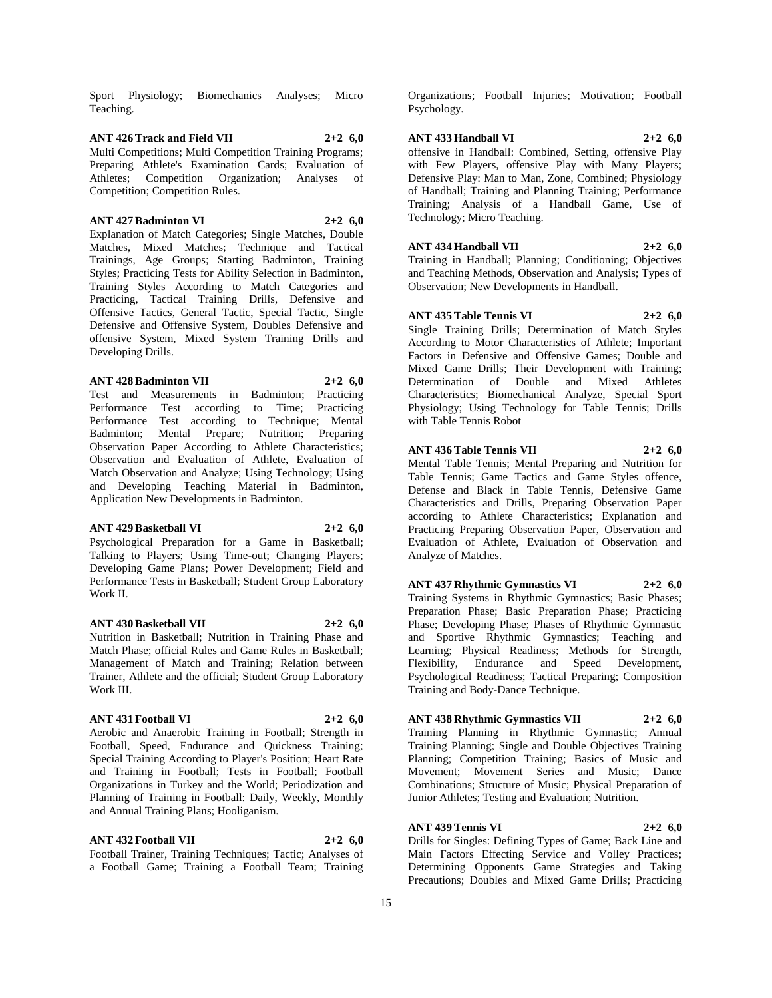Sport Physiology; Biomechanics Analyses; Micro Teaching.

#### **ANT 426 Track and Field VII 2+2 6,0** Multi Competitions; Multi Competition Training Programs; Preparing Athlete's Examination Cards; Evaluation of Athletes; Competition Organization; Analyses of Competition; Competition Rules.

#### **ANT 427 Badminton VI 2+2 6,0**

Explanation of Match Categories; Single Matches, Double Matches, Mixed Matches; Technique and Tactical Trainings, Age Groups; Starting Badminton, Training Styles; Practicing Tests for Ability Selection in Badminton, Training Styles According to Match Categories and Practicing, Tactical Training Drills, Defensive and Offensive Tactics, General Tactic, Special Tactic, Single Defensive and Offensive System, Doubles Defensive and offensive System, Mixed System Training Drills and Developing Drills.

# **ANT 428 Badminton VII 2+2 6,0**

Test and Measurements in Badminton; Practicing Performance Test according to Time; Practicing Performance Test according to Technique; Mental Badminton; Mental Prepare; Nutrition; Preparing Observation Paper According to Athlete Characteristics; Observation and Evaluation of Athlete, Evaluation of Match Observation and Analyze; Using Technology; Using and Developing Teaching Material in Badminton, Application New Developments in Badminton.

# **ANT 429 Basketball VI 2+2 6,0**

Psychological Preparation for a Game in Basketball; Talking to Players; Using Time-out; Changing Players; Developing Game Plans; Power Development; Field and Performance Tests in Basketball; Student Group Laboratory Work II.

# **ANT 430 Basketball VII 2+2 6,0**

Nutrition in Basketball; Nutrition in Training Phase and Match Phase; official Rules and Game Rules in Basketball; Management of Match and Training; Relation between Trainer, Athlete and the official; Student Group Laboratory Work III.

#### **ANT 431 Football VI 2+2 6,0**

# Aerobic and Anaerobic Training in Football; Strength in Football, Speed, Endurance and Quickness Training;

Special Training According to Player's Position; Heart Rate and Training in Football; Tests in Football; Football Organizations in Turkey and the World; Periodization and Planning of Training in Football: Daily, Weekly, Monthly and Annual Training Plans; Hooliganism.

#### **ANT 432 Football VII 2+2 6,0**

Football Trainer, Training Techniques; Tactic; Analyses of a Football Game; Training a Football Team; Training

Organizations; Football Injuries; Motivation; Football Psychology.

## **ANT 433 Handball VI 2+2 6,0**

offensive in Handball: Combined, Setting, offensive Play with Few Players, offensive Play with Many Players; Defensive Play: Man to Man, Zone, Combined; Physiology of Handball; Training and Planning Training; Performance Training; Analysis of a Handball Game, Use of Technology; Micro Teaching.

# **ANT 434 Handball VII 2+2 6,0**

Training in Handball; Planning; Conditioning; Objectives and Teaching Methods, Observation and Analysis; Types of Observation; New Developments in Handball.

#### **ANT 435 Table Tennis VI 2+2 6,0**

Single Training Drills; Determination of Match Styles According to Motor Characteristics of Athlete; Important Factors in Defensive and Offensive Games; Double and Mixed Game Drills; Their Development with Training; Determination of Double and Mixed Athletes Characteristics; Biomechanical Analyze, Special Sport Physiology; Using Technology for Table Tennis; Drills with Table Tennis Robot

#### **ANT 436 Table Tennis VII 2+2 6,0**

Mental Table Tennis; Mental Preparing and Nutrition for Table Tennis; Game Tactics and Game Styles offence, Defense and Black in Table Tennis, Defensive Game Characteristics and Drills, Preparing Observation Paper according to Athlete Characteristics; Explanation and Practicing Preparing Observation Paper, Observation and Evaluation of Athlete, Evaluation of Observation and Analyze of Matches.

#### **ANT 437 Rhythmic Gymnastics VI 2+2 6,0**

Training Systems in Rhythmic Gymnastics; Basic Phases; Preparation Phase; Basic Preparation Phase; Practicing Phase; Developing Phase; Phases of Rhythmic Gymnastic and Sportive Rhythmic Gymnastics; Teaching and Learning; Physical Readiness; Methods for Strength, Flexibility, Endurance and Speed Development, Psychological Readiness; Tactical Preparing; Composition Training and Body-Dance Technique.

#### **ANT 438 Rhythmic Gymnastics VII 2+2 6,0**

Training Planning in Rhythmic Gymnastic; Annual Training Planning; Single and Double Objectives Training Planning; Competition Training; Basics of Music and Movement; Movement Series and Music; Dance Combinations; Structure of Music; Physical Preparation of Junior Athletes; Testing and Evaluation; Nutrition.

#### **ANT 439 Tennis VI 2+2 6,0**

Drills for Singles: Defining Types of Game; Back Line and Main Factors Effecting Service and Volley Practices; Determining Opponents Game Strategies and Taking Precautions; Doubles and Mixed Game Drills; Practicing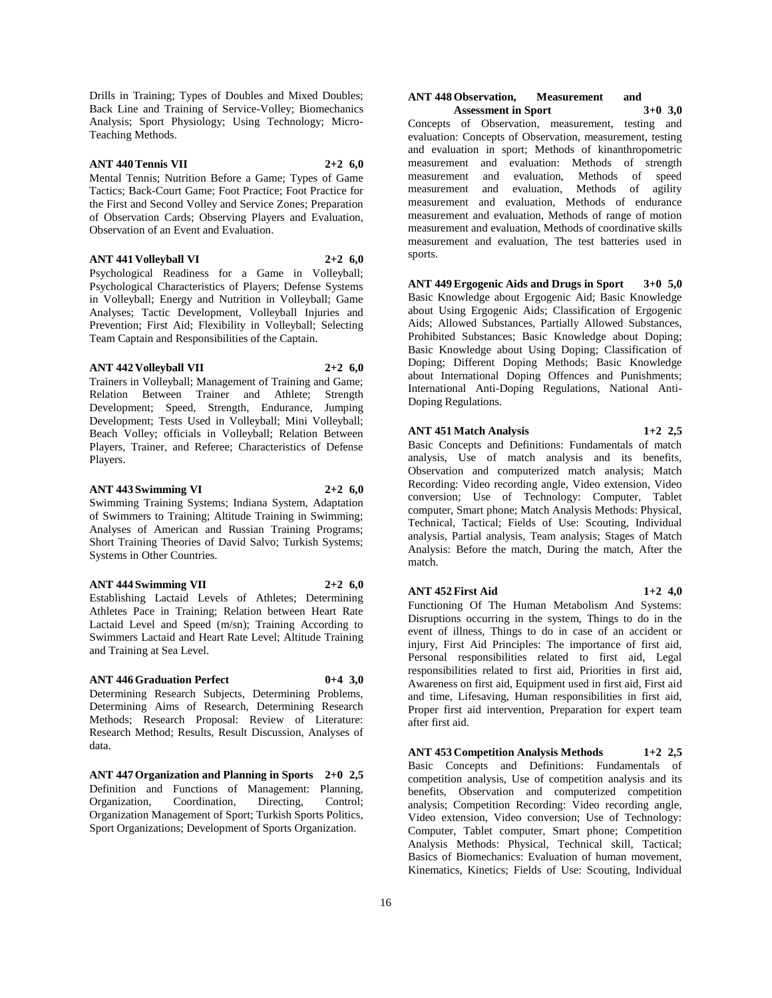Drills in Training; Types of Doubles and Mixed Doubles; Back Line and Training of Service-Volley; Biomechanics Analysis; Sport Physiology; Using Technology; Micro-Teaching Methods.

# **ANT 440 Tennis VII 2+2 6,0**

Mental Tennis; Nutrition Before a Game; Types of Game Tactics; Back-Court Game; Foot Practice; Foot Practice for the First and Second Volley and Service Zones; Preparation of Observation Cards; Observing Players and Evaluation, Observation of an Event and Evaluation.

#### **ANT 441 Volleyball VI 2+2 6,0**

Psychological Readiness for a Game in Volleyball; Psychological Characteristics of Players; Defense Systems in Volleyball; Energy and Nutrition in Volleyball; Game Analyses; Tactic Development, Volleyball Injuries and Prevention; First Aid; Flexibility in Volleyball; Selecting Team Captain and Responsibilities of the Captain.

#### **ANT 442 Volleyball VII 2+2 6,0**

Trainers in Volleyball; Management of Training and Game; Relation Between Trainer and Athlete; Strength Development; Speed, Strength, Endurance, Jumping Development; Tests Used in Volleyball; Mini Volleyball; Beach Volley; officials in Volleyball; Relation Between Players, Trainer, and Referee; Characteristics of Defense Players.

# **ANT 443 Swimming VI 2+2 6,0**

Swimming Training Systems; Indiana System, Adaptation of Swimmers to Training; Altitude Training in Swimming; Analyses of American and Russian Training Programs; Short Training Theories of David Salvo; Turkish Systems; Systems in Other Countries.

#### **ANT 444 Swimming VII 2+2 6,0**

Establishing Lactaid Levels of Athletes; Determining Athletes Pace in Training; Relation between Heart Rate Lactaid Level and Speed (m/sn); Training According to Swimmers Lactaid and Heart Rate Level; Altitude Training and Training at Sea Level.

# **ANT 446 Graduation Perfect 0+4 3,0**

Determining Research Subjects, Determining Problems, Determining Aims of Research, Determining Research Methods; Research Proposal: Review of Literature: Research Method; Results, Result Discussion, Analyses of data.

**ANT 447 Organization and Planning in Sports 2+0 2,5** Definition and Functions of Management: Planning, Organization, Coordination, Directing, Control; Organization Management of Sport; Turkish Sports Politics, Sport Organizations; Development of Sports Organization.

#### **ANT 448 Observation, Measurement and Assessment in Sport 3+0 3,0**

Concepts of Observation, measurement, testing and evaluation: Concepts of Observation, measurement, testing and evaluation in sport; Methods of kinanthropometric measurement and evaluation: Methods of strength measurement and evaluation, Methods of speed measurement and evaluation, Methods of agility measurement and evaluation, Methods of endurance measurement and evaluation, Methods of range of motion measurement and evaluation, Methods of coordinative skills measurement and evaluation, The test batteries used in sports.

**ANT 449 Ergogenic Aids and Drugs in Sport 3+0 5,0** Basic Knowledge about Ergogenic Aid; Basic Knowledge about Using Ergogenic Aids; Classification of Ergogenic Aids; Allowed Substances, Partially Allowed Substances, Prohibited Substances; Basic Knowledge about Doping; Basic Knowledge about Using Doping; Classification of Doping; Different Doping Methods; Basic Knowledge about International Doping Offences and Punishments; International Anti-Doping Regulations, National Anti-Doping Regulations.

# **ANT 451 Match Analysis 1+2 2,5**

Basic Concepts and Definitions: Fundamentals of match analysis, Use of match analysis and its benefits, Observation and computerized match analysis; Match Recording: Video recording angle, Video extension, Video conversion; Use of Technology: Computer, Tablet computer, Smart phone; Match Analysis Methods: Physical, Technical, Tactical; Fields of Use: Scouting, Individual analysis, Partial analysis, Team analysis; Stages of Match Analysis: Before the match, During the match, After the match.

#### **ANT 452 First Aid 1+2 4,0**

Functioning Of The Human Metabolism And Systems: Disruptions occurring in the system, Things to do in the event of illness, Things to do in case of an accident or injury, First Aid Principles: The importance of first aid, Personal responsibilities related to first aid, Legal responsibilities related to first aid, Priorities in first aid, Awareness on first aid, Equipment used in first aid, First aid and time, Lifesaving, Human responsibilities in first aid, Proper first aid intervention, Preparation for expert team after first aid.

**ANT 453 Competition Analysis Methods 1+2 2,5** Basic Concepts and Definitions: Fundamentals of competition analysis, Use of competition analysis and its benefits, Observation and computerized competition analysis; Competition Recording: Video recording angle, Video extension, Video conversion; Use of Technology: Computer, Tablet computer, Smart phone; Competition Analysis Methods: Physical, Technical skill, Tactical; Basics of Biomechanics: Evaluation of human movement, Kinematics, Kinetics; Fields of Use: Scouting, Individual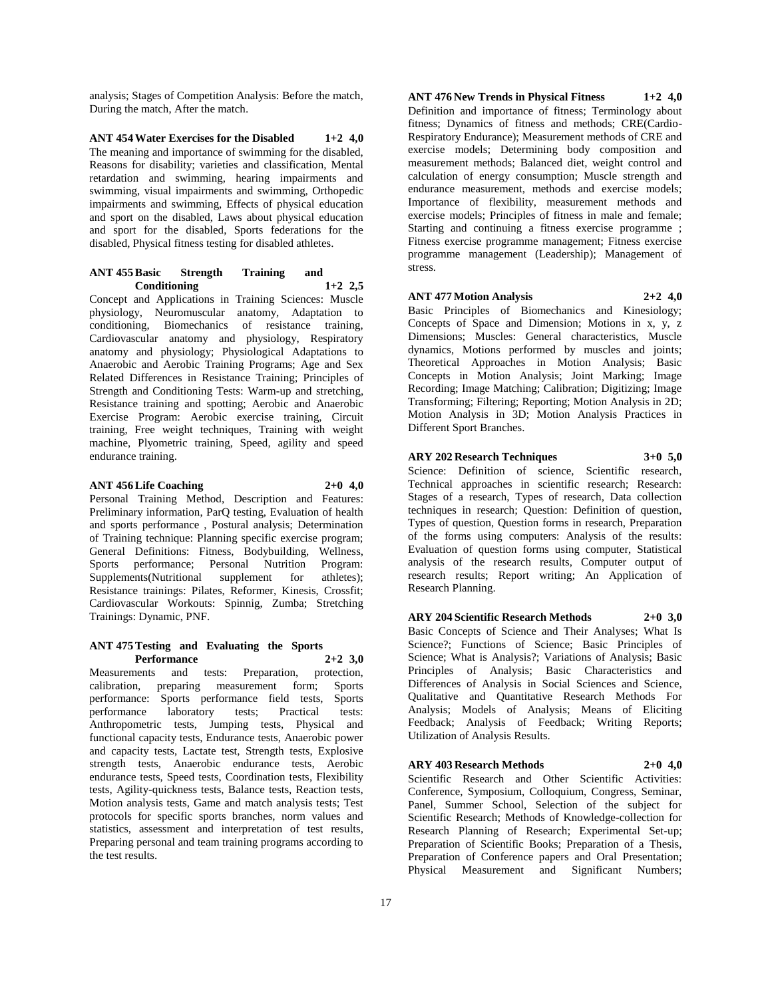analysis; Stages of Competition Analysis: Before the match, During the match, After the match.

**ANT 454 Water Exercises for the Disabled 1+2 4,0** The meaning and importance of swimming for the disabled, Reasons for disability; varieties and classification, Mental retardation and swimming, hearing impairments and swimming, visual impairments and swimming, Orthopedic impairments and swimming, Effects of physical education and sport on the disabled, Laws about physical education and sport for the disabled, Sports federations for the disabled, Physical fitness testing for disabled athletes.

#### **ANT 455 Basic Strength Training and Conditioning 1+2 2,5**

Concept and Applications in Training Sciences: Muscle physiology, Neuromuscular anatomy, Adaptation to conditioning, Biomechanics of resistance training, Cardiovascular anatomy and physiology, Respiratory anatomy and physiology; Physiological Adaptations to Anaerobic and Aerobic Training Programs; Age and Sex Related Differences in Resistance Training; Principles of Strength and Conditioning Tests: Warm-up and stretching, Resistance training and spotting; Aerobic and Anaerobic Exercise Program: Aerobic exercise training, Circuit training, Free weight techniques, Training with weight machine, Plyometric training, Speed, agility and speed endurance training.

#### **ANT 456 Life Coaching 2+0 4,0**

Personal Training Method, Description and Features: Preliminary information, ParQ testing, Evaluation of health and sports performance , Postural analysis; Determination of Training technique: Planning specific exercise program; General Definitions: Fitness, Bodybuilding, Wellness, Sports performance; Personal Nutrition Program: Supplements(Nutritional supplement for athletes); Resistance trainings: Pilates, Reformer, Kinesis, Crossfit; Cardiovascular Workouts: Spinnig, Zumba; Stretching Trainings: Dynamic, PNF.

#### **ANT 475 Testing and Evaluating the Sports Performance 2+2 3,0**

Measurements and tests: Preparation, protection, calibration, preparing measurement form; Sports performance: Sports performance field tests, Sports performance laboratory tests; Practical tests: Anthropometric tests, Jumping tests, Physical and functional capacity tests, Endurance tests, Anaerobic power and capacity tests, Lactate test, Strength tests, Explosive strength tests, Anaerobic endurance tests, Aerobic endurance tests, Speed tests, Coordination tests, Flexibility tests, Agility-quickness tests, Balance tests, Reaction tests, Motion analysis tests, Game and match analysis tests; Test protocols for specific sports branches, norm values and statistics, assessment and interpretation of test results, Preparing personal and team training programs according to the test results.

**ANT 476 New Trends in Physical Fitness 1+2 4,0** Definition and importance of fitness; Terminology about fitness; Dynamics of fitness and methods; CRE(Cardio-Respiratory Endurance); Measurement methods of CRE and exercise models; Determining body composition and measurement methods; Balanced diet, weight control and calculation of energy consumption; Muscle strength and endurance measurement, methods and exercise models; Importance of flexibility, measurement methods and exercise models; Principles of fitness in male and female; Starting and continuing a fitness exercise programme ; Fitness exercise programme management; Fitness exercise programme management (Leadership); Management of stress.

**ANT 477 Motion Analysis 2+2 4,0**

Basic Principles of Biomechanics and Kinesiology; Concepts of Space and Dimension; Motions in x, y, z Dimensions; Muscles: General characteristics, Muscle dynamics, Motions performed by muscles and joints; Theoretical Approaches in Motion Analysis; Basic Concepts in Motion Analysis; Joint Marking; Image Recording; Image Matching; Calibration; Digitizing; Image Transforming; Filtering; Reporting; Motion Analysis in 2D; Motion Analysis in 3D; Motion Analysis Practices in Different Sport Branches.

**ARY 202 Research Techniques 3+0 5,0**

Science: Definition of science, Scientific research, Technical approaches in scientific research; Research: Stages of a research, Types of research, Data collection techniques in research; Question: Definition of question, Types of question, Question forms in research, Preparation of the forms using computers: Analysis of the results: Evaluation of question forms using computer, Statistical analysis of the research results, Computer output of research results; Report writing; An Application of Research Planning.

**ARY 204 Scientific Research Methods 2+0 3,0** Basic Concepts of Science and Their Analyses; What Is Science?; Functions of Science; Basic Principles of Science; What is Analysis?; Variations of Analysis; Basic Principles of Analysis; Basic Characteristics and Differences of Analysis in Social Sciences and Science, Qualitative and Quantitative Research Methods For Analysis; Models of Analysis; Means of Eliciting Feedback; Analysis of Feedback; Writing Reports; Utilization of Analysis Results.

**ARY 403 Research Methods 2+0 4,0** Scientific Research and Other Scientific Activities: Conference, Symposium, Colloquium, Congress, Seminar, Panel, Summer School, Selection of the subject for Scientific Research; Methods of Knowledge-collection for Research Planning of Research; Experimental Set-up; Preparation of Scientific Books; Preparation of a Thesis, Preparation of Conference papers and Oral Presentation; Physical Measurement and Significant Numbers;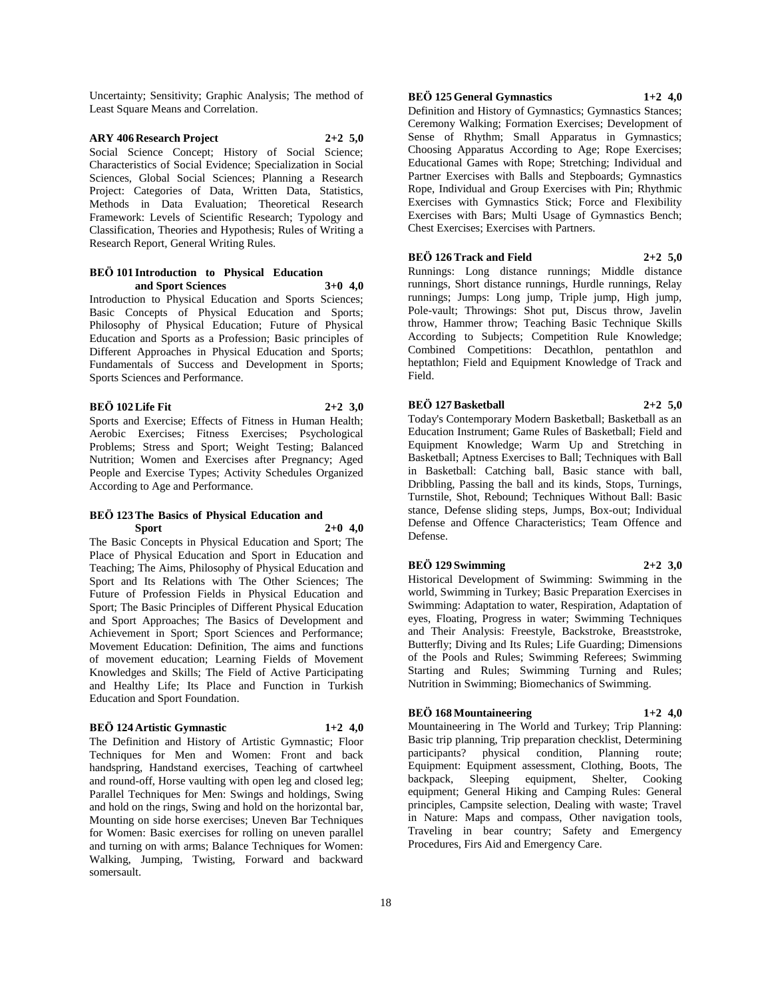Uncertainty; Sensitivity; Graphic Analysis; The method of Least Square Means and Correlation.

# **ARY 406 Research Project 2+2 5,0**

Social Science Concept; History of Social Science; Characteristics of Social Evidence; Specialization in Social Sciences, Global Social Sciences; Planning a Research Project: Categories of Data, Written Data, Statistics, Methods in Data Evaluation; Theoretical Research Framework: Levels of Scientific Research; Typology and Classification, Theories and Hypothesis; Rules of Writing a Research Report, General Writing Rules.

#### **BEÖ 101 Introduction to Physical Education and Sport Sciences 3+0 4,0**

Introduction to Physical Education and Sports Sciences; Basic Concepts of Physical Education and Sports; Philosophy of Physical Education; Future of Physical Education and Sports as a Profession; Basic principles of Different Approaches in Physical Education and Sports; Fundamentals of Success and Development in Sports; Sports Sciences and Performance.

# **BEÖ 102 Life Fit 2+2 3,0**

Sports and Exercise; Effects of Fitness in Human Health; Aerobic Exercises; Fitness Exercises; Psychological Problems; Stress and Sport; Weight Testing; Balanced Nutrition; Women and Exercises after Pregnancy; Aged People and Exercise Types; Activity Schedules Organized According to Age and Performance.

#### **BEÖ 123 The Basics of Physical Education and Sport 2+0 4,0**

The Basic Concepts in Physical Education and Sport; The Place of Physical Education and Sport in Education and Teaching; The Aims, Philosophy of Physical Education and Sport and Its Relations with The Other Sciences; The Future of Profession Fields in Physical Education and Sport; The Basic Principles of Different Physical Education and Sport Approaches; The Basics of Development and Achievement in Sport; Sport Sciences and Performance; Movement Education: Definition, The aims and functions of movement education; Learning Fields of Movement Knowledges and Skills; The Field of Active Participating and Healthy Life; Its Place and Function in Turkish Education and Sport Foundation.

# **BEÖ 124 Artistic Gymnastic 1+2 4,0**

The Definition and History of Artistic Gymnastic; Floor Techniques for Men and Women: Front and back handspring, Handstand exercises, Teaching of cartwheel and round-off, Horse vaulting with open leg and closed leg; Parallel Techniques for Men: Swings and holdings, Swing and hold on the rings, Swing and hold on the horizontal bar, Mounting on side horse exercises; Uneven Bar Techniques for Women: Basic exercises for rolling on uneven parallel and turning on with arms; Balance Techniques for Women: Walking, Jumping, Twisting, Forward and backward somersault.

# **BEÖ 125 General Gymnastics 1+2 4,0**

Definition and History of Gymnastics; Gymnastics Stances; Ceremony Walking; Formation Exercises; Development of Sense of Rhythm; Small Apparatus in Gymnastics; Choosing Apparatus According to Age; Rope Exercises; Educational Games with Rope; Stretching; Individual and Partner Exercises with Balls and Stepboards; Gymnastics Rope, Individual and Group Exercises with Pin; Rhythmic Exercises with Gymnastics Stick; Force and Flexibility Exercises with Bars; Multi Usage of Gymnastics Bench; Chest Exercises; Exercises with Partners.

#### **BEÖ 126 Track and Field 2+2 5,0**

Runnings: Long distance runnings; Middle distance runnings, Short distance runnings, Hurdle runnings, Relay runnings; Jumps: Long jump, Triple jump, High jump, Pole-vault; Throwings: Shot put, Discus throw, Javelin throw, Hammer throw; Teaching Basic Technique Skills According to Subjects; Competition Rule Knowledge; Combined Competitions: Decathlon, pentathlon and heptathlon; Field and Equipment Knowledge of Track and Field.

#### **BEÖ 127 Basketball 2+2 5,0**

Today's Contemporary Modern Basketball; Basketball as an Education Instrument; Game Rules of Basketball; Field and Equipment Knowledge; Warm Up and Stretching in Basketball; Aptness Exercises to Ball; Techniques with Ball in Basketball: Catching ball, Basic stance with ball, Dribbling, Passing the ball and its kinds, Stops, Turnings, Turnstile, Shot, Rebound; Techniques Without Ball: Basic stance, Defense sliding steps, Jumps, Box-out; Individual Defense and Offence Characteristics; Team Offence and Defense.

#### **BEÖ 129 Swimming 2+2 3,0**

Historical Development of Swimming: Swimming in the world, Swimming in Turkey; Basic Preparation Exercises in Swimming: Adaptation to water, Respiration, Adaptation of eyes, Floating, Progress in water; Swimming Techniques and Their Analysis: Freestyle, Backstroke, Breaststroke, Butterfly; Diving and Its Rules; Life Guarding; Dimensions of the Pools and Rules; Swimming Referees; Swimming Starting and Rules; Swimming Turning and Rules; Nutrition in Swimming; Biomechanics of Swimming.

# **BEÖ 168 Mountaineering 1+2 4,0**

Mountaineering in The World and Turkey; Trip Planning: Basic trip planning, Trip preparation checklist, Determining participants? physical condition, Planning route; Equipment: Equipment assessment, Clothing, Boots, The backpack, Sleeping equipment, Shelter, Cooking equipment; General Hiking and Camping Rules: General principles, Campsite selection, Dealing with waste; Travel in Nature: Maps and compass, Other navigation tools, Traveling in bear country; Safety and Emergency Procedures, Firs Aid and Emergency Care.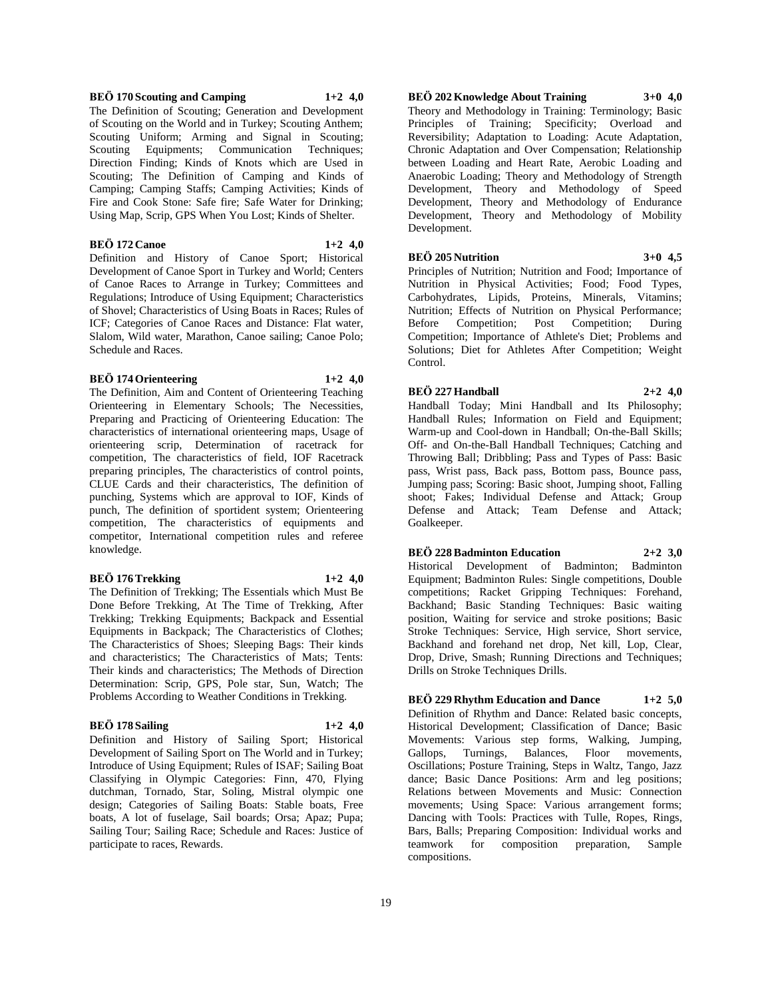# **BEÖ 170 Scouting and Camping 1+2 4,0**

The Definition of Scouting; Generation and Development of Scouting on the World and in Turkey; Scouting Anthem; Scouting Uniform; Arming and Signal in Scouting; Scouting Equipments; Communication Techniques; Direction Finding; Kinds of Knots which are Used in Scouting; The Definition of Camping and Kinds of Camping; Camping Staffs; Camping Activities; Kinds of Fire and Cook Stone: Safe fire; Safe Water for Drinking; Using Map, Scrip, GPS When You Lost; Kinds of Shelter.

#### **BEÖ 172 Canoe 1+2 4,0**

Definition and History of Canoe Sport; Historical Development of Canoe Sport in Turkey and World; Centers of Canoe Races to Arrange in Turkey; Committees and Regulations; Introduce of Using Equipment; Characteristics of Shovel; Characteristics of Using Boats in Races; Rules of ICF; Categories of Canoe Races and Distance: Flat water, Slalom, Wild water, Marathon, Canoe sailing; Canoe Polo; Schedule and Races.

#### **BEÖ 174 Orienteering 1+2 4,0**

The Definition, Aim and Content of Orienteering Teaching Orienteering in Elementary Schools; The Necessities, Preparing and Practicing of Orienteering Education: The characteristics of international orienteering maps, Usage of orienteering scrip, Determination of racetrack for competition, The characteristics of field, IOF Racetrack preparing principles, The characteristics of control points, CLUE Cards and their characteristics, The definition of punching, Systems which are approval to IOF, Kinds of punch, The definition of sportident system; Orienteering competition, The characteristics of equipments and competitor, International competition rules and referee

#### **BEÖ 176 Trekking 1+2 4,0**

knowledge.

The Definition of Trekking; The Essentials which Must Be Done Before Trekking, At The Time of Trekking, After Trekking; Trekking Equipments; Backpack and Essential Equipments in Backpack; The Characteristics of Clothes; The Characteristics of Shoes; Sleeping Bags: Their kinds and characteristics; The Characteristics of Mats; Tents: Their kinds and characteristics; The Methods of Direction Determination: Scrip, GPS, Pole star, Sun, Watch; The Problems According to Weather Conditions in Trekking.

#### **BEÖ 178 Sailing 1+2 4,0**

Definition and History of Sailing Sport; Historical Development of Sailing Sport on The World and in Turkey; Introduce of Using Equipment; Rules of ISAF; Sailing Boat Classifying in Olympic Categories: Finn, 470, Flying dutchman, Tornado, Star, Soling, Mistral olympic one design; Categories of Sailing Boats: Stable boats, Free boats, A lot of fuselage, Sail boards; Orsa; Apaz; Pupa; Sailing Tour; Sailing Race; Schedule and Races: Justice of participate to races, Rewards.

Principles of Training; Specificity; Overload and

Reversibility; Adaptation to Loading: Acute Adaptation, Chronic Adaptation and Over Compensation; Relationship between Loading and Heart Rate, Aerobic Loading and Anaerobic Loading; Theory and Methodology of Strength Development, Theory and Methodology of Speed Development, Theory and Methodology of Endurance Development, Theory and Methodology of Mobility Development.

**BEÖ 202 Knowledge About Training 3+0 4,0** Theory and Methodology in Training: Terminology; Basic

#### **BEÖ 205 Nutrition 3+0 4,5**

Principles of Nutrition; Nutrition and Food; Importance of Nutrition in Physical Activities; Food; Food Types, Carbohydrates, Lipids, Proteins, Minerals, Vitamins; Nutrition; Effects of Nutrition on Physical Performance;<br>Before Competition; Post Competition; During Before Competition; Post Competition; During Competition; Importance of Athlete's Diet; Problems and Solutions; Diet for Athletes After Competition; Weight Control.

#### **BEÖ 227 Handball 2+2 4,0**

Handball Today; Mini Handball and Its Philosophy; Handball Rules; Information on Field and Equipment; Warm-up and Cool-down in Handball; On-the-Ball Skills; Off- and On-the-Ball Handball Techniques; Catching and Throwing Ball; Dribbling; Pass and Types of Pass: Basic pass, Wrist pass, Back pass, Bottom pass, Bounce pass, Jumping pass; Scoring: Basic shoot, Jumping shoot, Falling shoot; Fakes; Individual Defense and Attack; Group Defense and Attack; Team Defense and Attack; Goalkeeper.

# **BEÖ 228 Badminton Education 2+2 3,0**

Historical Development of Badminton; Badminton Equipment; Badminton Rules: Single competitions, Double competitions; Racket Gripping Techniques: Forehand, Backhand; Basic Standing Techniques: Basic waiting position, Waiting for service and stroke positions; Basic Stroke Techniques: Service, High service, Short service, Backhand and forehand net drop, Net kill, Lop, Clear, Drop, Drive, Smash; Running Directions and Techniques; Drills on Stroke Techniques Drills.

**BEÖ 229 Rhythm Education and Dance 1+2 5,0** Definition of Rhythm and Dance: Related basic concepts, Historical Development; Classification of Dance; Basic Movements: Various step forms, Walking, Jumping, Gallops, Turnings, Balances, Floor movements, Oscillations; Posture Training, Steps in Waltz, Tango, Jazz dance; Basic Dance Positions: Arm and leg positions; Relations between Movements and Music: Connection movements; Using Space: Various arrangement forms; Dancing with Tools: Practices with Tulle, Ropes, Rings, Bars, Balls; Preparing Composition: Individual works and teamwork for composition preparation, Sample compositions.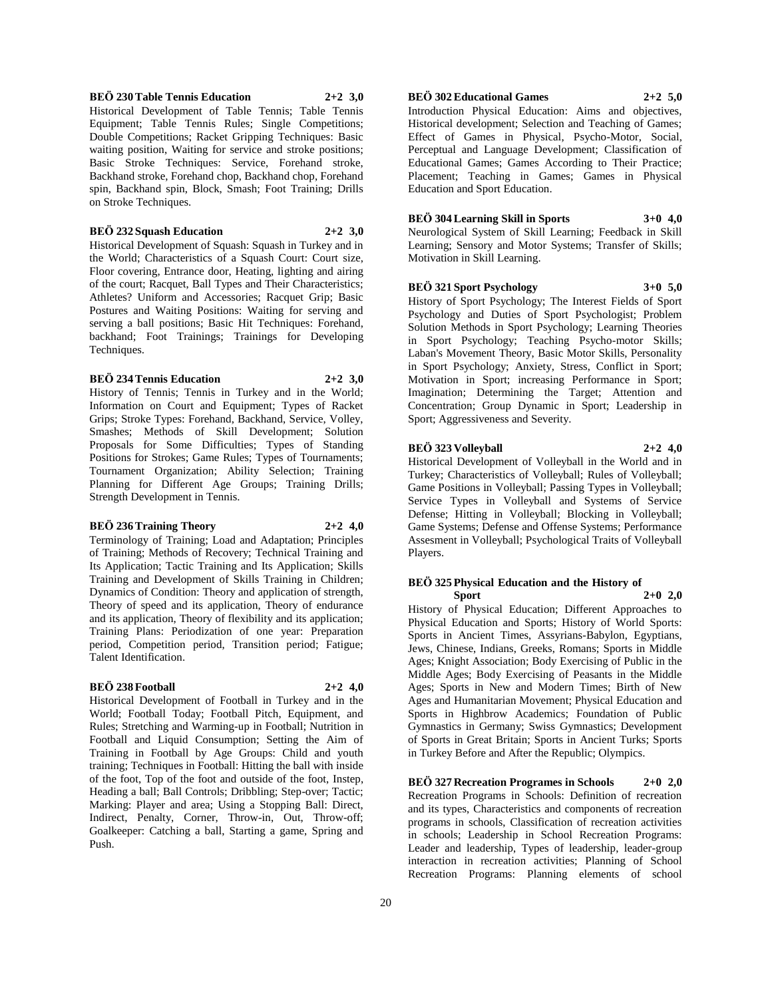#### **BEÖ 230 Table Tennis Education 2+2 3,0**

Historical Development of Table Tennis; Table Tennis Equipment; Table Tennis Rules; Single Competitions; Double Competitions; Racket Gripping Techniques: Basic waiting position, Waiting for service and stroke positions; Basic Stroke Techniques: Service, Forehand stroke, Backhand stroke, Forehand chop, Backhand chop, Forehand spin, Backhand spin, Block, Smash; Foot Training; Drills on Stroke Techniques.

#### **BEÖ 232 Squash Education 2+2 3,0**

Historical Development of Squash: Squash in Turkey and in the World; Characteristics of a Squash Court: Court size, Floor covering, Entrance door, Heating, lighting and airing of the court; Racquet, Ball Types and Their Characteristics; Athletes? Uniform and Accessories; Racquet Grip; Basic Postures and Waiting Positions: Waiting for serving and serving a ball positions; Basic Hit Techniques: Forehand, backhand; Foot Trainings; Trainings for Developing Techniques.

#### **BEÖ 234 Tennis Education 2+2 3,0**

History of Tennis; Tennis in Turkey and in the World; Information on Court and Equipment; Types of Racket Grips; Stroke Types: Forehand, Backhand, Service, Volley, Smashes; Methods of Skill Development; Solution Proposals for Some Difficulties; Types of Standing Positions for Strokes; Game Rules; Types of Tournaments; Tournament Organization; Ability Selection; Training Planning for Different Age Groups; Training Drills; Strength Development in Tennis.

# **BEÖ 236 Training Theory 2+2 4,0**

Terminology of Training; Load and Adaptation; Principles of Training; Methods of Recovery; Technical Training and Its Application; Tactic Training and Its Application; Skills Training and Development of Skills Training in Children; Dynamics of Condition: Theory and application of strength, Theory of speed and its application, Theory of endurance and its application, Theory of flexibility and its application; Training Plans: Periodization of one year: Preparation period, Competition period, Transition period; Fatigue; Talent Identification.

#### **BEÖ 238 Football 2+2 4,0**

Historical Development of Football in Turkey and in the World; Football Today; Football Pitch, Equipment, and Rules; Stretching and Warming-up in Football; Nutrition in Football and Liquid Consumption; Setting the Aim of Training in Football by Age Groups: Child and youth training; Techniques in Football: Hitting the ball with inside of the foot, Top of the foot and outside of the foot, Instep, Heading a ball; Ball Controls; Dribbling; Step-over; Tactic; Marking: Player and area; Using a Stopping Ball: Direct, Indirect, Penalty, Corner, Throw-in, Out, Throw-off; Goalkeeper: Catching a ball, Starting a game, Spring and Push.

# **BEÖ 302 Educational Games 2+2 5,0**

Introduction Physical Education: Aims and objectives, Historical development; Selection and Teaching of Games; Effect of Games in Physical, Psycho-Motor, Social, Perceptual and Language Development; Classification of Educational Games; Games According to Their Practice; Placement; Teaching in Games; Games in Physical Education and Sport Education.

# **BEÖ 304 Learning Skill in Sports 3+0 4,0**

Neurological System of Skill Learning; Feedback in Skill Learning; Sensory and Motor Systems; Transfer of Skills; Motivation in Skill Learning.

#### **BEÖ 321 Sport Psychology 3+0 5,0**

History of Sport Psychology; The Interest Fields of Sport Psychology and Duties of Sport Psychologist; Problem Solution Methods in Sport Psychology; Learning Theories in Sport Psychology; Teaching Psycho-motor Skills; Laban's Movement Theory, Basic Motor Skills, Personality in Sport Psychology; Anxiety, Stress, Conflict in Sport; Motivation in Sport; increasing Performance in Sport; Imagination; Determining the Target; Attention and Concentration; Group Dynamic in Sport; Leadership in Sport; Aggressiveness and Severity.

#### **BEÖ 323 Volleyball 2+2 4,0**

Historical Development of Volleyball in the World and in Turkey; Characteristics of Volleyball; Rules of Volleyball; Game Positions in Volleyball; Passing Types in Volleyball; Service Types in Volleyball and Systems of Service Defense; Hitting in Volleyball; Blocking in Volleyball; Game Systems; Defense and Offense Systems; Performance Assesment in Volleyball; Psychological Traits of Volleyball Players.

#### **BEÖ 325 Physical Education and the History of Sport 2+0 2,0**

History of Physical Education; Different Approaches to Physical Education and Sports; History of World Sports: Sports in Ancient Times, Assyrians-Babylon, Egyptians, Jews, Chinese, Indians, Greeks, Romans; Sports in Middle Ages; Knight Association; Body Exercising of Public in the Middle Ages; Body Exercising of Peasants in the Middle Ages; Sports in New and Modern Times; Birth of New Ages and Humanitarian Movement; Physical Education and Sports in Highbrow Academics; Foundation of Public Gymnastics in Germany; Swiss Gymnastics; Development of Sports in Great Britain; Sports in Ancient Turks; Sports in Turkey Before and After the Republic; Olympics.

**BEÖ 327 Recreation Programes in Schools 2+0 2,0** Recreation Programs in Schools: Definition of recreation and its types, Characteristics and components of recreation programs in schools, Classification of recreation activities in schools; Leadership in School Recreation Programs: Leader and leadership, Types of leadership, leader-group interaction in recreation activities; Planning of School Recreation Programs: Planning elements of school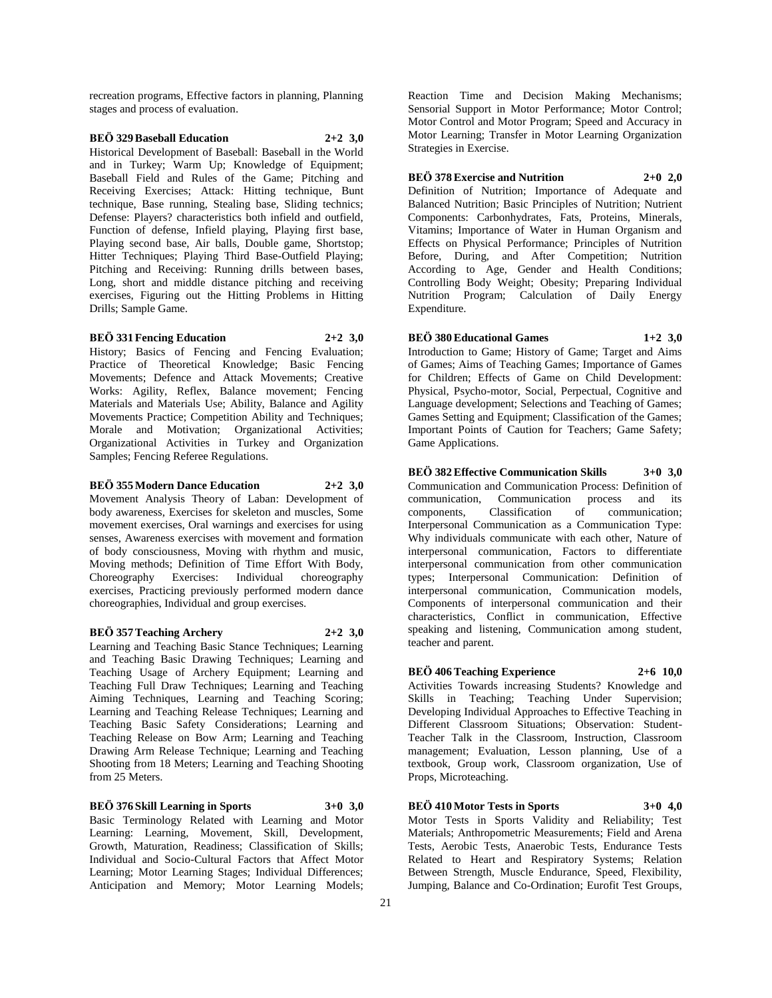recreation programs, Effective factors in planning, Planning stages and process of evaluation.

# **BEÖ 329 Baseball Education 2+2 3,0**

Historical Development of Baseball: Baseball in the World and in Turkey; Warm Up; Knowledge of Equipment; Baseball Field and Rules of the Game; Pitching and Receiving Exercises; Attack: Hitting technique, Bunt technique, Base running, Stealing base, Sliding technics; Defense: Players? characteristics both infield and outfield, Function of defense, Infield playing, Playing first base, Playing second base, Air balls, Double game, Shortstop; Hitter Techniques; Playing Third Base-Outfield Playing; Pitching and Receiving: Running drills between bases, Long, short and middle distance pitching and receiving exercises, Figuring out the Hitting Problems in Hitting Drills; Sample Game.

#### **BEÖ 331 Fencing Education 2+2 3,0**

History; Basics of Fencing and Fencing Evaluation; Practice of Theoretical Knowledge; Basic Fencing Movements; Defence and Attack Movements; Creative Works: Agility, Reflex, Balance movement; Fencing Materials and Materials Use; Ability, Balance and Agility Movements Practice; Competition Ability and Techniques; Morale and Motivation; Organizational Activities; Organizational Activities in Turkey and Organization Samples; Fencing Referee Regulations.

#### **BEÖ 355 Modern Dance Education 2+2 3,0**

Movement Analysis Theory of Laban: Development of body awareness, Exercises for skeleton and muscles, Some movement exercises, Oral warnings and exercises for using senses, Awareness exercises with movement and formation of body consciousness, Moving with rhythm and music, Moving methods; Definition of Time Effort With Body, Choreography Exercises: Individual choreography exercises, Practicing previously performed modern dance choreographies, Individual and group exercises.

#### **BEÖ 357 Teaching Archery 2+2 3,0**

Learning and Teaching Basic Stance Techniques; Learning and Teaching Basic Drawing Techniques; Learning and Teaching Usage of Archery Equipment; Learning and Teaching Full Draw Techniques; Learning and Teaching Aiming Techniques, Learning and Teaching Scoring; Learning and Teaching Release Techniques; Learning and Teaching Basic Safety Considerations; Learning and Teaching Release on Bow Arm; Learning and Teaching Drawing Arm Release Technique; Learning and Teaching Shooting from 18 Meters; Learning and Teaching Shooting from 25 Meters.

**BEÖ 376 Skill Learning in Sports 3+0 3,0**

Basic Terminology Related with Learning and Motor Learning: Learning, Movement, Skill, Development, Growth, Maturation, Readiness; Classification of Skills; Individual and Socio-Cultural Factors that Affect Motor Learning; Motor Learning Stages; Individual Differences; Anticipation and Memory; Motor Learning Models;

Reaction Time and Decision Making Mechanisms; Sensorial Support in Motor Performance; Motor Control; Motor Control and Motor Program; Speed and Accuracy in Motor Learning; Transfer in Motor Learning Organization Strategies in Exercise.

**BEÖ 378 Exercise and Nutrition 2+0 2,0** Definition of Nutrition; Importance of Adequate and Balanced Nutrition; Basic Principles of Nutrition; Nutrient Components: Carbonhydrates, Fats, Proteins, Minerals, Vitamins; Importance of Water in Human Organism and Effects on Physical Performance; Principles of Nutrition Before, During, and After Competition; Nutrition According to Age, Gender and Health Conditions; Controlling Body Weight; Obesity; Preparing Individual Nutrition Program; Calculation of Daily Energy Expenditure.

**BEÖ 380 Educational Games 1+2 3,0** Introduction to Game; History of Game; Target and Aims of Games; Aims of Teaching Games; Importance of Games for Children; Effects of Game on Child Development: Physical, Psycho-motor, Social, Perpectual, Cognitive and Language development; Selections and Teaching of Games; Games Setting and Equipment; Classification of the Games; Important Points of Caution for Teachers; Game Safety; Game Applications.

**BEÖ 382 Effective Communication Skills 3+0 3,0** Communication and Communication Process: Definition of communication, Communication process and its components, Classification of communication; Interpersonal Communication as a Communication Type: Why individuals communicate with each other, Nature of interpersonal communication, Factors to differentiate interpersonal communication from other communication types; Interpersonal Communication: Definition of interpersonal communication, Communication models, Components of interpersonal communication and their characteristics, Conflict in communication, Effective speaking and listening, Communication among student, teacher and parent.

# **BEÖ 406 Teaching Experience 2+6 10,0**

Activities Towards increasing Students? Knowledge and Skills in Teaching; Teaching Under Supervision; Developing Individual Approaches to Effective Teaching in Different Classroom Situations; Observation: Student-Teacher Talk in the Classroom, Instruction, Classroom management; Evaluation, Lesson planning, Use of a textbook, Group work, Classroom organization, Use of Props, Microteaching.

**BEÖ 410 Motor Tests in Sports 3+0 4,0** Motor Tests in Sports Validity and Reliability; Test Materials; Anthropometric Measurements; Field and Arena

Tests, Aerobic Tests, Anaerobic Tests, Endurance Tests Related to Heart and Respiratory Systems; Relation Between Strength, Muscle Endurance, Speed, Flexibility, Jumping, Balance and Co-Ordination; Eurofit Test Groups,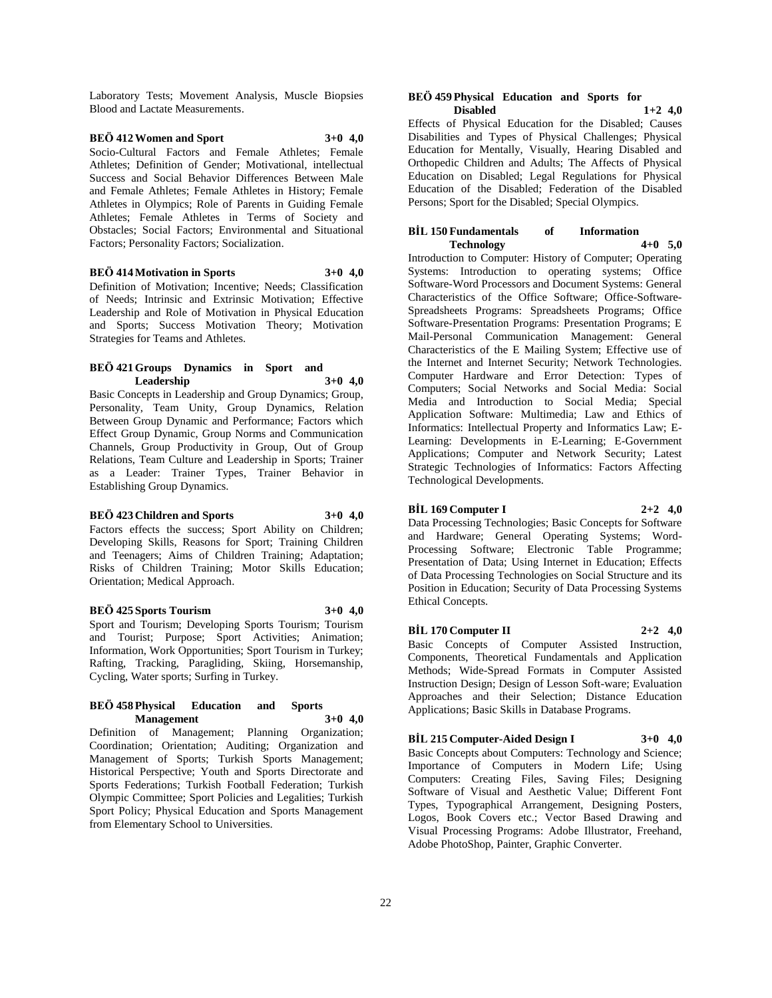Laboratory Tests; Movement Analysis, Muscle Biopsies Blood and Lactate Measurements.

#### **BEÖ 412 Women and Sport 3+0 4,0** Socio-Cultural Factors and Female Athletes; Female Athletes; Definition of Gender; Motivational, intellectual Success and Social Behavior Differences Between Male and Female Athletes; Female Athletes in History; Female Athletes in Olympics; Role of Parents in Guiding Female Athletes; Female Athletes in Terms of Society and Obstacles; Social Factors; Environmental and Situational

**BEÖ 414 Motivation in Sports 3+0 4,0**

Factors; Personality Factors; Socialization.

Definition of Motivation; Incentive; Needs; Classification of Needs; Intrinsic and Extrinsic Motivation; Effective Leadership and Role of Motivation in Physical Education and Sports; Success Motivation Theory; Motivation Strategies for Teams and Athletes.

# **BEÖ 421 Groups Dynamics in Sport and Leadership 3+0 4,0**

Basic Concepts in Leadership and Group Dynamics; Group, Personality, Team Unity, Group Dynamics, Relation Between Group Dynamic and Performance; Factors which Effect Group Dynamic, Group Norms and Communication Channels, Group Productivity in Group, Out of Group Relations, Team Culture and Leadership in Sports; Trainer as a Leader: Trainer Types, Trainer Behavior in Establishing Group Dynamics.

#### **BEÖ 423 Children and Sports 3+0 4,0**

Factors effects the success: Sport Ability on Children; Developing Skills, Reasons for Sport; Training Children and Teenagers; Aims of Children Training; Adaptation; Risks of Children Training; Motor Skills Education; Orientation; Medical Approach.

# **BEÖ 425 Sports Tourism 3+0 4,0**

Sport and Tourism; Developing Sports Tourism; Tourism and Tourist; Purpose; Sport Activities; Animation; Information, Work Opportunities; Sport Tourism in Turkey; Rafting, Tracking, Paragliding, Skiing, Horsemanship, Cycling, Water sports; Surfing in Turkey.

#### **BEÖ 458 Physical Education and Sports Management 3+0 4,0**

Definition of Management; Planning Organization; Coordination; Orientation; Auditing; Organization and Management of Sports; Turkish Sports Management; Historical Perspective; Youth and Sports Directorate and Sports Federations; Turkish Football Federation; Turkish Olympic Committee; Sport Policies and Legalities; Turkish Sport Policy; Physical Education and Sports Management from Elementary School to Universities.

#### **BEÖ 459 Physical Education and Sports for Disabled 1+2 4,0**

Effects of Physical Education for the Disabled; Causes Disabilities and Types of Physical Challenges; Physical Education for Mentally, Visually, Hearing Disabled and Orthopedic Children and Adults; The Affects of Physical Education on Disabled; Legal Regulations for Physical Education of the Disabled; Federation of the Disabled Persons; Sport for the Disabled; Special Olympics.

#### **BİL 150 Fundamentals of Information Technology 4+0 5,0**

Introduction to Computer: History of Computer; Operating Systems: Introduction to operating systems; Office Software-Word Processors and Document Systems: General Characteristics of the Office Software; Office-Software-Spreadsheets Programs: Spreadsheets Programs; Office Software-Presentation Programs: Presentation Programs; E Mail-Personal Communication Management: General Characteristics of the E Mailing System; Effective use of the Internet and Internet Security; Network Technologies. Computer Hardware and Error Detection: Types of Computers; Social Networks and Social Media: Social Media and Introduction to Social Media; Special Application Software: Multimedia; Law and Ethics of Informatics: Intellectual Property and Informatics Law; E-Learning: Developments in E-Learning; E-Government Applications; Computer and Network Security; Latest Strategic Technologies of Informatics: Factors Affecting Technological Developments.

# **BİL 169 Computer I 2+2 4,0**

Data Processing Technologies; Basic Concepts for Software and Hardware; General Operating Systems; Word-Processing Software; Electronic Table Programme; Presentation of Data; Using Internet in Education; Effects of Data Processing Technologies on Social Structure and its Position in Education; Security of Data Processing Systems Ethical Concepts.

# **BİL 170 Computer II 2+2 4,0**

Basic Concepts of Computer Assisted Instruction, Components, Theoretical Fundamentals and Application Methods; Wide-Spread Formats in Computer Assisted Instruction Design; Design of Lesson Soft-ware; Evaluation Approaches and their Selection; Distance Education Applications; Basic Skills in Database Programs.

# **BİL 215 Computer-Aided Design I 3+0 4,0**

Basic Concepts about Computers: Technology and Science; Importance of Computers in Modern Life; Using Computers: Creating Files, Saving Files; Designing Software of Visual and Aesthetic Value; Different Font Types, Typographical Arrangement, Designing Posters, Logos, Book Covers etc.; Vector Based Drawing and Visual Processing Programs: Adobe Illustrator, Freehand, Adobe PhotoShop, Painter, Graphic Converter.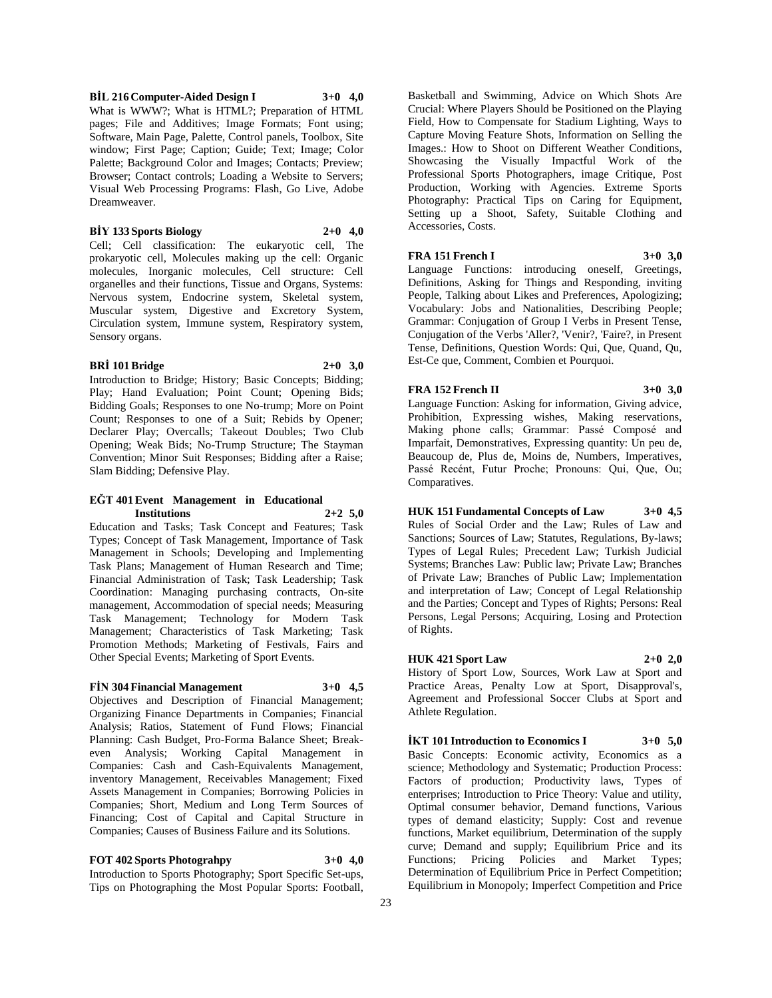**FOT 402 Sports Photograhpy 3+0 4,0**

Introduction to Sports Photography; Sport Specific Set-ups, Tips on Photographing the Most Popular Sports: Football,

**BİY 133 Sports Biology 2+0 4,0** Cell; Cell classification: The eukaryotic cell, The

**BİL 216 Computer-Aided Design I 3+0 4,0** What is WWW?; What is HTML?; Preparation of HTML pages; File and Additives; Image Formats; Font using; Software, Main Page, Palette, Control panels, Toolbox, Site window; First Page; Caption; Guide; Text; Image; Color Palette; Background Color and Images; Contacts; Preview; Browser; Contact controls; Loading a Website to Servers; Visual Web Processing Programs: Flash, Go Live, Adobe

prokaryotic cell, Molecules making up the cell: Organic molecules, Inorganic molecules, Cell structure: Cell organelles and their functions, Tissue and Organs, Systems: Nervous system, Endocrine system, Skeletal system, Muscular system, Digestive and Excretory System, Circulation system, Immune system, Respiratory system, Sensory organs.

### **BRİ 101 Bridge 2+0 3,0**

Dreamweaver.

Introduction to Bridge; History; Basic Concepts; Bidding; Play; Hand Evaluation; Point Count; Opening Bids; Bidding Goals; Responses to one No-trump; More on Point Count; Responses to one of a Suit; Rebids by Opener; Declarer Play; Overcalls; Takeout Doubles; Two Club Opening; Weak Bids; No-Trump Structure; The Stayman Convention; Minor Suit Responses; Bidding after a Raise; Slam Bidding; Defensive Play.

#### **EĞT 401 Event Management in Educational Institutions 2+2 5,0**

Education and Tasks; Task Concept and Features; Task Types; Concept of Task Management, Importance of Task Management in Schools; Developing and Implementing Task Plans; Management of Human Research and Time; Financial Administration of Task; Task Leadership; Task Coordination: Managing purchasing contracts, On-site management, Accommodation of special needs; Measuring Task Management; Technology for Modern Task Management; Characteristics of Task Marketing; Task Promotion Methods; Marketing of Festivals, Fairs and Other Special Events; Marketing of Sport Events.

Organizing Finance Departments in Companies; Financial Analysis; Ratios, Statement of Fund Flows; Financial Planning: Cash Budget, Pro-Forma Balance Sheet; Breakeven Analysis; Working Capital Management in Companies: Cash and Cash-Equivalents Management, inventory Management, Receivables Management; Fixed Assets Management in Companies; Borrowing Policies in Companies; Short, Medium and Long Term Sources of Financing; Cost of Capital and Capital Structure in Companies; Causes of Business Failure and its Solutions.

#### **FİN 304 Financial Management 3+0 4,5** Objectives and Description of Financial Management;

Basketball and Swimming, Advice on Which Shots Are Crucial: Where Players Should be Positioned on the Playing Field, How to Compensate for Stadium Lighting, Ways to Capture Moving Feature Shots, Information on Selling the Images.: How to Shoot on Different Weather Conditions, Showcasing the Visually Impactful Work of the Professional Sports Photographers, image Critique, Post Production, Working with Agencies. Extreme Sports Photography: Practical Tips on Caring for Equipment, Setting up a Shoot, Safety, Suitable Clothing and Accessories, Costs.

# **FRA 151 French I 3+0 3,0**

Language Functions: introducing oneself, Greetings, Definitions, Asking for Things and Responding, inviting People, Talking about Likes and Preferences, Apologizing; Vocabulary: Jobs and Nationalities, Describing People; Grammar: Conjugation of Group I Verbs in Present Tense, Conjugation of the Verbs 'Aller?, 'Venir?, 'Faire?, in Present Tense, Definitions, Question Words: Qui, Que, Quand, Qu, Est-Ce que, Comment, Combien et Pourquoi.

# **FRA 152 French II 3+0 3,0**

Language Function: Asking for information, Giving advice, Prohibition, Expressing wishes, Making reservations, Making phone calls; Grammar: Passé Composé and Imparfait, Demonstratives, Expressing quantity: Un peu de, Beaucoup de, Plus de, Moins de, Numbers, Imperatives, Passé Recént, Futur Proche; Pronouns: Qui, Que, Ou; Comparatives.

**HUK 151 Fundamental Concepts of Law 3+0 4,5** Rules of Social Order and the Law; Rules of Law and Sanctions; Sources of Law; Statutes, Regulations, By-laws; Types of Legal Rules; Precedent Law; Turkish Judicial Systems; Branches Law: Public law; Private Law; Branches of Private Law; Branches of Public Law; Implementation and interpretation of Law; Concept of Legal Relationship and the Parties; Concept and Types of Rights; Persons: Real Persons, Legal Persons; Acquiring, Losing and Protection of Rights.

# **HUK 421 Sport Law 2+0 2,0**

History of Sport Low, Sources, Work Law at Sport and Practice Areas, Penalty Low at Sport, Disapproval's, Agreement and Professional Soccer Clubs at Sport and Athlete Regulation.

**İKT 101 Introduction to Economics I 3+0 5,0** Basic Concepts: Economic activity, Economics as a science; Methodology and Systematic; Production Process:

Factors of production; Productivity laws, Types of enterprises; Introduction to Price Theory: Value and utility, Optimal consumer behavior, Demand functions, Various types of demand elasticity; Supply: Cost and revenue functions, Market equilibrium, Determination of the supply curve; Demand and supply; Equilibrium Price and its Functions; Pricing Policies and Market Types; Determination of Equilibrium Price in Perfect Competition; Equilibrium in Monopoly; Imperfect Competition and Price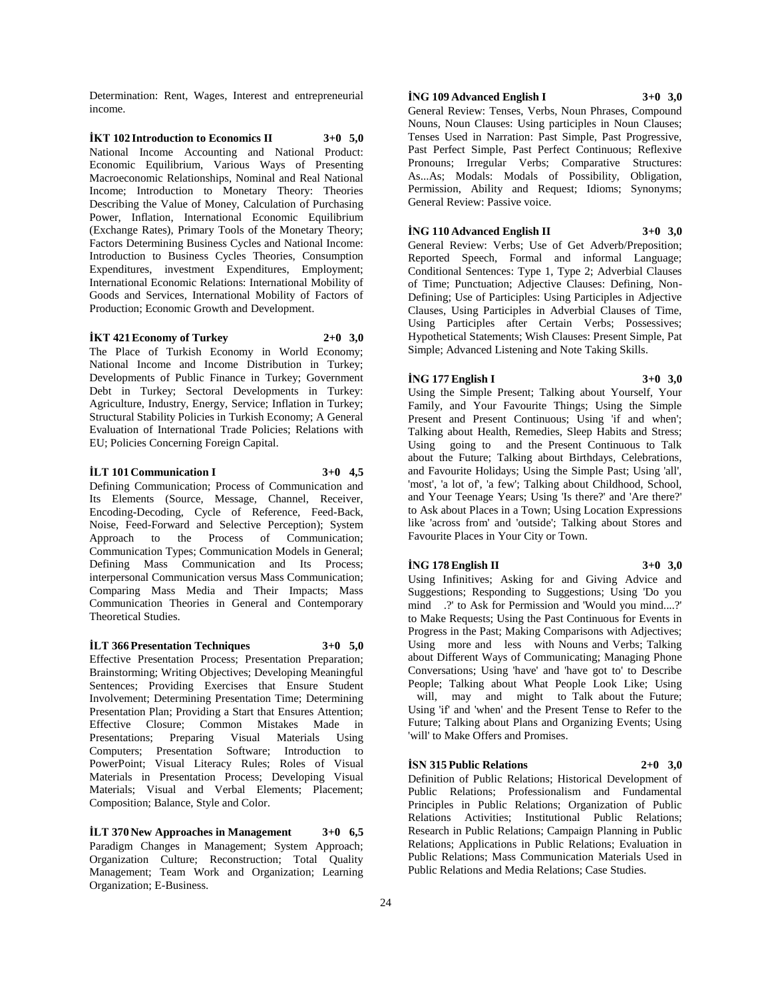Determination: Rent, Wages, Interest and entrepreneurial income.

**İKT 102 Introduction to Economics II 3+0 5,0** National Income Accounting and National Product: Economic Equilibrium, Various Ways of Presenting Macroeconomic Relationships, Nominal and Real National Income; Introduction to Monetary Theory: Theories Describing the Value of Money, Calculation of Purchasing Power, Inflation, International Economic Equilibrium (Exchange Rates), Primary Tools of the Monetary Theory; Factors Determining Business Cycles and National Income: Introduction to Business Cycles Theories, Consumption Expenditures, investment Expenditures, Employment; International Economic Relations: International Mobility of Goods and Services, International Mobility of Factors of Production; Economic Growth and Development.

#### **İKT 421 Economy of Turkey 2+0 3,0**

The Place of Turkish Economy in World Economy; National Income and Income Distribution in Turkey; Developments of Public Finance in Turkey; Government Debt in Turkey; Sectoral Developments in Turkey: Agriculture, Industry, Energy, Service; Inflation in Turkey; Structural Stability Policies in Turkish Economy; A General Evaluation of International Trade Policies; Relations with EU; Policies Concerning Foreign Capital.

#### **İLT 101 Communication I 3+0 4,5**

Defining Communication; Process of Communication and Its Elements (Source, Message, Channel, Receiver, Encoding-Decoding, Cycle of Reference, Feed-Back, Noise, Feed-Forward and Selective Perception); System Approach to the Process of Communication; Communication Types; Communication Models in General; Defining Mass Communication and Its Process; interpersonal Communication versus Mass Communication; Comparing Mass Media and Their Impacts; Mass Communication Theories in General and Contemporary Theoretical Studies.

#### **İLT 366 Presentation Techniques 3+0 5,0**

Effective Presentation Process; Presentation Preparation; Brainstorming; Writing Objectives; Developing Meaningful Sentences; Providing Exercises that Ensure Student Involvement; Determining Presentation Time; Determining Presentation Plan; Providing a Start that Ensures Attention; Effective Closure; Common Mistakes Made in Presentations; Preparing Visual Materials Using Computers; Presentation Software; Introduction to PowerPoint; Visual Literacy Rules; Roles of Visual Materials in Presentation Process; Developing Visual Materials; Visual and Verbal Elements; Placement; Composition; Balance, Style and Color.

**İLT 370 New Approaches in Management 3+0 6,5** Paradigm Changes in Management; System Approach; Organization Culture; Reconstruction; Total Quality Management; Team Work and Organization; Learning Organization; E-Business.

#### **İNG 109 Advanced English I 3+0 3,0**

General Review: Tenses, Verbs, Noun Phrases, Compound Nouns, Noun Clauses: Using participles in Noun Clauses; Tenses Used in Narration: Past Simple, Past Progressive, Past Perfect Simple, Past Perfect Continuous; Reflexive Pronouns; Irregular Verbs; Comparative Structures: As...As; Modals: Modals of Possibility, Obligation, Permission, Ability and Request; Idioms; Synonyms; General Review: Passive voice.

#### **İNG 110 Advanced English II 3+0 3,0**

General Review: Verbs; Use of Get Adverb/Preposition; Reported Speech, Formal and informal Language; Conditional Sentences: Type 1, Type 2; Adverbial Clauses of Time; Punctuation; Adjective Clauses: Defining, Non-Defining; Use of Participles: Using Participles in Adjective Clauses, Using Participles in Adverbial Clauses of Time, Using Participles after Certain Verbs; Possessives; Hypothetical Statements; Wish Clauses: Present Simple, Pat Simple; Advanced Listening and Note Taking Skills.

#### **İNG 177 English I 3+0 3,0**

Using the Simple Present; Talking about Yourself, Your Family, and Your Favourite Things; Using the Simple Present and Present Continuous; Using 'if and when'; Talking about Health, Remedies, Sleep Habits and Stress; Using going to and the Present Continuous to Talk about the Future; Talking about Birthdays, Celebrations, and Favourite Holidays; Using the Simple Past; Using 'all', 'most', 'a lot of', 'a few'; Talking about Childhood, School, and Your Teenage Years; Using 'Is there?' and 'Are there?' to Ask about Places in a Town; Using Location Expressions like 'across from' and 'outside'; Talking about Stores and Favourite Places in Your City or Town.

#### **İNG 178 English II 3+0 3,0**

Using Infinitives; Asking for and Giving Advice and Suggestions; Responding to Suggestions; Using 'Do you mind .?' to Ask for Permission and 'Would you mind....?' to Make Requests; Using the Past Continuous for Events in Progress in the Past; Making Comparisons with Adjectives; Using more and less with Nouns and Verbs; Talking about Different Ways of Communicating; Managing Phone Conversations; Using 'have' and 'have got to' to Describe People; Talking about What People Look Like; Using will, may and might to Talk about the Future; Using 'if' and 'when' and the Present Tense to Refer to the Future; Talking about Plans and Organizing Events; Using 'will' to Make Offers and Promises.

#### **İSN 315 Public Relations 2+0 3,0**

Definition of Public Relations; Historical Development of Public Relations; Professionalism and Fundamental Principles in Public Relations; Organization of Public Relations Activities; Institutional Public Relations; Research in Public Relations; Campaign Planning in Public Relations; Applications in Public Relations; Evaluation in Public Relations; Mass Communication Materials Used in Public Relations and Media Relations; Case Studies.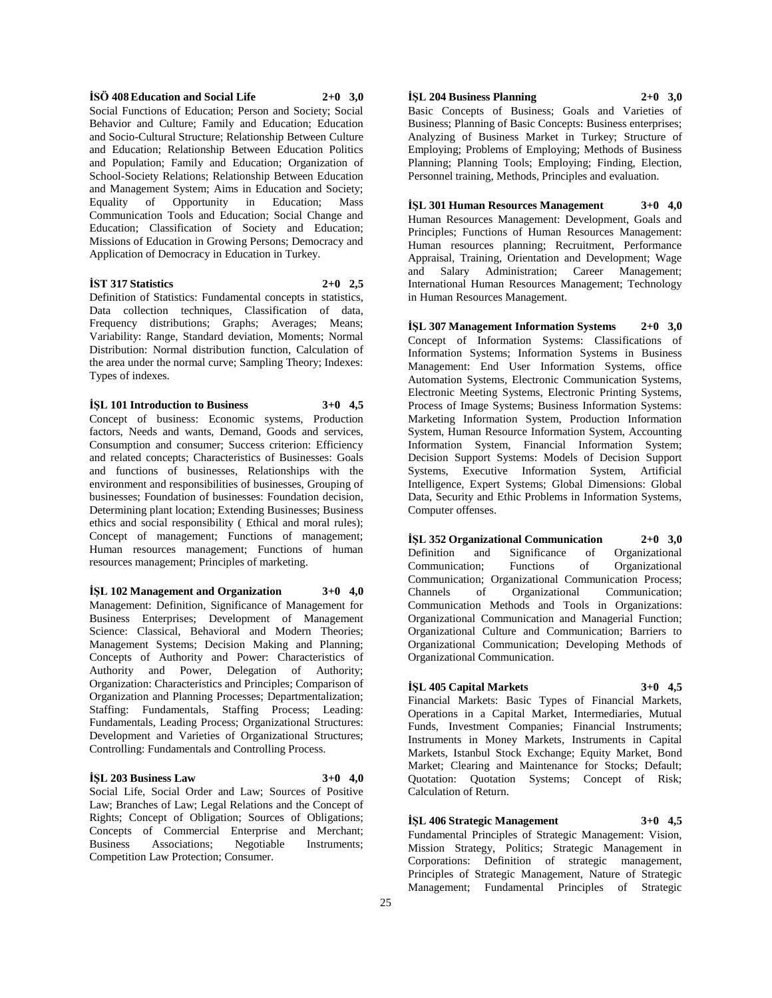#### **İSÖ 408 Education and Social Life 2+0 3,0**

Social Functions of Education; Person and Society; Social Behavior and Culture; Family and Education; Education and Socio-Cultural Structure; Relationship Between Culture and Education; Relationship Between Education Politics and Population; Family and Education; Organization of School-Society Relations; Relationship Between Education and Management System; Aims in Education and Society; Equality of Opportunity in Education; Mass Communication Tools and Education; Social Change and Education; Classification of Society and Education; Missions of Education in Growing Persons; Democracy and Application of Democracy in Education in Turkey.

# **İST 317 Statistics 2+0 2,5**

Definition of Statistics: Fundamental concepts in statistics, Data collection techniques, Classification of data, Frequency distributions; Graphs; Averages; Means; Variability: Range, Standard deviation, Moments; Normal Distribution: Normal distribution function, Calculation of the area under the normal curve; Sampling Theory; Indexes: Types of indexes.

**İŞL 101 Introduction to Business 3+0 4,5**

Concept of business: Economic systems, Production factors, Needs and wants, Demand, Goods and services, Consumption and consumer; Success criterion: Efficiency and related concepts; Characteristics of Businesses: Goals and functions of businesses, Relationships with the environment and responsibilities of businesses, Grouping of businesses; Foundation of businesses: Foundation decision, Determining plant location; Extending Businesses; Business ethics and social responsibility ( Ethical and moral rules); Concept of management; Functions of management; Human resources management; Functions of human resources management; Principles of marketing.

**İŞL 102 Management and Organization 3+0 4,0** Management: Definition, Significance of Management for Business Enterprises; Development of Management Science: Classical, Behavioral and Modern Theories; Management Systems; Decision Making and Planning; Concepts of Authority and Power: Characteristics of Authority and Power, Delegation of Authority; Organization: Characteristics and Principles; Comparison of Organization and Planning Processes; Departmentalization; Staffing: Fundamentals, Staffing Process; Leading: Fundamentals, Leading Process; Organizational Structures: Development and Varieties of Organizational Structures; Controlling: Fundamentals and Controlling Process.

#### **İŞL 203 Business Law 3+0 4,0**

Social Life, Social Order and Law; Sources of Positive Law; Branches of Law; Legal Relations and the Concept of Rights; Concept of Obligation; Sources of Obligations; Concepts of Commercial Enterprise and Merchant; Business Associations; Negotiable Instruments; Competition Law Protection; Consumer.

# **İŞL 204 Business Planning 2+0 3,0**

Basic Concepts of Business; Goals and Varieties of Business; Planning of Basic Concepts: Business enterprises; Analyzing of Business Market in Turkey; Structure of Employing; Problems of Employing; Methods of Business Planning; Planning Tools; Employing; Finding, Election, Personnel training, Methods, Principles and evaluation.

**İŞL 301 Human Resources Management 3+0 4,0** Human Resources Management: Development, Goals and Principles; Functions of Human Resources Management: Human resources planning; Recruitment, Performance Appraisal, Training, Orientation and Development; Wage and Salary Administration; Career Management; International Human Resources Management; Technology in Human Resources Management.

**İŞL 307 Management Information Systems 2+0 3,0** Concept of Information Systems: Classifications of Information Systems; Information Systems in Business Management: End User Information Systems, office Automation Systems, Electronic Communication Systems, Electronic Meeting Systems, Electronic Printing Systems, Process of Image Systems; Business Information Systems: Marketing Information System, Production Information System, Human Resource Information System, Accounting Information System, Financial Information System; Decision Support Systems: Models of Decision Support Systems, Executive Information System, Artificial Intelligence, Expert Systems; Global Dimensions: Global Data, Security and Ethic Problems in Information Systems, Computer offenses.

**İŞL 352 Organizational Communication 2+0 3,0** Definition and Significance of Organizational Communication; Functions of Organizational Communication; Organizational Communication Process; Channels of Organizational Communication; Communication Methods and Tools in Organizations: Organizational Communication and Managerial Function; Organizational Culture and Communication; Barriers to Organizational Communication; Developing Methods of Organizational Communication.

# **İŞL 405 Capital Markets 3+0 4,5**

Financial Markets: Basic Types of Financial Markets, Operations in a Capital Market, Intermediaries, Mutual Funds, Investment Companies; Financial Instruments; Instruments in Money Markets, Instruments in Capital Markets, Istanbul Stock Exchange; Equity Market, Bond Market; Clearing and Maintenance for Stocks; Default; Quotation: Quotation Systems; Concept of Risk; Calculation of Return.

# **İŞL 406 Strategic Management 3+0 4,5**

Fundamental Principles of Strategic Management: Vision, Mission Strategy, Politics; Strategic Management in Corporations: Definition of strategic management, Principles of Strategic Management, Nature of Strategic Management; Fundamental Principles of Strategic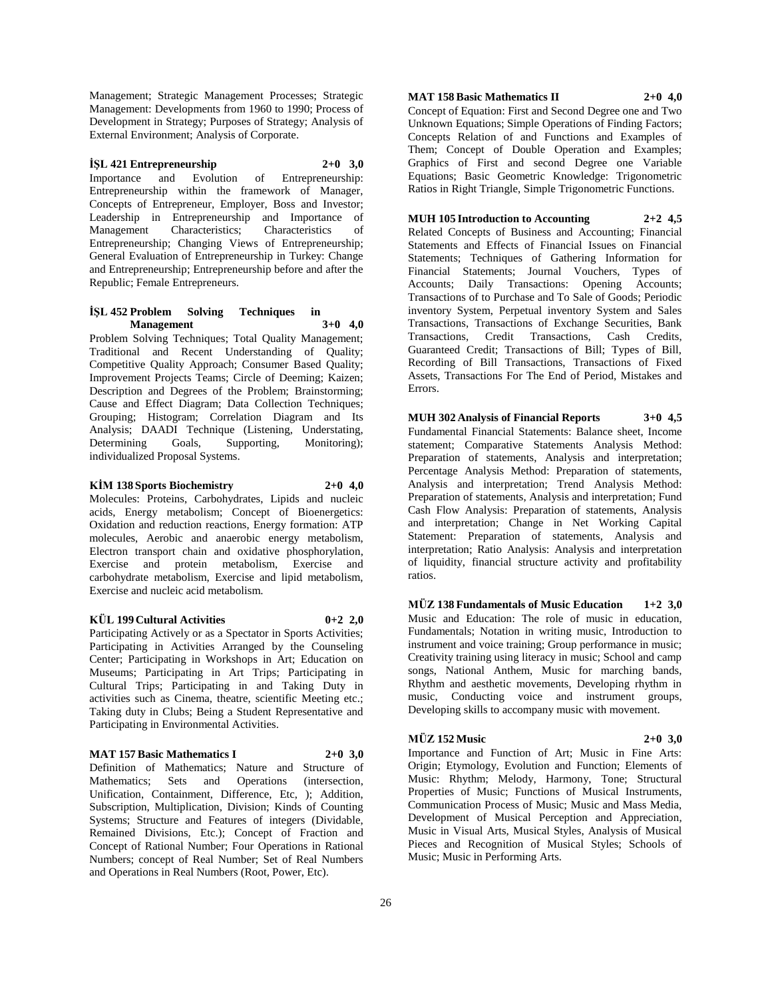Management; Strategic Management Processes; Strategic Management: Developments from 1960 to 1990; Process of Development in Strategy; Purposes of Strategy; Analysis of External Environment; Analysis of Corporate.

#### **İŞL 421 Entrepreneurship 2+0 3,0**

Importance and Evolution of Entrepreneurship: Entrepreneurship within the framework of Manager, Concepts of Entrepreneur, Employer, Boss and Investor; Leadership in Entrepreneurship and Importance of Management Characteristics; Characteristics of Entrepreneurship; Changing Views of Entrepreneurship; General Evaluation of Entrepreneurship in Turkey: Change and Entrepreneurship; Entrepreneurship before and after the Republic; Female Entrepreneurs.

#### **İŞL 452 Problem Solving Techniques in Management 3+0 4,0**

Problem Solving Techniques; Total Quality Management; Traditional and Recent Understanding of Quality; Competitive Quality Approach; Consumer Based Quality; Improvement Projects Teams; Circle of Deeming; Kaizen; Description and Degrees of the Problem; Brainstorming; Cause and Effect Diagram; Data Collection Techniques; Grouping; Histogram; Correlation Diagram and Its Analysis; DAADI Technique (Listening, Understating, Determining Goals, Supporting, Monitoring); individualized Proposal Systems.

#### **KİM 138 Sports Biochemistry 2+0 4,0**

Molecules: Proteins, Carbohydrates, Lipids and nucleic acids, Energy metabolism; Concept of Bioenergetics: Oxidation and reduction reactions, Energy formation: ATP molecules, Aerobic and anaerobic energy metabolism, Electron transport chain and oxidative phosphorylation, Exercise and protein metabolism, Exercise and carbohydrate metabolism, Exercise and lipid metabolism,

#### **KÜL 199 Cultural Activities 0+2 2,0**

Exercise and nucleic acid metabolism.

Participating Actively or as a Spectator in Sports Activities; Participating in Activities Arranged by the Counseling Center; Participating in Workshops in Art; Education on Museums; Participating in Art Trips; Participating in Cultural Trips; Participating in and Taking Duty in activities such as Cinema, theatre, scientific Meeting etc.; Taking duty in Clubs; Being a Student Representative and Participating in Environmental Activities.

#### **MAT 157 Basic Mathematics I 2+0 3,0**

Definition of Mathematics; Nature and Structure of Mathematics; Sets and Operations (intersection, Unification, Containment, Difference, Etc, ); Addition, Subscription, Multiplication, Division; Kinds of Counting Systems; Structure and Features of integers (Dividable, Remained Divisions, Etc.); Concept of Fraction and Concept of Rational Number; Four Operations in Rational Numbers; concept of Real Number; Set of Real Numbers and Operations in Real Numbers (Root, Power, Etc).

#### **MAT 158 Basic Mathematics II 2+0 4,0**

Concept of Equation: First and Second Degree one and Two Unknown Equations; Simple Operations of Finding Factors; Concepts Relation of and Functions and Examples of Them; Concept of Double Operation and Examples; Graphics of First and second Degree one Variable Equations; Basic Geometric Knowledge: Trigonometric Ratios in Right Triangle, Simple Trigonometric Functions.

#### **MUH 105 Introduction to Accounting 2+2 4,5**

Related Concepts of Business and Accounting; Financial Statements and Effects of Financial Issues on Financial Statements; Techniques of Gathering Information for Financial Statements; Journal Vouchers, Types of Accounts; Daily Transactions: Opening Accounts; Transactions of to Purchase and To Sale of Goods; Periodic inventory System, Perpetual inventory System and Sales Transactions, Transactions of Exchange Securities, Bank Transactions, Credit Transactions, Cash Credits, Guaranteed Credit; Transactions of Bill; Types of Bill, Recording of Bill Transactions, Transactions of Fixed Assets, Transactions For The End of Period, Mistakes and Errors.

#### **MUH 302 Analysis of Financial Reports 3+0 4,5** Fundamental Financial Statements: Balance sheet, Income statement; Comparative Statements Analysis Method: Preparation of statements, Analysis and interpretation; Percentage Analysis Method: Preparation of statements, Analysis and interpretation; Trend Analysis Method: Preparation of statements, Analysis and interpretation; Fund Cash Flow Analysis: Preparation of statements, Analysis and interpretation; Change in Net Working Capital Statement: Preparation of statements, Analysis and interpretation; Ratio Analysis: Analysis and interpretation of liquidity, financial structure activity and profitability ratios.

**MÜZ 138 Fundamentals of Music Education 1+2 3,0** Music and Education: The role of music in education, Fundamentals; Notation in writing music, Introduction to instrument and voice training; Group performance in music; Creativity training using literacy in music; School and camp songs, National Anthem, Music for marching bands, Rhythm and aesthetic movements, Developing rhythm in music, Conducting voice and instrument groups, Developing skills to accompany music with movement.

# **MÜZ 152 Music 2+0 3,0**

Importance and Function of Art; Music in Fine Arts: Origin; Etymology, Evolution and Function; Elements of Music: Rhythm; Melody, Harmony, Tone; Structural Properties of Music; Functions of Musical Instruments, Communication Process of Music; Music and Mass Media, Development of Musical Perception and Appreciation, Music in Visual Arts, Musical Styles, Analysis of Musical Pieces and Recognition of Musical Styles; Schools of Music; Music in Performing Arts.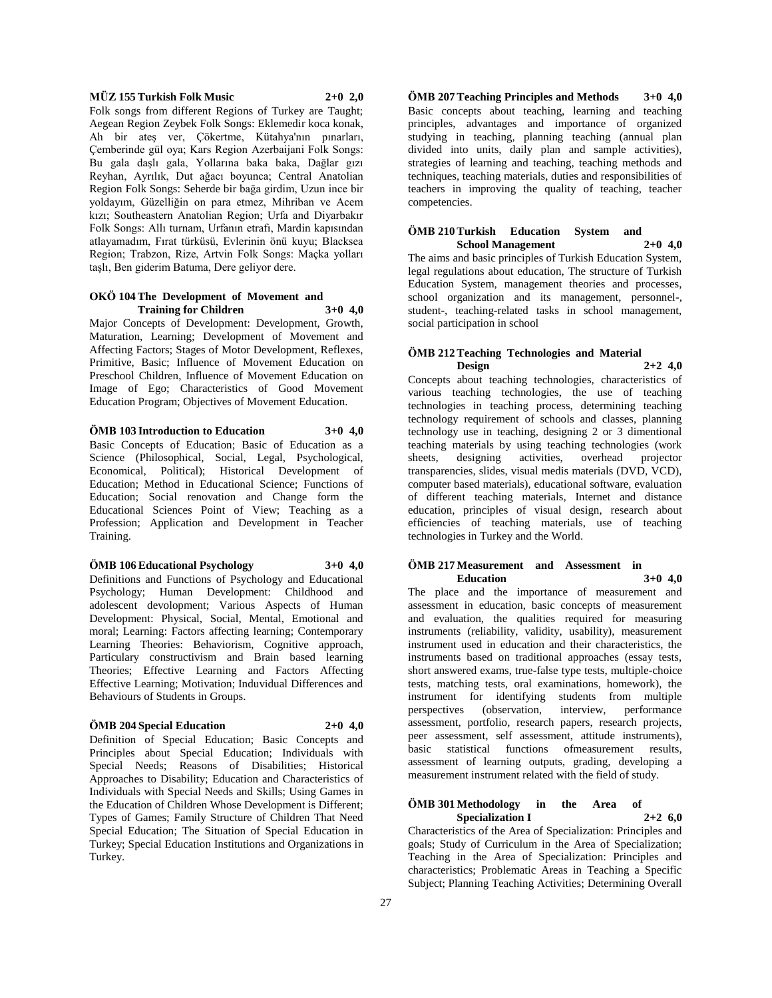#### **MÜZ 155 Turkish Folk Music 2+0 2,0**

Folk songs from different Regions of Turkey are Taught; Aegean Region Zeybek Folk Songs: Eklemedir koca konak, Ah bir ateş ver, Çökertme, Kütahya'nın pınarları, Çemberinde gül oya; Kars Region Azerbaijani Folk Songs: Bu gala daşlı gala, Yollarına baka baka, Dağlar gızı Reyhan, Ayrılık, Dut ağacı boyunca; Central Anatolian Region Folk Songs: Seherde bir bağa girdim, Uzun ince bir yoldayım, Güzelliğin on para etmez, Mihriban ve Acem kızı; Southeastern Anatolian Region; Urfa and Diyarbakır Folk Songs: Allı turnam, Urfanın etrafı, Mardin kapısından atlayamadım, Fırat türküsü, Evlerinin önü kuyu; Blacksea Region; Trabzon, Rize, Artvin Folk Songs: Maçka yolları taşlı, Ben giderim Batuma, Dere geliyor dere.

#### **OKÖ 104 The Development of Movement and Training for Children 3+0 4,0**

Major Concepts of Development: Development, Growth, Maturation, Learning; Development of Movement and Affecting Factors; Stages of Motor Development, Reflexes, Primitive, Basic; Influence of Movement Education on Preschool Children, Influence of Movement Education on Image of Ego; Characteristics of Good Movement Education Program; Objectives of Movement Education.

#### **ÖMB 103 Introduction to Education 3+0 4,0**

Basic Concepts of Education; Basic of Education as a Science (Philosophical, Social, Legal, Psychological, Economical, Political); Historical Development of Education; Method in Educational Science; Functions of Education; Social renovation and Change form the Educational Sciences Point of View; Teaching as a Profession; Application and Development in Teacher Training.

#### **ÖMB 106 Educational Psychology 3+0 4,0**

Definitions and Functions of Psychology and Educational Psychology; Human Development: Childhood and adolescent devolopment; Various Aspects of Human Development: Physical, Social, Mental, Emotional and moral; Learning: Factors affecting learning; Contemporary Learning Theories: Behaviorism, Cognitive approach, Particulary constructivism and Brain based learning Theories; Effective Learning and Factors Affecting Effective Learning; Motivation; Induvidual Differences and Behaviours of Students in Groups.

#### **ÖMB 204 Special Education 2+0 4,0**

Definition of Special Education; Basic Concepts and Principles about Special Education; Individuals with Special Needs; Reasons of Disabilities; Historical Approaches to Disability; Education and Characteristics of Individuals with Special Needs and Skills; Using Games in the Education of Children Whose Development is Different; Types of Games; Family Structure of Children That Need Special Education; The Situation of Special Education in Turkey; Special Education Institutions and Organizations in Turkey.

**ÖMB 207 Teaching Principles and Methods 3+0 4,0** Basic concepts about teaching, learning and teaching principles, advantages and importance of organized studying in teaching, planning teaching (annual plan divided into units, daily plan and sample activities), strategies of learning and teaching, teaching methods and techniques, teaching materials, duties and responsibilities of teachers in improving the quality of teaching, teacher competencies.

#### **ÖMB 210 Turkish Education System and School Management 2+0 4,0**

The aims and basic principles of Turkish Education System, legal regulations about education, The structure of Turkish Education System, management theories and processes, school organization and its management, personnel-, student-, teaching-related tasks in school management, social participation in school

# **ÖMB 212 Teaching Technologies and Material Design 2+2 4,0**

Concepts about teaching technologies, characteristics of various teaching technologies, the use of teaching technologies in teaching process, determining teaching technology requirement of schools and classes, planning technology use in teaching, designing 2 or 3 dimentional teaching materials by using teaching technologies (work<br>sheets, designing activities, overhead projector sheets, designing activities, overhead transparencies, slides, visual medis materials (DVD, VCD), computer based materials), educational software, evaluation of different teaching materials, Internet and distance education, principles of visual design, research about efficiencies of teaching materials, use of teaching technologies in Turkey and the World.

#### **ÖMB 217 Measurement and Assessment in Education 3+0 4,0**

The place and the importance of measurement and assessment in education, basic concepts of measurement and evaluation, the qualities required for measuring instruments (reliability, validity, usability), measurement instrument used in education and their characteristics, the instruments based on traditional approaches (essay tests, short answered exams, true-false type tests, multiple-choice tests, matching tests, oral examinations, homework), the instrument for identifying students from multiple perspectives (observation, interview, performance assessment, portfolio, research papers, research projects, peer assessment, self assessment, attitude instruments), basic statistical functions ofmeasurement results, assessment of learning outputs, grading, developing a measurement instrument related with the field of study.

#### **ÖMB 301 Methodology in the Area of Specialization I 2+2 6,0**

Characteristics of the Area of Specialization: Principles and goals; Study of Curriculum in the Area of Specialization; Teaching in the Area of Specialization: Principles and characteristics; Problematic Areas in Teaching a Specific Subject; Planning Teaching Activities; Determining Overall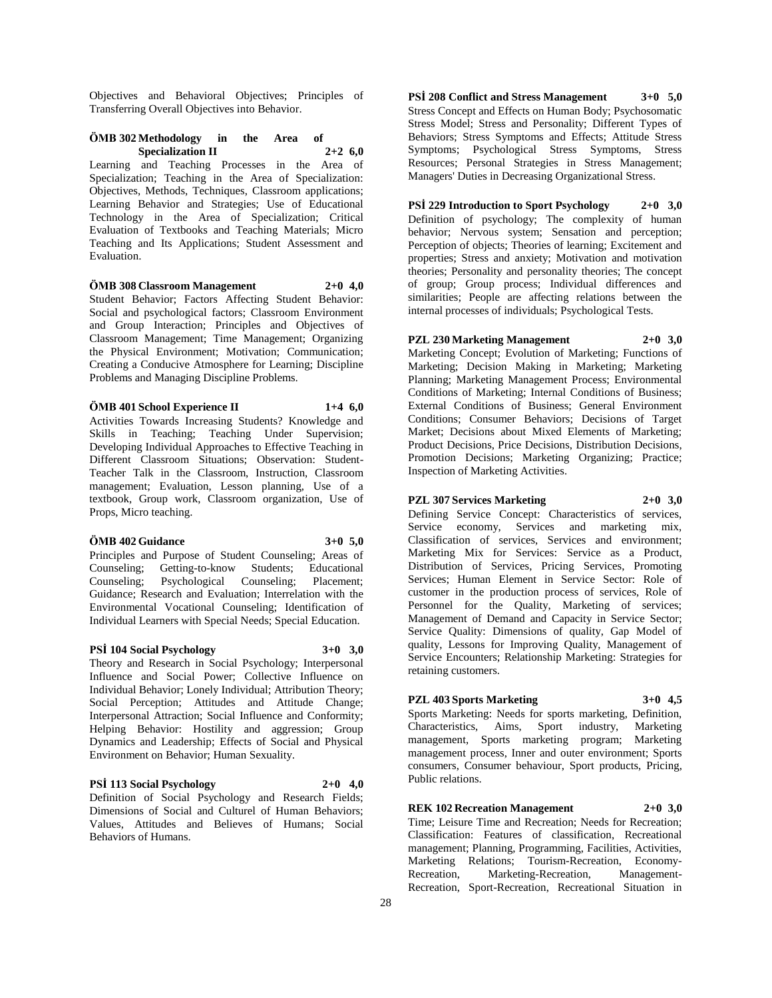Objectives and Behavioral Objectives; Principles of Transferring Overall Objectives into Behavior.

## **ÖMB 302 Methodology in the Area of Specialization II 2+2 6,0**

Learning and Teaching Processes in the Area of Specialization; Teaching in the Area of Specialization: Objectives, Methods, Techniques, Classroom applications; Learning Behavior and Strategies; Use of Educational Technology in the Area of Specialization; Critical Evaluation of Textbooks and Teaching Materials; Micro Teaching and Its Applications; Student Assessment and Evaluation.

# **ÖMB 308 Classroom Management 2+0 4,0**

Student Behavior; Factors Affecting Student Behavior: Social and psychological factors; Classroom Environment and Group Interaction; Principles and Objectives of Classroom Management; Time Management; Organizing the Physical Environment; Motivation; Communication; Creating a Conducive Atmosphere for Learning; Discipline Problems and Managing Discipline Problems.

#### **ÖMB 401 School Experience II 1+4 6,0**

Activities Towards Increasing Students? Knowledge and Skills in Teaching; Teaching Under Supervision; Developing Individual Approaches to Effective Teaching in Different Classroom Situations; Observation: Student-Teacher Talk in the Classroom, Instruction, Classroom management; Evaluation, Lesson planning, Use of a textbook, Group work, Classroom organization, Use of Props, Micro teaching.

#### **ÖMB 402 Guidance 3+0 5,0**

Principles and Purpose of Student Counseling; Areas of Counseling; Getting-to-know Students; Educational Counseling; Psychological Counseling; Placement; Guidance; Research and Evaluation; Interrelation with the Environmental Vocational Counseling; Identification of Individual Learners with Special Needs; Special Education.

#### **PSİ 104 Social Psychology 3+0 3,0**

Theory and Research in Social Psychology; Interpersonal Influence and Social Power; Collective Influence on Individual Behavior; Lonely Individual; Attribution Theory; Social Perception; Attitudes and Attitude Change; Interpersonal Attraction; Social Influence and Conformity; Helping Behavior: Hostility and aggression; Group Dynamics and Leadership; Effects of Social and Physical Environment on Behavior; Human Sexuality.

#### **PSİ 113 Social Psychology 2+0 4,0**

Definition of Social Psychology and Research Fields; Dimensions of Social and Culturel of Human Behaviors; Values, Attitudes and Believes of Humans; Social Behaviors of Humans.

**PSİ 208 Conflict and Stress Management 3+0 5,0** Stress Concept and Effects on Human Body; Psychosomatic Stress Model; Stress and Personality; Different Types of Behaviors; Stress Symptoms and Effects; Attitude Stress Symptoms; Psychological Stress Symptoms, Stress Resources; Personal Strategies in Stress Management; Managers' Duties in Decreasing Organizational Stress.

#### **PSİ 229 Introduction to Sport Psychology 2+0 3,0**

Definition of psychology; The complexity of human behavior; Nervous system; Sensation and perception; Perception of objects; Theories of learning; Excitement and properties; Stress and anxiety; Motivation and motivation theories; Personality and personality theories; The concept of group; Group process; Individual differences and similarities; People are affecting relations between the internal processes of individuals; Psychological Tests.

**PZL 230 Marketing Management 2+0 3,0** Marketing Concept; Evolution of Marketing; Functions of Marketing; Decision Making in Marketing; Marketing Planning; Marketing Management Process; Environmental Conditions of Marketing; Internal Conditions of Business; External Conditions of Business; General Environment Conditions; Consumer Behaviors; Decisions of Target Market; Decisions about Mixed Elements of Marketing; Product Decisions, Price Decisions, Distribution Decisions, Promotion Decisions; Marketing Organizing; Practice; Inspection of Marketing Activities.

#### **PZL 307 Services Marketing 2+0 3,0**

Defining Service Concept: Characteristics of services, Service economy, Services and marketing mix, Classification of services, Services and environment; Marketing Mix for Services: Service as a Product, Distribution of Services, Pricing Services, Promoting Services; Human Element in Service Sector: Role of customer in the production process of services, Role of Personnel for the Quality, Marketing of services; Management of Demand and Capacity in Service Sector; Service Quality: Dimensions of quality, Gap Model of quality, Lessons for Improving Quality, Management of Service Encounters; Relationship Marketing: Strategies for retaining customers.

# **PZL 403 Sports Marketing 3+0 4,5**

Sports Marketing: Needs for sports marketing, Definition, Characteristics, Aims, Sport industry, Marketing management, Sports marketing program; Marketing management process, Inner and outer environment; Sports consumers, Consumer behaviour, Sport products, Pricing, Public relations.

#### **REK 102 Recreation Management 2+0 3,0**

Time; Leisure Time and Recreation; Needs for Recreation; Classification: Features of classification, Recreational management; Planning, Programming, Facilities, Activities, Marketing Relations; Tourism-Recreation, Economy-Recreation, Marketing-Recreation, Management-Recreation, Sport-Recreation, Recreational Situation in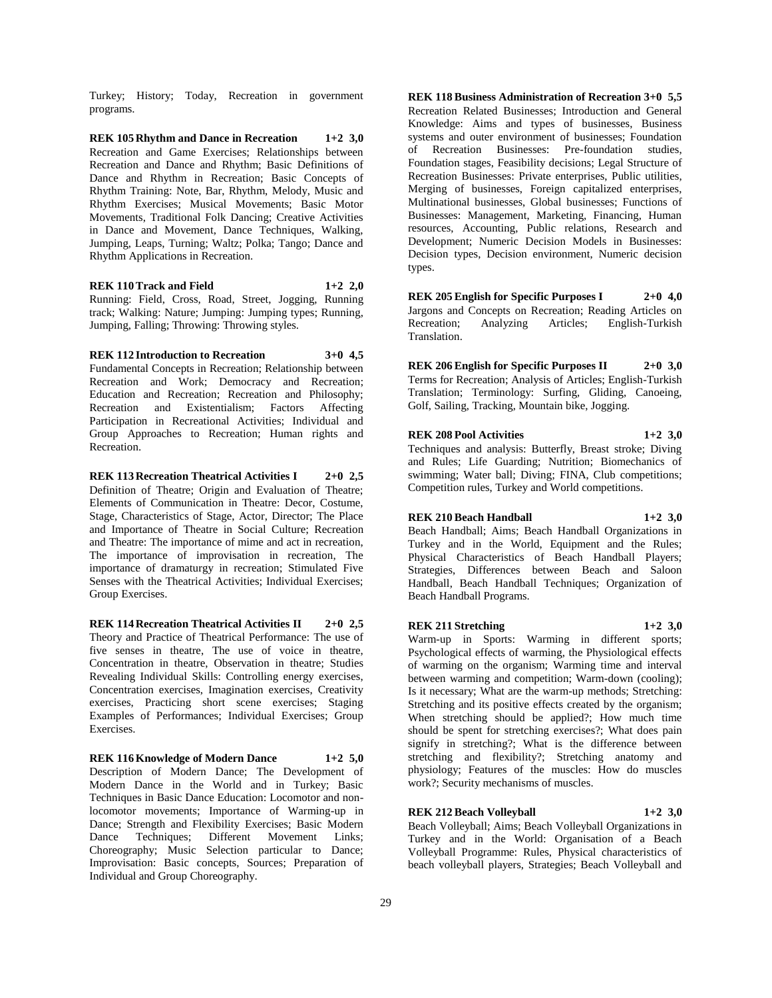Turkey; History; Today, Recreation in government programs.

**REK 105 Rhythm and Dance in Recreation 1+2 3,0** Recreation and Game Exercises; Relationships between Recreation and Dance and Rhythm; Basic Definitions of Dance and Rhythm in Recreation; Basic Concepts of Rhythm Training: Note, Bar, Rhythm, Melody, Music and Rhythm Exercises; Musical Movements; Basic Motor Movements, Traditional Folk Dancing; Creative Activities in Dance and Movement, Dance Techniques, Walking, Jumping, Leaps, Turning; Waltz; Polka; Tango; Dance and Rhythm Applications in Recreation.

**REK 110 Track and Field 1+2 2,0** Running: Field, Cross, Road, Street, Jogging, Running track; Walking: Nature; Jumping: Jumping types; Running, Jumping, Falling; Throwing: Throwing styles.

**REK 112 Introduction to Recreation 3+0 4,5** Fundamental Concepts in Recreation; Relationship between Recreation and Work; Democracy and Recreation; Education and Recreation; Recreation and Philosophy;<br>Recreation and Existentialism; Factors Affecting Recreation and Existentialism; Factors Participation in Recreational Activities; Individual and Group Approaches to Recreation; Human rights and Recreation.

**REK 113 Recreation Theatrical Activities I 2+0 2,5** Definition of Theatre; Origin and Evaluation of Theatre; Elements of Communication in Theatre: Decor, Costume, Stage, Characteristics of Stage, Actor, Director; The Place and Importance of Theatre in Social Culture; Recreation and Theatre: The importance of mime and act in recreation, The importance of improvisation in recreation, The importance of dramaturgy in recreation; Stimulated Five Senses with the Theatrical Activities; Individual Exercises; Group Exercises.

**REK 114 Recreation Theatrical Activities II 2+0 2,5** Theory and Practice of Theatrical Performance: The use of five senses in theatre, The use of voice in theatre, Concentration in theatre, Observation in theatre; Studies Revealing Individual Skills: Controlling energy exercises, Concentration exercises, Imagination exercises, Creativity exercises, Practicing short scene exercises; Staging Examples of Performances; Individual Exercises; Group Exercises.

#### **REK 116 Knowledge of Modern Dance 1+2 5,0**

Description of Modern Dance; The Development of Modern Dance in the World and in Turkey; Basic Techniques in Basic Dance Education: Locomotor and nonlocomotor movements; Importance of Warming-up in Dance; Strength and Flexibility Exercises; Basic Modern Dance Techniques; Different Movement Links; Choreography; Music Selection particular to Dance; Improvisation: Basic concepts, Sources; Preparation of Individual and Group Choreography.

**REK 118 Business Administration of Recreation 3+0 5,5** Recreation Related Businesses; Introduction and General Knowledge: Aims and types of businesses, Business systems and outer environment of businesses; Foundation of Recreation Businesses: Pre-foundation studies, Foundation stages, Feasibility decisions; Legal Structure of Recreation Businesses: Private enterprises, Public utilities, Merging of businesses, Foreign capitalized enterprises, Multinational businesses, Global businesses; Functions of Businesses: Management, Marketing, Financing, Human resources, Accounting, Public relations, Research and Development; Numeric Decision Models in Businesses: Decision types, Decision environment, Numeric decision types.

**REK 205 English for Specific Purposes I 2+0 4,0** Jargons and Concepts on Recreation; Reading Articles on Recreation; Analyzing Articles; English-Turkish Translation.

**REK 206 English for Specific Purposes II 2+0 3,0** Terms for Recreation; Analysis of Articles; English-Turkish Translation; Terminology: Surfing, Gliding, Canoeing, Golf, Sailing, Tracking, Mountain bike, Jogging.

**REK 208 Pool Activities 1+2 3,0** Techniques and analysis: Butterfly, Breast stroke; Diving and Rules; Life Guarding; Nutrition; Biomechanics of swimming; Water ball; Diving; FINA, Club competitions; Competition rules, Turkey and World competitions.

#### **REK 210 Beach Handball 1+2 3,0**

Beach Handball; Aims; Beach Handball Organizations in Turkey and in the World, Equipment and the Rules; Physical Characteristics of Beach Handball Players; Strategies, Differences between Beach and Saloon Handball, Beach Handball Techniques; Organization of Beach Handball Programs.

#### **REK 211 Stretching 1+2 3,0**

Warm-up in Sports: Warming in different sports; Psychological effects of warming, the Physiological effects of warming on the organism; Warming time and interval between warming and competition; Warm-down (cooling); Is it necessary; What are the warm-up methods; Stretching: Stretching and its positive effects created by the organism; When stretching should be applied?; How much time should be spent for stretching exercises?; What does pain signify in stretching?; What is the difference between stretching and flexibility?; Stretching anatomy and physiology; Features of the muscles: How do muscles work?; Security mechanisms of muscles.

# **REK 212 Beach Volleyball 1+2 3,0**

Beach Volleyball; Aims; Beach Volleyball Organizations in Turkey and in the World: Organisation of a Beach Volleyball Programme: Rules, Physical characteristics of beach volleyball players, Strategies; Beach Volleyball and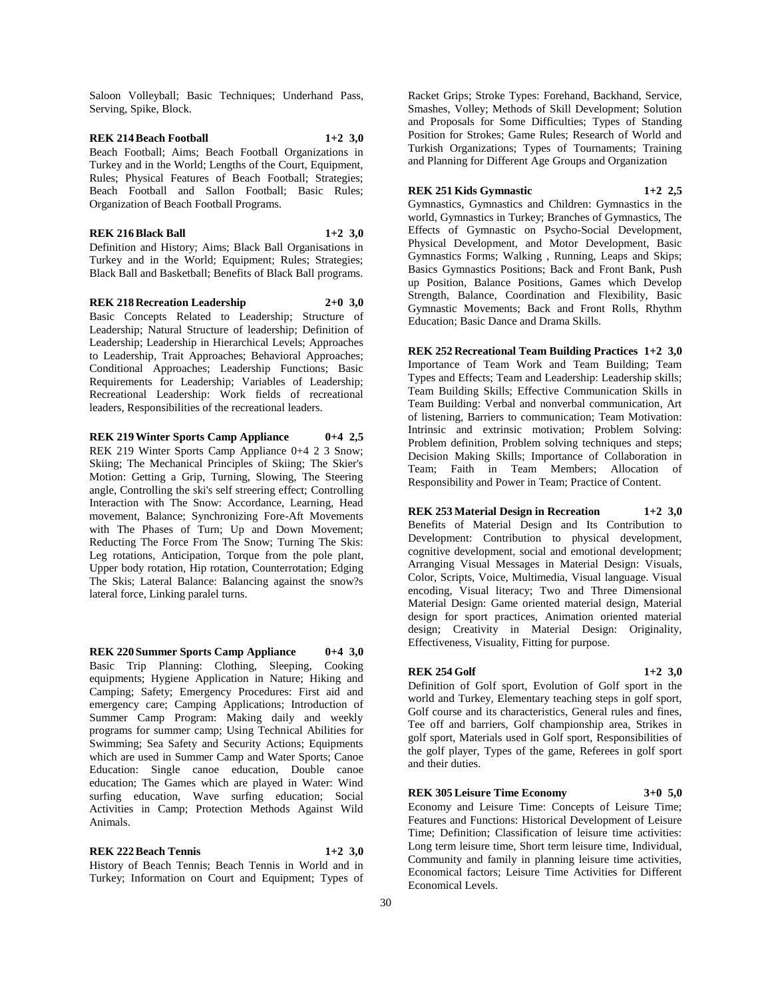Saloon Volleyball; Basic Techniques; Underhand Pass, Serving, Spike, Block.

**REK 214 Beach Football 1+2 3,0** Beach Football; Aims; Beach Football Organizations in Turkey and in the World; Lengths of the Court, Equipment, Rules; Physical Features of Beach Football; Strategies; Beach Football and Sallon Football; Basic Rules; Organization of Beach Football Programs.

#### **REK 216 Black Ball 1+2 3,0**

Definition and History; Aims; Black Ball Organisations in Turkey and in the World; Equipment; Rules; Strategies; Black Ball and Basketball; Benefits of Black Ball programs.

**REK 218 Recreation Leadership 2+0 3,0** Basic Concepts Related to Leadership; Structure of Leadership; Natural Structure of leadership; Definition of Leadership; Leadership in Hierarchical Levels; Approaches to Leadership, Trait Approaches; Behavioral Approaches; Conditional Approaches; Leadership Functions; Basic Requirements for Leadership; Variables of Leadership; Recreational Leadership: Work fields of recreational leaders, Responsibilities of the recreational leaders.

**REK 219 Winter Sports Camp Appliance 0+4 2,5** REK 219 Winter Sports Camp Appliance 0+4 2 3 Snow; Skiing; The Mechanical Principles of Skiing; The Skier's Motion: Getting a Grip, Turning, Slowing, The Steering angle, Controlling the ski's self streering effect; Controlling Interaction with The Snow: Accordance, Learning, Head movement, Balance; Synchronizing Fore-Aft Movements with The Phases of Turn; Up and Down Movement; Reducting The Force From The Snow; Turning The Skis: Leg rotations, Anticipation, Torque from the pole plant, Upper body rotation, Hip rotation, Counterrotation; Edging The Skis; Lateral Balance: Balancing against the snow?s lateral force, Linking paralel turns.

**REK 220 Summer Sports Camp Appliance 0+4 3,0** Basic Trip Planning: Clothing, Sleeping, Cooking equipments; Hygiene Application in Nature; Hiking and Camping; Safety; Emergency Procedures: First aid and emergency care; Camping Applications; Introduction of Summer Camp Program: Making daily and weekly programs for summer camp; Using Technical Abilities for Swimming; Sea Safety and Security Actions; Equipments which are used in Summer Camp and Water Sports; Canoe Education: Single canoe education, Double canoe education; The Games which are played in Water: Wind surfing education, Wave surfing education; Social Activities in Camp; Protection Methods Against Wild Animals.

**REK 222 Beach Tennis 1+2 3,0** History of Beach Tennis; Beach Tennis in World and in Turkey; Information on Court and Equipment; Types of Racket Grips; Stroke Types: Forehand, Backhand, Service, Smashes, Volley; Methods of Skill Development; Solution and Proposals for Some Difficulties; Types of Standing Position for Strokes; Game Rules; Research of World and Turkish Organizations; Types of Tournaments; Training and Planning for Different Age Groups and Organization

# **REK 251 Kids Gymnastic 1+2 2,5**

Gymnastics, Gymnastics and Children: Gymnastics in the world, Gymnastics in Turkey; Branches of Gymnastics, The Effects of Gymnastic on Psycho-Social Development, Physical Development, and Motor Development, Basic Gymnastics Forms; Walking , Running, Leaps and Skips; Basics Gymnastics Positions; Back and Front Bank, Push up Position, Balance Positions, Games which Develop Strength, Balance, Coordination and Flexibility, Basic Gymnastic Movements; Back and Front Rolls, Rhythm

**REK 252 Recreational Team Building Practices 1+2 3,0** Importance of Team Work and Team Building; Team Types and Effects; Team and Leadership: Leadership skills; Team Building Skills; Effective Communication Skills in Team Building: Verbal and nonverbal communication, Art of listening, Barriers to communication; Team Motivation: Intrinsic and extrinsic motivation; Problem Solving: Problem definition, Problem solving techniques and steps; Decision Making Skills; Importance of Collaboration in Team; Faith in Team Members; Allocation of Responsibility and Power in Team; Practice of Content.

Education; Basic Dance and Drama Skills.

**REK 253 Material Design in Recreation 1+2 3,0** Benefits of Material Design and Its Contribution to Development: Contribution to physical development, cognitive development, social and emotional development; Arranging Visual Messages in Material Design: Visuals, Color, Scripts, Voice, Multimedia, Visual language. Visual encoding, Visual literacy; Two and Three Dimensional Material Design: Game oriented material design, Material design for sport practices, Animation oriented material design; Creativity in Material Design: Originality, Effectiveness, Visuality, Fitting for purpose.

#### **REK 254 Golf 1+2 3,0**

Definition of Golf sport, Evolution of Golf sport in the world and Turkey, Elementary teaching steps in golf sport, Golf course and its characteristics, General rules and fines, Tee off and barriers, Golf championship area, Strikes in golf sport, Materials used in Golf sport, Responsibilities of the golf player, Types of the game, Referees in golf sport and their duties.

#### **REK 305 Leisure Time Economy 3+0 5,0**

Economy and Leisure Time: Concepts of Leisure Time; Features and Functions: Historical Development of Leisure Time; Definition; Classification of leisure time activities: Long term leisure time, Short term leisure time, Individual, Community and family in planning leisure time activities, Economical factors; Leisure Time Activities for Different Economical Levels.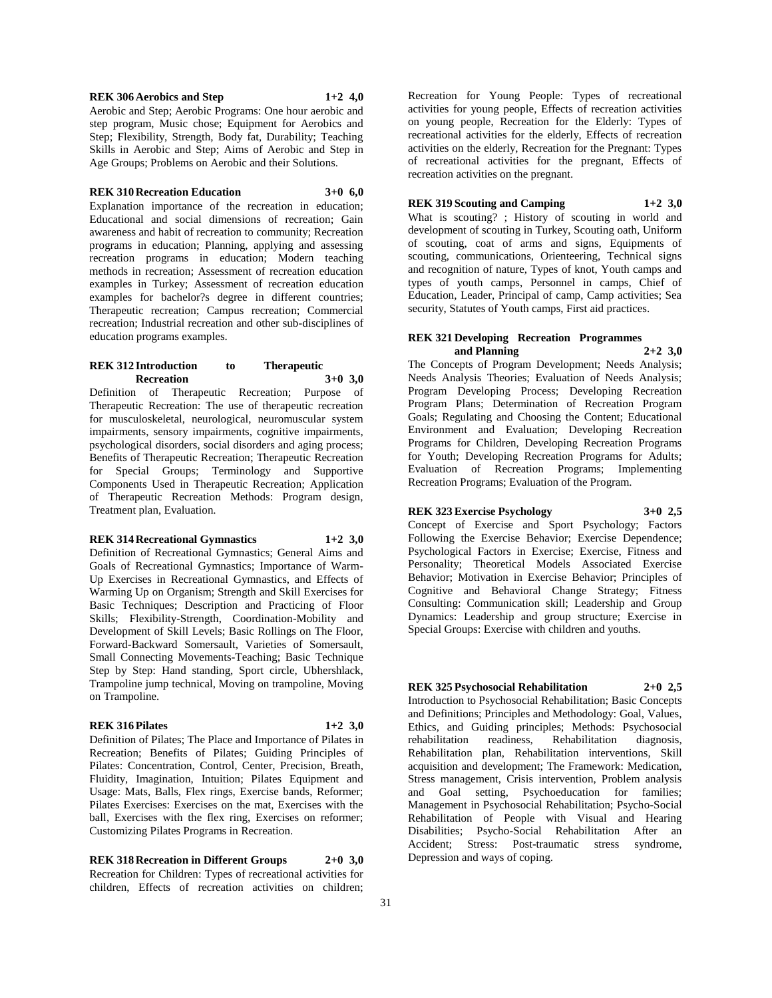#### **REK 306 Aerobics and Step 1+2 4,0**

Aerobic and Step; Aerobic Programs: One hour aerobic and step program, Music chose; Equipment for Aerobics and Step; Flexibility, Strength, Body fat, Durability; Teaching Skills in Aerobic and Step; Aims of Aerobic and Step in Age Groups; Problems on Aerobic and their Solutions.

#### **REK 310 Recreation Education 3+0 6,0**

Explanation importance of the recreation in education; Educational and social dimensions of recreation; Gain awareness and habit of recreation to community; Recreation programs in education; Planning, applying and assessing recreation programs in education; Modern teaching methods in recreation; Assessment of recreation education examples in Turkey; Assessment of recreation education examples for bachelor?s degree in different countries; Therapeutic recreation; Campus recreation; Commercial recreation; Industrial recreation and other sub-disciplines of education programs examples.

#### **REK 312 Introduction to Therapeutic Recreation 3+0 3,0**

Definition of Therapeutic Recreation; Purpose of Therapeutic Recreation: The use of therapeutic recreation for musculoskeletal, neurological, neuromuscular system impairments, sensory impairments, cognitive impairments, psychological disorders, social disorders and aging process; Benefits of Therapeutic Recreation; Therapeutic Recreation for Special Groups; Terminology and Supportive Components Used in Therapeutic Recreation; Application of Therapeutic Recreation Methods: Program design, Treatment plan, Evaluation.

#### **REK 314 Recreational Gymnastics 1+2 3,0**

Definition of Recreational Gymnastics; General Aims and Goals of Recreational Gymnastics; Importance of Warm-Up Exercises in Recreational Gymnastics, and Effects of Warming Up on Organism; Strength and Skill Exercises for Basic Techniques; Description and Practicing of Floor Skills; Flexibility-Strength, Coordination-Mobility and Development of Skill Levels; Basic Rollings on The Floor, Forward-Backward Somersault, Varieties of Somersault, Small Connecting Movements-Teaching; Basic Technique Step by Step: Hand standing, Sport circle, Ubhershlack, Trampoline jump technical, Moving on trampoline, Moving on Trampoline.

#### **REK 316 Pilates 1+2 3,0**

Definition of Pilates; The Place and Importance of Pilates in Recreation; Benefits of Pilates; Guiding Principles of Pilates: Concentration, Control, Center, Precision, Breath, Fluidity, Imagination, Intuition; Pilates Equipment and Usage: Mats, Balls, Flex rings, Exercise bands, Reformer; Pilates Exercises: Exercises on the mat, Exercises with the ball, Exercises with the flex ring, Exercises on reformer; Customizing Pilates Programs in Recreation.

**REK 318 Recreation in Different Groups 2+0 3,0** Recreation for Children: Types of recreational activities for children, Effects of recreation activities on children;

Recreation for Young People: Types of recreational activities for young people, Effects of recreation activities on young people, Recreation for the Elderly: Types of recreational activities for the elderly, Effects of recreation activities on the elderly, Recreation for the Pregnant: Types of recreational activities for the pregnant, Effects of recreation activities on the pregnant.

#### **REK 319 Scouting and Camping 1+2 3,0**

What is scouting? ; History of scouting in world and development of scouting in Turkey, Scouting oath, Uniform of scouting, coat of arms and signs, Equipments of scouting, communications, Orienteering, Technical signs and recognition of nature, Types of knot, Youth camps and types of youth camps, Personnel in camps, Chief of Education, Leader, Principal of camp, Camp activities; Sea security, Statutes of Youth camps, First aid practices.

#### **REK 321 Developing Recreation Programmes and Planning 2+2 3,0**

The Concepts of Program Development; Needs Analysis; Needs Analysis Theories; Evaluation of Needs Analysis; Program Developing Process; Developing Recreation Program Plans; Determination of Recreation Program Goals; Regulating and Choosing the Content; Educational Environment and Evaluation; Developing Recreation Programs for Children, Developing Recreation Programs for Youth; Developing Recreation Programs for Adults; Evaluation of Recreation Programs; Implementing Recreation Programs; Evaluation of the Program.

# **REK 323 Exercise Psychology 3+0 2,5**

Concept of Exercise and Sport Psychology; Factors Following the Exercise Behavior; Exercise Dependence; Psychological Factors in Exercise; Exercise, Fitness and Personality; Theoretical Models Associated Exercise Behavior; Motivation in Exercise Behavior; Principles of Cognitive and Behavioral Change Strategy; Fitness Consulting: Communication skill; Leadership and Group Dynamics: Leadership and group structure; Exercise in Special Groups: Exercise with children and youths.

Depression and ways of coping.

**REK 325 Psychosocial Rehabilitation 2+0 2,5** Introduction to Psychosocial Rehabilitation; Basic Concepts and Definitions; Principles and Methodology: Goal, Values, Ethics, and Guiding principles; Methods: Psychosocial rehabilitation readiness, Rehabilitation diagnosis, Rehabilitation plan, Rehabilitation interventions, Skill acquisition and development; The Framework: Medication, Stress management, Crisis intervention, Problem analysis and Goal setting, Psychoeducation for families; Management in Psychosocial Rehabilitation; Psycho-Social Rehabilitation of People with Visual and Hearing Disabilities; Psycho-Social Rehabilitation After an Accident; Stress: Post-traumatic stress syndrome,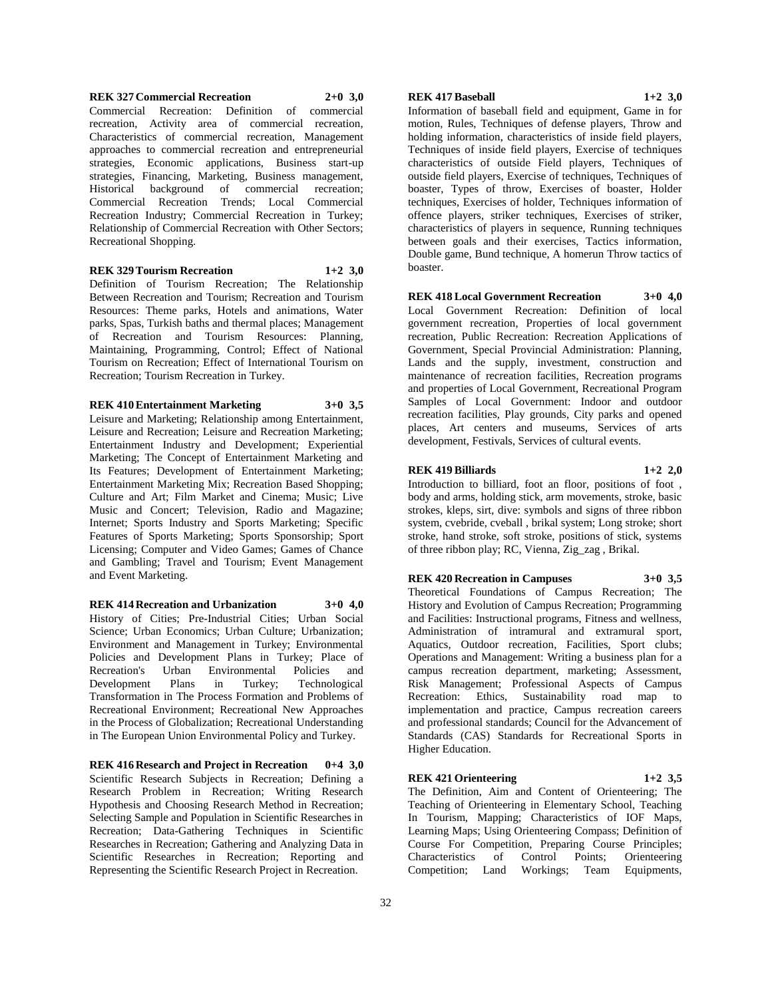#### **REK 327 Commercial Recreation 2+0 3,0** Commercial Recreation: Definition of commercial recreation, Activity area of commercial recreation, Characteristics of commercial recreation, Management approaches to commercial recreation and entrepreneurial strategies, Economic applications, Business start-up strategies, Financing, Marketing, Business management, Historical background of commercial recreation; Commercial Recreation Trends; Local Commercial Recreation Industry; Commercial Recreation in Turkey; Relationship of Commercial Recreation with Other Sectors;

#### **REK 329 Tourism Recreation 1+2 3,0**

Recreational Shopping.

Definition of Tourism Recreation; The Relationship Between Recreation and Tourism; Recreation and Tourism Resources: Theme parks, Hotels and animations, Water parks, Spas, Turkish baths and thermal places; Management of Recreation and Tourism Resources: Planning, Maintaining, Programming, Control; Effect of National Tourism on Recreation; Effect of International Tourism on Recreation; Tourism Recreation in Turkey.

#### **REK 410 Entertainment Marketing 3+0 3,5**

Leisure and Marketing; Relationship among Entertainment, Leisure and Recreation; Leisure and Recreation Marketing; Entertainment Industry and Development; Experiential Marketing; The Concept of Entertainment Marketing and Its Features; Development of Entertainment Marketing; Entertainment Marketing Mix; Recreation Based Shopping; Culture and Art; Film Market and Cinema; Music; Live Music and Concert; Television, Radio and Magazine; Internet; Sports Industry and Sports Marketing; Specific Features of Sports Marketing; Sports Sponsorship; Sport Licensing; Computer and Video Games; Games of Chance and Gambling; Travel and Tourism; Event Management and Event Marketing.

**REK 414 Recreation and Urbanization 3+0 4,0** History of Cities; Pre-Industrial Cities; Urban Social Science; Urban Economics; Urban Culture; Urbanization; Environment and Management in Turkey; Environmental Policies and Development Plans in Turkey; Place of Recreation's Urban Environmental Policies and Development Plans in Turkey; Technological Transformation in The Process Formation and Problems of Recreational Environment; Recreational New Approaches in the Process of Globalization; Recreational Understanding in The European Union Environmental Policy and Turkey.

**REK 416 Research and Project in Recreation 0+4 3,0** Scientific Research Subjects in Recreation; Defining a Research Problem in Recreation; Writing Research Hypothesis and Choosing Research Method in Recreation; Selecting Sample and Population in Scientific Researches in Recreation; Data-Gathering Techniques in Scientific Researches in Recreation; Gathering and Analyzing Data in Scientific Researches in Recreation; Reporting and Representing the Scientific Research Project in Recreation.

# **REK 417 Baseball 1+2 3,0**

Information of baseball field and equipment, Game in for motion, Rules, Techniques of defense players, Throw and holding information, characteristics of inside field players, Techniques of inside field players, Exercise of techniques characteristics of outside Field players, Techniques of outside field players, Exercise of techniques, Techniques of boaster, Types of throw, Exercises of boaster, Holder techniques, Exercises of holder, Techniques information of offence players, striker techniques, Exercises of striker, characteristics of players in sequence, Running techniques between goals and their exercises, Tactics information, Double game, Bund technique, A homerun Throw tactics of boaster.

#### **REK 418 Local Government Recreation 3+0 4,0**

Local Government Recreation: Definition of local government recreation, Properties of local government recreation, Public Recreation: Recreation Applications of Government, Special Provincial Administration: Planning, Lands and the supply, investment, construction and maintenance of recreation facilities, Recreation programs and properties of Local Government, Recreational Program Samples of Local Government: Indoor and outdoor recreation facilities, Play grounds, City parks and opened places, Art centers and museums, Services of arts development, Festivals, Services of cultural events.

#### **REK 419 Billiards 1+2 2,0**

Introduction to billiard, foot an floor, positions of foot , body and arms, holding stick, arm movements, stroke, basic strokes, kleps, sirt, dive: symbols and signs of three ribbon system, cvebride, cveball , brikal system; Long stroke; short stroke, hand stroke, soft stroke, positions of stick, systems of three ribbon play; RC, Vienna, Zig\_zag , Brikal.

**REK 420 Recreation in Campuses 3+0 3,5**

Theoretical Foundations of Campus Recreation; The History and Evolution of Campus Recreation; Programming and Facilities: Instructional programs, Fitness and wellness, Administration of intramural and extramural sport, Aquatics, Outdoor recreation, Facilities, Sport clubs; Operations and Management: Writing a business plan for a campus recreation department, marketing; Assessment, Risk Management; Professional Aspects of Campus Recreation: Ethics, Sustainability road map to implementation and practice, Campus recreation careers and professional standards; Council for the Advancement of Standards (CAS) Standards for Recreational Sports in Higher Education.

#### **REK 421 Orienteering 1+2 3,5**

The Definition, Aim and Content of Orienteering; The Teaching of Orienteering in Elementary School, Teaching In Tourism, Mapping; Characteristics of IOF Maps, Learning Maps; Using Orienteering Compass; Definition of Course For Competition, Preparing Course Principles; Characteristics of Control Points; Orienteering Competition; Land Workings; Team Equipments,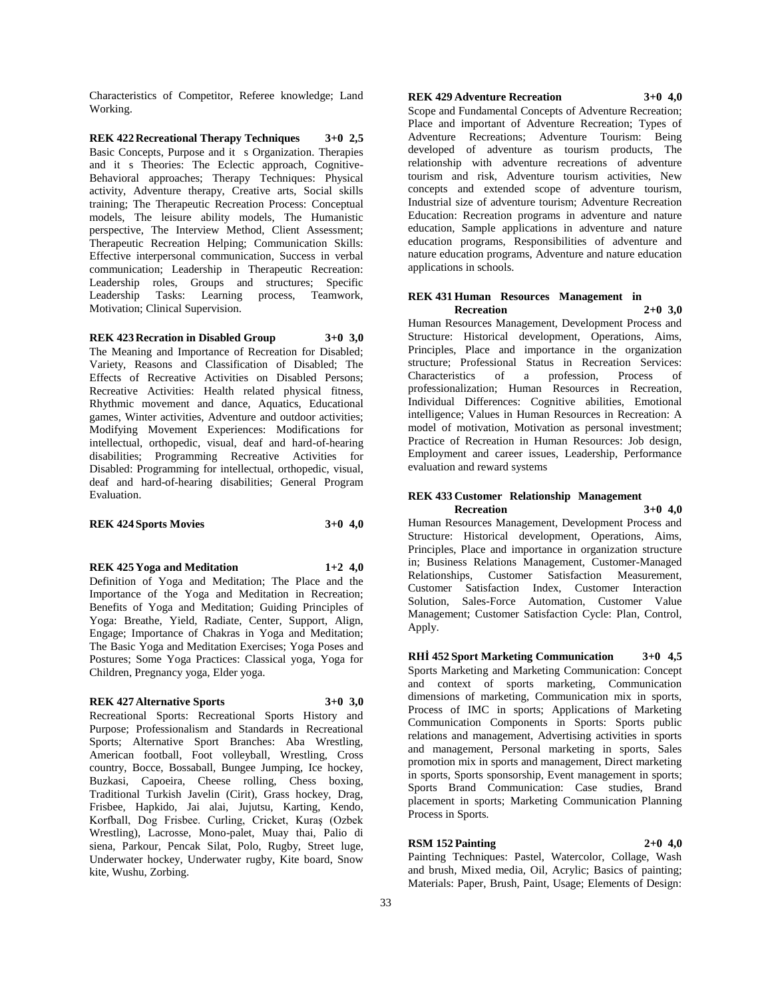Characteristics of Competitor, Referee knowledge; Land Working.

**REK 422 Recreational Therapy Techniques 3+0 2,5** Basic Concepts, Purpose and it s Organization. Therapies and it s Theories: The Eclectic approach, Cognitive-Behavioral approaches; Therapy Techniques: Physical activity, Adventure therapy, Creative arts, Social skills training; The Therapeutic Recreation Process: Conceptual models, The leisure ability models, The Humanistic perspective, The Interview Method, Client Assessment; Therapeutic Recreation Helping; Communication Skills: Effective interpersonal communication, Success in verbal communication; Leadership in Therapeutic Recreation: Leadership roles, Groups and structures; Specific Leadership Tasks: Learning process, Teamwork, Motivation; Clinical Supervision.

#### **REK 423 Recration in Disabled Group 3+0 3,0**

The Meaning and Importance of Recreation for Disabled; Variety, Reasons and Classification of Disabled; The Effects of Recreative Activities on Disabled Persons; Recreative Activities: Health related physical fitness, Rhythmic movement and dance, Aquatics, Educational games, Winter activities, Adventure and outdoor activities; Modifying Movement Experiences: Modifications for intellectual, orthopedic, visual, deaf and hard-of-hearing disabilities; Programming Recreative Activities for Disabled: Programming for intellectual, orthopedic, visual, deaf and hard-of-hearing disabilities; General Program Evaluation.

#### **REK 424 Sports Movies 3+0 4,0**

**REK 425 Yoga and Meditation 1+2 4,0**

Definition of Yoga and Meditation; The Place and the Importance of the Yoga and Meditation in Recreation; Benefits of Yoga and Meditation; Guiding Principles of Yoga: Breathe, Yield, Radiate, Center, Support, Align, Engage; Importance of Chakras in Yoga and Meditation; The Basic Yoga and Meditation Exercises; Yoga Poses and Postures; Some Yoga Practices: Classical yoga, Yoga for Children, Pregnancy yoga, Elder yoga.

#### **REK 427 Alternative Sports 3+0 3,0**

Recreational Sports: Recreational Sports History and Purpose; Professionalism and Standards in Recreational Sports; Alternative Sport Branches: Aba Wrestling, American football, Foot volleyball, Wrestling, Cross country, Bocce, Bossaball, Bungee Jumping, Ice hockey, Buzkasi, Capoeira, Cheese rolling, Chess boxing, Traditional Turkish Javelin (Cirit), Grass hockey, Drag, Frisbee, Hapkido, Jai alai, Jujutsu, Karting, Kendo, Korfball, Dog Frisbee. Curling, Cricket, Kuraş (Ozbek Wrestling), Lacrosse, Mono-palet, Muay thai, Palio di siena, Parkour, Pencak Silat, Polo, Rugby, Street luge, Underwater hockey, Underwater rugby, Kite board, Snow kite, Wushu, Zorbing.

# **REK 429 Adventure Recreation 3+0 4,0**

Scope and Fundamental Concepts of Adventure Recreation; Place and important of Adventure Recreation; Types of Adventure Recreations; Adventure Tourism: Being developed of adventure as tourism products, The relationship with adventure recreations of adventure tourism and risk, Adventure tourism activities, New concepts and extended scope of adventure tourism, Industrial size of adventure tourism; Adventure Recreation Education: Recreation programs in adventure and nature education, Sample applications in adventure and nature education programs, Responsibilities of adventure and nature education programs, Adventure and nature education applications in schools.

#### **REK 431 Human Resources Management in Recreation 2+0 3,0**

Human Resources Management, Development Process and Structure: Historical development, Operations, Aims, Principles, Place and importance in the organization structure; Professional Status in Recreation Services: Characteristics of a profession, Process of professionalization; Human Resources in Recreation, Individual Differences: Cognitive abilities, Emotional intelligence; Values in Human Resources in Recreation: A model of motivation, Motivation as personal investment; Practice of Recreation in Human Resources: Job design, Employment and career issues, Leadership, Performance evaluation and reward systems

#### **REK 433 Customer Relationship Management Recreation 3+0 4,0**

Human Resources Management, Development Process and Structure: Historical development, Operations, Aims, Principles, Place and importance in organization structure in; Business Relations Management, Customer-Managed Relationships, Customer Satisfaction Measurement, Customer Satisfaction Index, Customer Interaction Solution, Sales-Force Automation, Customer Value Management; Customer Satisfaction Cycle: Plan, Control, Apply.

**RHİ 452 Sport Marketing Communication 3+0 4,5** Sports Marketing and Marketing Communication: Concept and context of sports marketing, Communication dimensions of marketing, Communication mix in sports, Process of IMC in sports; Applications of Marketing Communication Components in Sports: Sports public relations and management, Advertising activities in sports and management, Personal marketing in sports, Sales promotion mix in sports and management, Direct marketing in sports, Sports sponsorship, Event management in sports; Sports Brand Communication: Case studies, Brand placement in sports; Marketing Communication Planning Process in Sports.

#### **RSM 152 Painting 2+0 4,0**

Painting Techniques: Pastel, Watercolor, Collage, Wash and brush, Mixed media, Oil, Acrylic; Basics of painting; Materials: Paper, Brush, Paint, Usage; Elements of Design: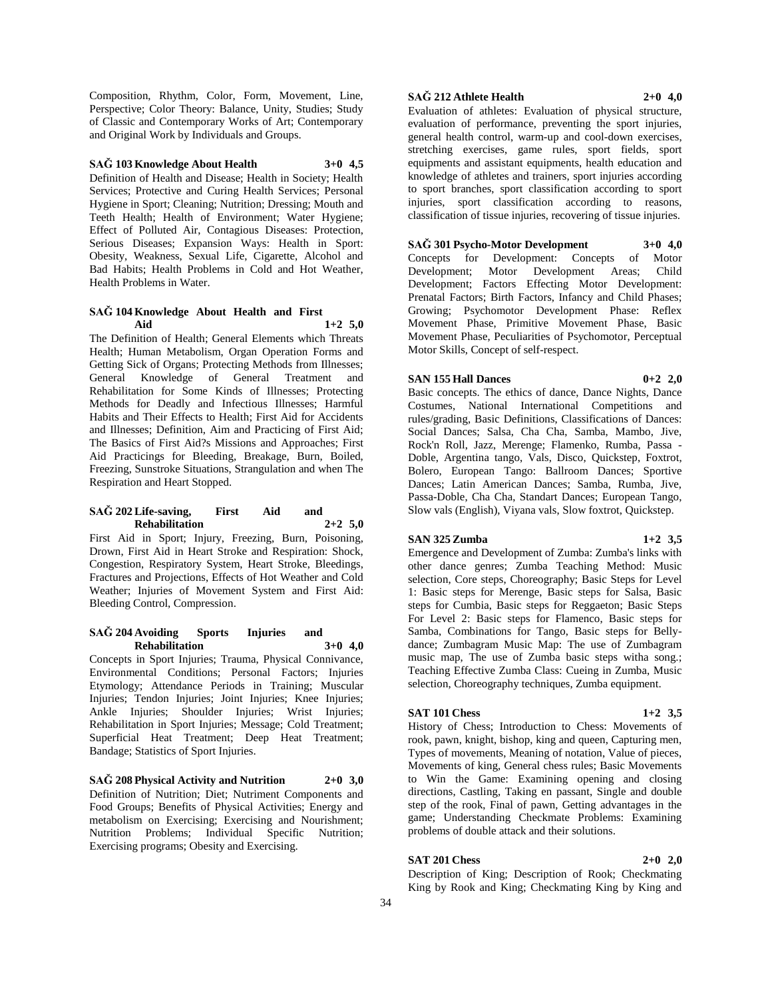Composition, Rhythm, Color, Form, Movement, Line, Perspective; Color Theory: Balance, Unity, Studies; Study of Classic and Contemporary Works of Art; Contemporary and Original Work by Individuals and Groups.

# **SAĞ 103 Knowledge About Health 3+0 4,5**

Definition of Health and Disease; Health in Society; Health Services; Protective and Curing Health Services; Personal Hygiene in Sport; Cleaning; Nutrition; Dressing; Mouth and Teeth Health; Health of Environment; Water Hygiene; Effect of Polluted Air, Contagious Diseases: Protection, Serious Diseases; Expansion Ways: Health in Sport: Obesity, Weakness, Sexual Life, Cigarette, Alcohol and Bad Habits; Health Problems in Cold and Hot Weather, Health Problems in Water.

#### **SAĞ 104 Knowledge About Health and First Aid 1+2 5,0**

The Definition of Health; General Elements which Threats Health; Human Metabolism, Organ Operation Forms and Getting Sick of Organs; Protecting Methods from Illnesses; General Knowledge of General Treatment and Rehabilitation for Some Kinds of Illnesses; Protecting Methods for Deadly and Infectious Illnesses; Harmful Habits and Their Effects to Health; First Aid for Accidents and Illnesses; Definition, Aim and Practicing of First Aid; The Basics of First Aid?s Missions and Approaches; First Aid Practicings for Bleeding, Breakage, Burn, Boiled, Freezing, Sunstroke Situations, Strangulation and when The Respiration and Heart Stopped.

#### **SAĞ 202 Life-saving, First Aid and Rehabilitation 2+2 5,0**

First Aid in Sport; Injury, Freezing, Burn, Poisoning, Drown, First Aid in Heart Stroke and Respiration: Shock, Congestion, Respiratory System, Heart Stroke, Bleedings, Fractures and Projections, Effects of Hot Weather and Cold Weather; Injuries of Movement System and First Aid: Bleeding Control, Compression.

#### **SAĞ 204 Avoiding Sports Injuries and Rehabilitation 3+0 4,0**

Concepts in Sport Injuries; Trauma, Physical Connivance, Environmental Conditions; Personal Factors; Injuries Etymology; Attendance Periods in Training; Muscular Injuries; Tendon Injuries; Joint Injuries; Knee Injuries; Ankle Injuries; Shoulder Injuries; Wrist Injuries; Rehabilitation in Sport Injuries; Message; Cold Treatment; Superficial Heat Treatment; Deep Heat Treatment; Bandage; Statistics of Sport Injuries.

#### **SAĞ 208 Physical Activity and Nutrition 2+0 3,0** Definition of Nutrition; Diet; Nutriment Components and Food Groups; Benefits of Physical Activities; Energy and metabolism on Exercising; Exercising and Nourishment; Nutrition Problems; Individual Specific Nutrition; Exercising programs; Obesity and Exercising.

#### **SAĞ 212 Athlete Health 2+0 4,0**

Evaluation of athletes: Evaluation of physical structure, evaluation of performance, preventing the sport injuries, general health control, warm-up and cool-down exercises, stretching exercises, game rules, sport fields, sport equipments and assistant equipments, health education and knowledge of athletes and trainers, sport injuries according to sport branches, sport classification according to sport injuries, sport classification according to reasons,

**SAĞ 301 Psycho-Motor Development 3+0 4,0** Concepts for Development: Concepts of Motor Development; Motor Development Areas; Child Development; Factors Effecting Motor Development: Prenatal Factors; Birth Factors, Infancy and Child Phases; Growing; Psychomotor Development Phase: Reflex Movement Phase, Primitive Movement Phase, Basic Movement Phase, Peculiarities of Psychomotor, Perceptual Motor Skills, Concept of self-respect.

classification of tissue injuries, recovering of tissue injuries.

#### **SAN 155 Hall Dances 0+2 2,0**

Basic concepts. The ethics of dance, Dance Nights, Dance Costumes, National International Competitions and rules/grading, Basic Definitions, Classifications of Dances: Social Dances; Salsa, Cha Cha, Samba, Mambo, Jive, Rock'n Roll, Jazz, Merenge; Flamenko, Rumba, Passa - Doble, Argentina tango, Vals, Disco, Quickstep, Foxtrot, Bolero, European Tango: Ballroom Dances; Sportive Dances; Latin American Dances; Samba, Rumba, Jive, Passa-Doble, Cha Cha, Standart Dances; European Tango, Slow vals (English), Viyana vals, Slow foxtrot, Quickstep.

#### **SAN 325 Zumba 1+2 3,5**

Emergence and Development of Zumba: Zumba's links with other dance genres; Zumba Teaching Method: Music selection, Core steps, Choreography; Basic Steps for Level 1: Basic steps for Merenge, Basic steps for Salsa, Basic steps for Cumbia, Basic steps for Reggaeton; Basic Steps For Level 2: Basic steps for Flamenco, Basic steps for Samba, Combinations for Tango, Basic steps for Bellydance; Zumbagram Music Map: The use of Zumbagram music map, The use of Zumba basic steps witha song.; Teaching Effective Zumba Class: Cueing in Zumba, Music selection, Choreography techniques, Zumba equipment.

#### **SAT 101 Chess 1+2 3,5**

History of Chess; Introduction to Chess: Movements of rook, pawn, knight, bishop, king and queen, Capturing men, Types of movements, Meaning of notation, Value of pieces, Movements of king, General chess rules; Basic Movements to Win the Game: Examining opening and closing directions, Castling, Taking en passant, Single and double step of the rook, Final of pawn, Getting advantages in the game; Understanding Checkmate Problems: Examining problems of double attack and their solutions.

#### **SAT 201 Chess 2+0 2,0**

Description of King; Description of Rook; Checkmating King by Rook and King; Checkmating King by King and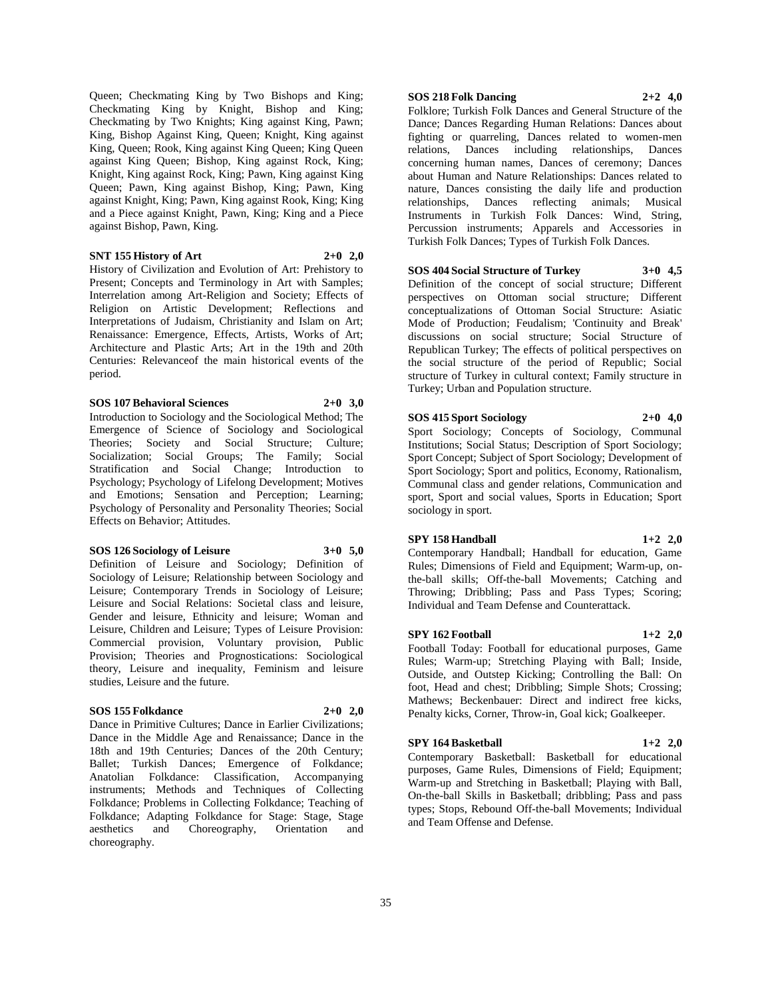Queen; Checkmating King by Two Bishops and King; Checkmating King by Knight, Bishop and King; Checkmating by Two Knights; King against King, Pawn; King, Bishop Against King, Queen; Knight, King against King, Queen; Rook, King against King Queen; King Queen against King Queen; Bishop, King against Rock, King; Knight, King against Rock, King; Pawn, King against King Queen; Pawn, King against Bishop, King; Pawn, King against Knight, King; Pawn, King against Rook, King; King and a Piece against Knight, Pawn, King; King and a Piece against Bishop, Pawn, King.

#### **SNT 155 History of Art 2+0 2,0**

History of Civilization and Evolution of Art: Prehistory to Present; Concepts and Terminology in Art with Samples; Interrelation among Art-Religion and Society; Effects of Religion on Artistic Development; Reflections and Interpretations of Judaism, Christianity and Islam on Art; Renaissance: Emergence, Effects, Artists, Works of Art; Architecture and Plastic Arts; Art in the 19th and 20th Centuries: Relevanceof the main historical events of the period.

# **SOS 107 Behavioral Sciences 2+0 3,0**

Introduction to Sociology and the Sociological Method; The Emergence of Science of Sociology and Sociological Theories; Society and Social Structure; Culture; Socialization; Social Groups; The Family; Social Stratification and Social Change; Introduction to Psychology; Psychology of Lifelong Development; Motives and Emotions; Sensation and Perception; Learning; Psychology of Personality and Personality Theories; Social Effects on Behavior; Attitudes.

#### **SOS 126 Sociology of Leisure 3+0 5,0**

Definition of Leisure and Sociology; Definition of Sociology of Leisure; Relationship between Sociology and Leisure; Contemporary Trends in Sociology of Leisure; Leisure and Social Relations: Societal class and leisure, Gender and leisure, Ethnicity and leisure; Woman and Leisure, Children and Leisure; Types of Leisure Provision: Commercial provision, Voluntary provision, Public Provision; Theories and Prognostications: Sociological theory, Leisure and inequality, Feminism and leisure studies, Leisure and the future.

#### **SOS 155 Folkdance 2+0 2,0**

Dance in Primitive Cultures; Dance in Earlier Civilizations; Dance in the Middle Age and Renaissance; Dance in the 18th and 19th Centuries; Dances of the 20th Century; Ballet; Turkish Dances; Emergence of Folkdance; Anatolian Folkdance: Classification, Accompanying instruments; Methods and Techniques of Collecting Folkdance; Problems in Collecting Folkdance; Teaching of Folkdance; Adapting Folkdance for Stage: Stage, Stage aesthetics and Choreography, Orientation and choreography.

# **SOS 218 Folk Dancing 2+2 4,0**

Folklore; Turkish Folk Dances and General Structure of the Dance; Dances Regarding Human Relations: Dances about fighting or quarreling, Dances related to women-men relations, Dances including relationships, Dances concerning human names, Dances of ceremony; Dances about Human and Nature Relationships: Dances related to nature, Dances consisting the daily life and production relationships, Dances reflecting animals; Musical Instruments in Turkish Folk Dances: Wind, String, Percussion instruments; Apparels and Accessories in Turkish Folk Dances; Types of Turkish Folk Dances.

#### **SOS 404 Social Structure of Turkey 3+0 4,5**

Definition of the concept of social structure; Different perspectives on Ottoman social structure; Different conceptualizations of Ottoman Social Structure: Asiatic Mode of Production; Feudalism; 'Continuity and Break' discussions on social structure; Social Structure of Republican Turkey; The effects of political perspectives on the social structure of the period of Republic; Social structure of Turkey in cultural context; Family structure in Turkey; Urban and Population structure.

#### **SOS 415 Sport Sociology 2+0 4,0**

Sport Sociology; Concepts of Sociology, Communal Institutions; Social Status; Description of Sport Sociology; Sport Concept; Subject of Sport Sociology; Development of Sport Sociology; Sport and politics, Economy, Rationalism, Communal class and gender relations, Communication and sport, Sport and social values, Sports in Education; Sport sociology in sport.

#### **SPY 158 Handball 1+2 2,0**

Contemporary Handball; Handball for education, Game Rules; Dimensions of Field and Equipment; Warm-up, onthe-ball skills; Off-the-ball Movements; Catching and Throwing; Dribbling; Pass and Pass Types; Scoring; Individual and Team Defense and Counterattack.

#### **SPY 162 Football 1+2 2,0**

Football Today: Football for educational purposes, Game Rules; Warm-up; Stretching Playing with Ball; Inside, Outside, and Outstep Kicking; Controlling the Ball: On foot, Head and chest; Dribbling; Simple Shots; Crossing; Mathews; Beckenbauer: Direct and indirect free kicks, Penalty kicks, Corner, Throw-in, Goal kick; Goalkeeper.

#### **SPY 164 Basketball 1+2 2,0**

Contemporary Basketball: Basketball for educational purposes, Game Rules, Dimensions of Field; Equipment; Warm-up and Stretching in Basketball; Playing with Ball, On-the-ball Skills in Basketball; dribbling; Pass and pass types; Stops, Rebound Off-the-ball Movements; Individual and Team Offense and Defense.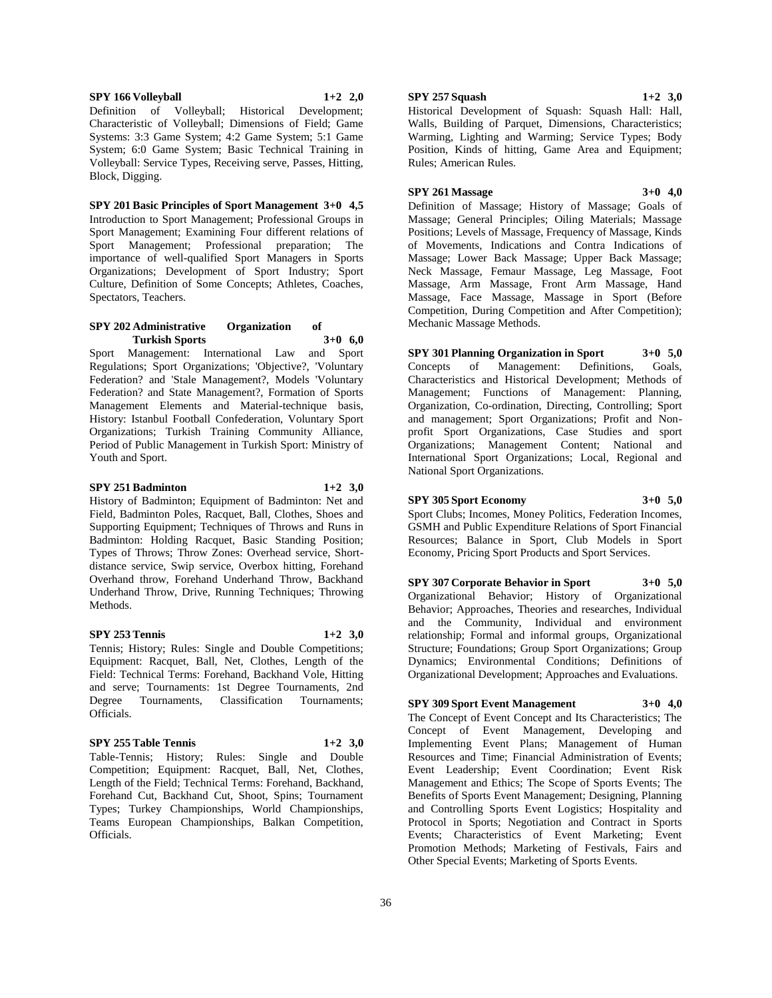#### **SPY 166 Volleyball 1+2 2,0**

Definition of Volleyball; Historical Development; Characteristic of Volleyball; Dimensions of Field; Game Systems: 3:3 Game System; 4:2 Game System; 5:1 Game System; 6:0 Game System; Basic Technical Training in Volleyball: Service Types, Receiving serve, Passes, Hitting, Block, Digging.

**SPY 201 Basic Principles of Sport Management 3+0 4,5** Introduction to Sport Management; Professional Groups in Sport Management; Examining Four different relations of Sport Management; Professional preparation; The importance of well-qualified Sport Managers in Sports Organizations; Development of Sport Industry; Sport Culture, Definition of Some Concepts; Athletes, Coaches, Spectators, Teachers.

#### **SPY 202 Administrative Organization of Turkish Sports 3+0 6,0**

Sport Management: International Law and Sport Regulations; Sport Organizations; 'Objective?, 'Voluntary Federation? and 'Stale Management?, Models 'Voluntary Federation? and State Management?, Formation of Sports Management Elements and Material-technique basis, History: Istanbul Football Confederation, Voluntary Sport Organizations; Turkish Training Community Alliance, Period of Public Management in Turkish Sport: Ministry of Youth and Sport.

#### **SPY 251 Badminton 1+2 3,0**

History of Badminton; Equipment of Badminton: Net and Field, Badminton Poles, Racquet, Ball, Clothes, Shoes and Supporting Equipment; Techniques of Throws and Runs in Badminton: Holding Racquet, Basic Standing Position; Types of Throws; Throw Zones: Overhead service, Shortdistance service, Swip service, Overbox hitting, Forehand Overhand throw, Forehand Underhand Throw, Backhand Underhand Throw, Drive, Running Techniques; Throwing Methods.

#### **SPY 253 Tennis 1+2 3,0**

Tennis; History; Rules: Single and Double Competitions; Equipment: Racquet, Ball, Net, Clothes, Length of the Field: Technical Terms: Forehand, Backhand Vole, Hitting and serve; Tournaments: 1st Degree Tournaments, 2nd Degree Tournaments, Classification Tournaments; Officials.

#### **SPY 255 Table Tennis 1+2 3,0**

Officials.

Table-Tennis; History; Rules: Single and Double Competition; Equipment: Racquet, Ball, Net, Clothes, Length of the Field; Technical Terms: Forehand, Backhand, Forehand Cut, Backhand Cut, Shoot, Spins; Tournament Types; Turkey Championships, World Championships, Teams European Championships, Balkan Competition,

36

#### **SPY 257 Squash 1+2 3,0**

Historical Development of Squash: Squash Hall: Hall, Walls, Building of Parquet, Dimensions, Characteristics; Warming, Lighting and Warming; Service Types; Body Position, Kinds of hitting, Game Area and Equipment; Rules; American Rules.

#### **SPY 261 Massage 3+0 4,0**

Definition of Massage; History of Massage; Goals of Massage; General Principles; Oiling Materials; Massage Positions; Levels of Massage, Frequency of Massage, Kinds of Movements, Indications and Contra Indications of Massage; Lower Back Massage; Upper Back Massage; Neck Massage, Femaur Massage, Leg Massage, Foot Massage, Arm Massage, Front Arm Massage, Hand Massage, Face Massage, Massage in Sport (Before Competition, During Competition and After Competition); Mechanic Massage Methods.

**SPY 301 Planning Organization in Sport 3+0 5,0** Concepts of Management: Definitions, Goals, Characteristics and Historical Development; Methods of Management; Functions of Management: Planning, Organization, Co-ordination, Directing, Controlling; Sport and management; Sport Organizations; Profit and Nonprofit Sport Organizations, Case Studies and sport Organizations; Management Content; National and International Sport Organizations; Local, Regional and National Sport Organizations.

# **SPY 305 Sport Economy 3+0 5,0**

Sport Clubs; Incomes, Money Politics, Federation Incomes, GSMH and Public Expenditure Relations of Sport Financial Resources; Balance in Sport, Club Models in Sport Economy, Pricing Sport Products and Sport Services.

**SPY 307 Corporate Behavior in Sport 3+0 5,0** Organizational Behavior; History of Organizational Behavior; Approaches, Theories and researches, Individual and the Community, Individual and environment relationship; Formal and informal groups, Organizational Structure; Foundations; Group Sport Organizations; Group Dynamics; Environmental Conditions; Definitions of Organizational Development; Approaches and Evaluations.

#### **SPY 309 Sport Event Management 3+0 4,0**

The Concept of Event Concept and Its Characteristics; The Concept of Event Management, Developing and Implementing Event Plans; Management of Human Resources and Time; Financial Administration of Events; Event Leadership; Event Coordination; Event Risk Management and Ethics; The Scope of Sports Events; The Benefits of Sports Event Management; Designing, Planning and Controlling Sports Event Logistics; Hospitality and Protocol in Sports; Negotiation and Contract in Sports Events; Characteristics of Event Marketing; Event Promotion Methods; Marketing of Festivals, Fairs and Other Special Events; Marketing of Sports Events.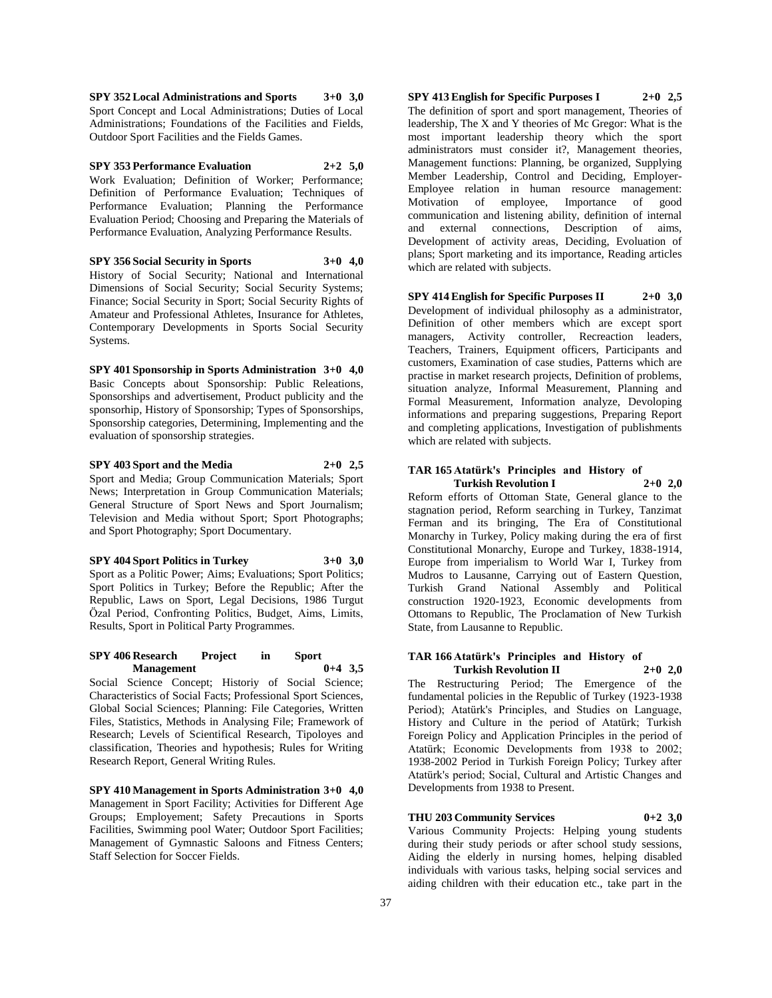**SPY 352 Local Administrations and Sports 3+0 3,0** Sport Concept and Local Administrations; Duties of Local Administrations; Foundations of the Facilities and Fields, Outdoor Sport Facilities and the Fields Games.

**SPY 353 Performance Evaluation 2+2 5,0** Work Evaluation; Definition of Worker; Performance; Definition of Performance Evaluation; Techniques of Performance Evaluation; Planning the Performance Evaluation Period; Choosing and Preparing the Materials of Performance Evaluation, Analyzing Performance Results.

**SPY 356 Social Security in Sports 3+0 4,0** History of Social Security; National and International Dimensions of Social Security; Social Security Systems; Finance; Social Security in Sport; Social Security Rights of Amateur and Professional Athletes, Insurance for Athletes, Contemporary Developments in Sports Social Security Systems.

**SPY 401 Sponsorship in Sports Administration 3+0 4,0** Basic Concepts about Sponsorship: Public Releations, Sponsorships and advertisement, Product publicity and the sponsorhip, History of Sponsorship; Types of Sponsorships, Sponsorship categories, Determining, Implementing and the evaluation of sponsorship strategies.

**SPY 403 Sport and the Media 2+0 2,5** Sport and Media; Group Communication Materials; Sport News; Interpretation in Group Communication Materials; General Structure of Sport News and Sport Journalism; Television and Media without Sport; Sport Photographs; and Sport Photography; Sport Documentary.

**SPY 404 Sport Politics in Turkey 3+0 3,0** Sport as a Politic Power; Aims; Evaluations; Sport Politics; Sport Politics in Turkey; Before the Republic; After the Republic, Laws on Sport, Legal Decisions, 1986 Turgut Özal Period, Confronting Politics, Budget, Aims, Limits, Results, Sport in Political Party Programmes.

#### **SPY 406 Research Project in Sport Management 0+4 3,5**

Social Science Concept; Historiy of Social Science; Characteristics of Social Facts; Professional Sport Sciences, Global Social Sciences; Planning: File Categories, Written Files, Statistics, Methods in Analysing File; Framework of Research; Levels of Scientifical Research, Tipoloyes and classification, Theories and hypothesis; Rules for Writing Research Report, General Writing Rules.

**SPY 410 Management in Sports Administration 3+0 4,0** Management in Sport Facility; Activities for Different Age Groups; Employement; Safety Precautions in Sports Facilities, Swimming pool Water; Outdoor Sport Facilities; Management of Gymnastic Saloons and Fitness Centers; Staff Selection for Soccer Fields.

**SPY 413 English for Specific Purposes I 2+0 2,5** The definition of sport and sport management, Theories of leadership, The X and Y theories of Mc Gregor: What is the most important leadership theory which the sport administrators must consider it?, Management theories, Management functions: Planning, be organized, Supplying Member Leadership, Control and Deciding, Employer-Employee relation in human resource management: Motivation of employee, Importance of good communication and listening ability, definition of internal and external connections, Description of aims, Development of activity areas, Deciding, Evoluation of plans; Sport marketing and its importance, Reading articles which are related with subjects.

**SPY 414 English for Specific Purposes II 2+0 3,0** Development of individual philosophy as a administrator, Definition of other members which are except sport managers, Activity controller, Recreaction leaders, Teachers, Trainers, Equipment officers, Participants and customers, Examination of case studies, Patterns which are practise in market research projects, Definition of problems, situation analyze, Informal Measurement, Planning and Formal Measurement, Information analyze, Devoloping informations and preparing suggestions, Preparing Report and completing applications, Investigation of publishments which are related with subjects.

#### **TAR 165 Atatürk's Principles and History of Turkish Revolution I 2+0 2,0**

Reform efforts of Ottoman State, General glance to the stagnation period, Reform searching in Turkey, Tanzimat Ferman and its bringing, The Era of Constitutional Monarchy in Turkey, Policy making during the era of first Constitutional Monarchy, Europe and Turkey, 1838-1914, Europe from imperialism to World War I, Turkey from Mudros to Lausanne, Carrying out of Eastern Question, Turkish Grand National Assembly and Political construction 1920-1923, Economic developments from Ottomans to Republic, The Proclamation of New Turkish State, from Lausanne to Republic.

#### **TAR 166 Atatürk's Principles and History of Turkish Revolution II 2+0 2,0**

The Restructuring Period; The Emergence of the fundamental policies in the Republic of Turkey (1923-1938 Period); Atatürk's Principles, and Studies on Language, History and Culture in the period of Atatürk; Turkish Foreign Policy and Application Principles in the period of Atatürk; Economic Developments from 1938 to 2002; 1938-2002 Period in Turkish Foreign Policy; Turkey after Atatürk's period; Social, Cultural and Artistic Changes and Developments from 1938 to Present.

# **THU 203 Community Services 0+2 3,0**

Various Community Projects: Helping young students during their study periods or after school study sessions, Aiding the elderly in nursing homes, helping disabled individuals with various tasks, helping social services and aiding children with their education etc., take part in the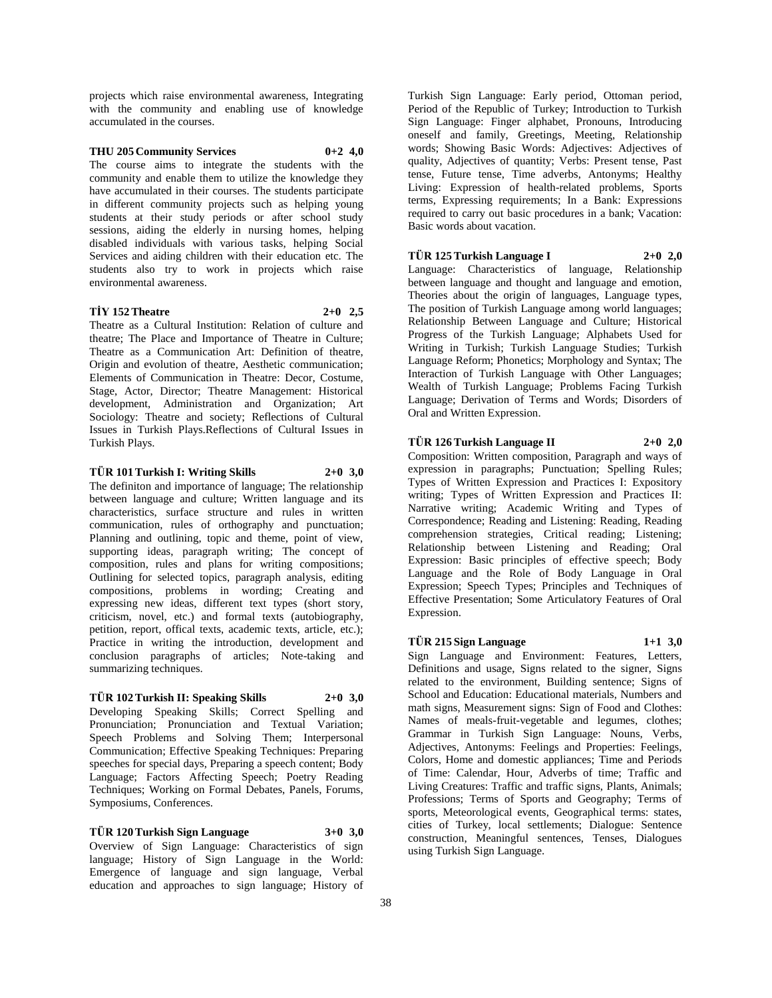projects which raise environmental awareness, Integrating with the community and enabling use of knowledge accumulated in the courses.

# **THU 205 Community Services 0+2 4,0**

The course aims to integrate the students with the community and enable them to utilize the knowledge they have accumulated in their courses. The students participate in different community projects such as helping young students at their study periods or after school study sessions, aiding the elderly in nursing homes, helping disabled individuals with various tasks, helping Social Services and aiding children with their education etc. The students also try to work in projects which raise

## **TİY 152 Theatre 2+0 2,5**

environmental awareness.

Theatre as a Cultural Institution: Relation of culture and theatre; The Place and Importance of Theatre in Culture; Theatre as a Communication Art: Definition of theatre, Origin and evolution of theatre, Aesthetic communication; Elements of Communication in Theatre: Decor, Costume, Stage, Actor, Director; Theatre Management: Historical development, Administration and Organization; Art Sociology: Theatre and society; Reflections of Cultural Issues in Turkish Plays.Reflections of Cultural Issues in Turkish Plays.

#### **TÜR 101 Turkish I: Writing Skills 2+0 3,0**

The definiton and importance of language; The relationship between language and culture; Written language and its characteristics, surface structure and rules in written communication, rules of orthography and punctuation; Planning and outlining, topic and theme, point of view, supporting ideas, paragraph writing; The concept of composition, rules and plans for writing compositions; Outlining for selected topics, paragraph analysis, editing compositions, problems in wording; Creating and expressing new ideas, different text types (short story, criticism, novel, etc.) and formal texts (autobiography, petition, report, offical texts, academic texts, article, etc.); Practice in writing the introduction, development and conclusion paragraphs of articles; Note-taking and summarizing techniques.

#### **TÜR 102 Turkish II: Speaking Skills 2+0 3,0**

Developing Speaking Skills; Correct Spelling and Pronunciation; Pronunciation and Textual Variation; Speech Problems and Solving Them; Interpersonal Communication; Effective Speaking Techniques: Preparing speeches for special days, Preparing a speech content; Body Language; Factors Affecting Speech; Poetry Reading Techniques; Working on Formal Debates, Panels, Forums, Symposiums, Conferences.

**TÜR 120 Turkish Sign Language 3+0 3,0** Overview of Sign Language: Characteristics of sign language; History of Sign Language in the World: Emergence of language and sign language, Verbal education and approaches to sign language; History of

Turkish Sign Language: Early period, Ottoman period, Period of the Republic of Turkey; Introduction to Turkish Sign Language: Finger alphabet, Pronouns, Introducing oneself and family, Greetings, Meeting, Relationship words; Showing Basic Words: Adjectives: Adjectives of quality, Adjectives of quantity; Verbs: Present tense, Past tense, Future tense, Time adverbs, Antonyms; Healthy Living: Expression of health-related problems, Sports terms, Expressing requirements; In a Bank: Expressions required to carry out basic procedures in a bank; Vacation: Basic words about vacation.

# **TÜR 125 Turkish Language I 2+0 2,0**

Language: Characteristics of language, Relationship between language and thought and language and emotion, Theories about the origin of languages, Language types, The position of Turkish Language among world languages; Relationship Between Language and Culture; Historical Progress of the Turkish Language; Alphabets Used for Writing in Turkish; Turkish Language Studies; Turkish Language Reform; Phonetics; Morphology and Syntax; The Interaction of Turkish Language with Other Languages; Wealth of Turkish Language; Problems Facing Turkish Language; Derivation of Terms and Words; Disorders of Oral and Written Expression.

#### **TÜR 126 Turkish Language II 2+0 2,0**

Composition: Written composition, Paragraph and ways of expression in paragraphs; Punctuation; Spelling Rules; Types of Written Expression and Practices I: Expository writing; Types of Written Expression and Practices II: Narrative writing; Academic Writing and Types of Correspondence; Reading and Listening: Reading, Reading comprehension strategies, Critical reading; Listening; Relationship between Listening and Reading; Oral Expression: Basic principles of effective speech; Body Language and the Role of Body Language in Oral Expression; Speech Types; Principles and Techniques of Effective Presentation; Some Articulatory Features of Oral Expression.

# **TÜR 215 Sign Language 1+1 3,0**

Sign Language and Environment: Features, Letters, Definitions and usage, Signs related to the signer, Signs related to the environment, Building sentence; Signs of School and Education: Educational materials, Numbers and math signs, Measurement signs: Sign of Food and Clothes: Names of meals-fruit-vegetable and legumes, clothes; Grammar in Turkish Sign Language: Nouns, Verbs, Adjectives, Antonyms: Feelings and Properties: Feelings, Colors, Home and domestic appliances; Time and Periods of Time: Calendar, Hour, Adverbs of time; Traffic and Living Creatures: Traffic and traffic signs, Plants, Animals; Professions; Terms of Sports and Geography; Terms of sports, Meteorological events, Geographical terms: states, cities of Turkey, local settlements; Dialogue: Sentence construction, Meaningful sentences, Tenses, Dialogues using Turkish Sign Language.